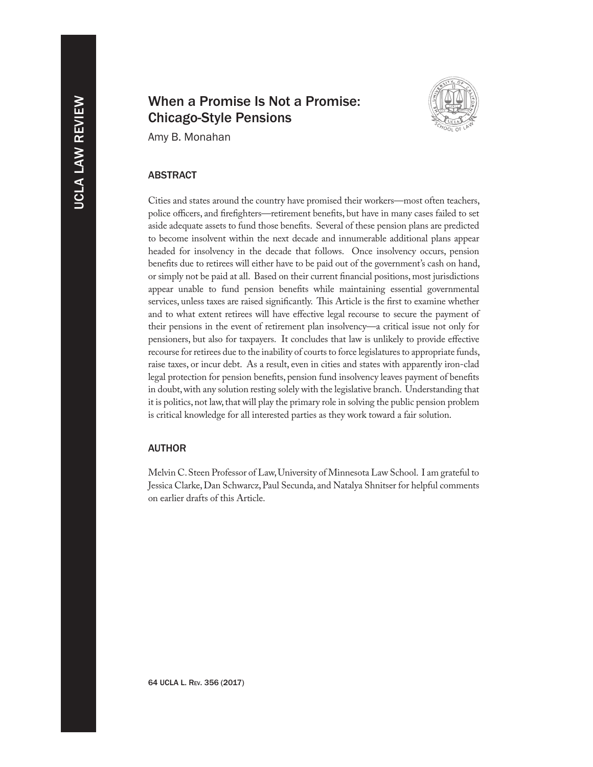# When a Promise Is Not a Promise: Chicago-Style Pensions



Amy B. Monahan

# **ABSTRACT**

Cities and states around the country have promised their workers—most often teachers, police officers, and firefighters—retirement benefits, but have in many cases failed to set aside adequate assets to fund those benefits. Several of these pension plans are predicted to become insolvent within the next decade and innumerable additional plans appear headed for insolvency in the decade that follows. Once insolvency occurs, pension benefits due to retirees will either have to be paid out of the government's cash on hand, or simply not be paid at all. Based on their current financial positions, most jurisdictions appear unable to fund pension benefits while maintaining essential governmental services, unless taxes are raised significantly. This Article is the first to examine whether and to what extent retirees will have effective legal recourse to secure the payment of their pensions in the event of retirement plan insolvency—a critical issue not only for pensioners, but also for taxpayers. It concludes that law is unlikely to provide effective recourse for retirees due to the inability of courts to force legislatures to appropriate funds, raise taxes, or incur debt. As a result, even in cities and states with apparently iron-clad legal protection for pension benefits, pension fund insolvency leaves payment of benefits in doubt, with any solution resting solely with the legislative branch. Understanding that it is politics, not law, that will play the primary role in solving the public pension problem is critical knowledge for all interested parties as they work toward a fair solution.

# **AUTHOR**

Melvin C. Steen Professor of Law, University of Minnesota Law School. I am grateful to Jessica Clarke, Dan Schwarcz, Paul Secunda, and Natalya Shnitser for helpful comments on earlier drafts of this Article.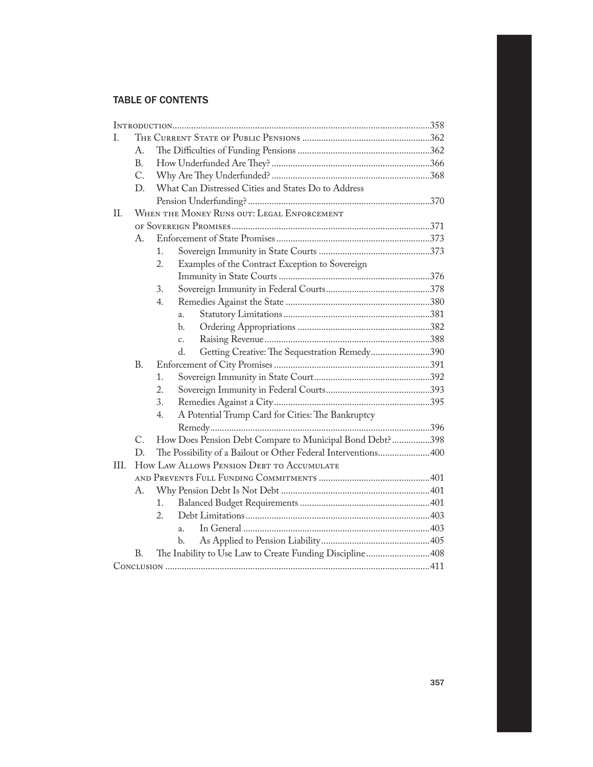# Table of Contents

| T.   |           |                                                                     |  |
|------|-----------|---------------------------------------------------------------------|--|
|      | A.        |                                                                     |  |
|      | <b>B.</b> |                                                                     |  |
|      | C.        |                                                                     |  |
|      | D.        | What Can Distressed Cities and States Do to Address                 |  |
|      |           |                                                                     |  |
| II.  |           | WHEN THE MONEY RUNS OUT: LEGAL ENFORCEMENT                          |  |
|      |           |                                                                     |  |
|      | А.        |                                                                     |  |
|      |           | 1.                                                                  |  |
|      |           | $\overline{2}$ .<br>Examples of the Contract Exception to Sovereign |  |
|      |           |                                                                     |  |
|      |           | 3.                                                                  |  |
|      |           | 4.                                                                  |  |
|      |           | a.                                                                  |  |
|      |           | b.                                                                  |  |
|      |           | c.                                                                  |  |
|      |           | Getting Creative: The Sequestration Remedy390<br>d.                 |  |
|      | B.        |                                                                     |  |
|      |           | 1.                                                                  |  |
|      |           | 2.                                                                  |  |
|      |           | 3.                                                                  |  |
|      |           | 4.<br>A Potential Trump Card for Cities: The Bankruptcy             |  |
|      |           |                                                                     |  |
|      | C.        | How Does Pension Debt Compare to Municipal Bond Debt?398            |  |
|      | D.        | The Possibility of a Bailout or Other Federal Interventions400      |  |
| III. |           | How LAW ALLOWS PENSION DEBT TO ACCUMULATE                           |  |
|      |           |                                                                     |  |
|      | А.        |                                                                     |  |
|      |           | 1.                                                                  |  |
|      |           | 2.                                                                  |  |
|      |           | a.                                                                  |  |
|      |           | b.                                                                  |  |
|      | B.        | The Inability to Use Law to Create Funding Discipline408            |  |
|      |           |                                                                     |  |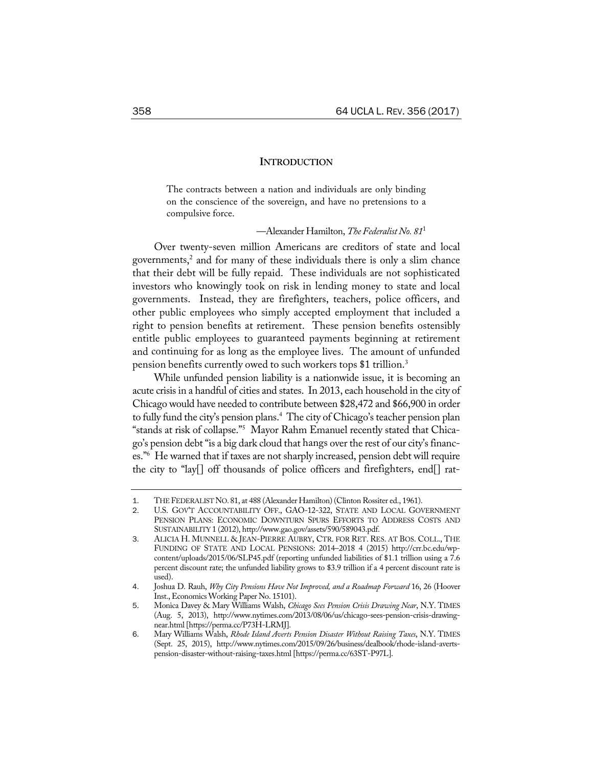# **INTRODUCTION**

The contracts between a nation and individuals are only binding on the conscience of the sovereign, and have no pretensions to a compulsive force.

#### —Alexander Hamilton, *The Federalist No. 81*<sup>1</sup>

Over twenty-seven million Americans are creditors of state and local governments, <sup>2</sup> and for many of these individuals there is only a slim chance that their debt will be fully repaid. These individuals are not sophisticated investors who knowingly took on risk in lending money to state and local governments. Instead, they are firefighters, teachers, police officers, and other public employees who simply accepted employment that included a right to pension benefits at retirement. These pension benefits ostensibly entitle public employees to guaranteed payments beginning at retirement and continuing for as long as the employee lives. The amount of unfunded pension benefits currently owed to such workers tops \$1 trillion.3

While unfunded pension liability is a nationwide issue, it is becoming an acute crisis in a handful of cities and states. In 2013, each household in the city of Chicago would have needed to contribute between \$28,472 and \$66,900 in order to fully fund the city's pension plans.4 The city of Chicago's teacher pension plan "stands at risk of collapse."5 Mayor Rahm Emanuel recently stated that Chicago's pension debt "is a big dark cloud that hangs over the rest of our city's finances."6 He warned that if taxes are not sharply increased, pension debt will require the city to "lay[] off thousands of police officers and firefighters, end[] rat-

THE FEDERALIST NO. 81, at 488 (Alexander Hamilton) (Clinton Rossiter ed., 1961).

<sup>2</sup>. U.S. GOV'T ACCOUNTABILITY OFF., GAO-12-322, STATE AND LOCAL GOVERNMENT PENSION PLANS: ECONOMIC DOWNTURN SPURS EFFORTS TO ADDRESS COSTS AND SUSTAINABILITY 1 (2012), http://www.gao.gov/assets/590/589043.pdf.

<sup>3</sup>. ALICIA H. MUNNELL & JEAN-PIERRE AUBRY, CTR. FOR RET. RES. AT BOS. COLL., THE FUNDING OF STATE AND LOCAL PENSIONS: 2014–2018 4 (2015) http://crr.bc.edu/wpcontent/uploads/2015/06/SLP45.pdf (reporting unfunded liabilities of \$1.1 trillion using a 7.6 percent discount rate; the unfunded liability grows to \$3.9 trillion if a 4 percent discount rate is used).

<sup>4</sup>. Joshua D. Rauh, *Why City Pensions Have Not Improved, and a Roadmap Forward* 16, 26 (Hoover Inst., Economics Working Paper No. 15101).

<sup>5</sup>. Monica Davey & Mary Williams Walsh, *Chicago Sees Pension Crisis Drawing Near*, N.Y. TIMES (Aug. 5, 2013), http://www.nytimes.com/2013/08/06/us/chicago-sees-pension-crisis-drawingnear.html [https://perma.cc/P73H-LRMJ].

<sup>6</sup>. Mary Williams Walsh, *Rhode Island Averts Pension Disaster Without Raising Taxes*, N.Y. TIMES (Sept. 25, 2015), http://www.nytimes.com/2015/09/26/business/dealbook/rhode-island-avertspension-disaster-without-raising-taxes.html [https://perma.cc/63ST-P97L].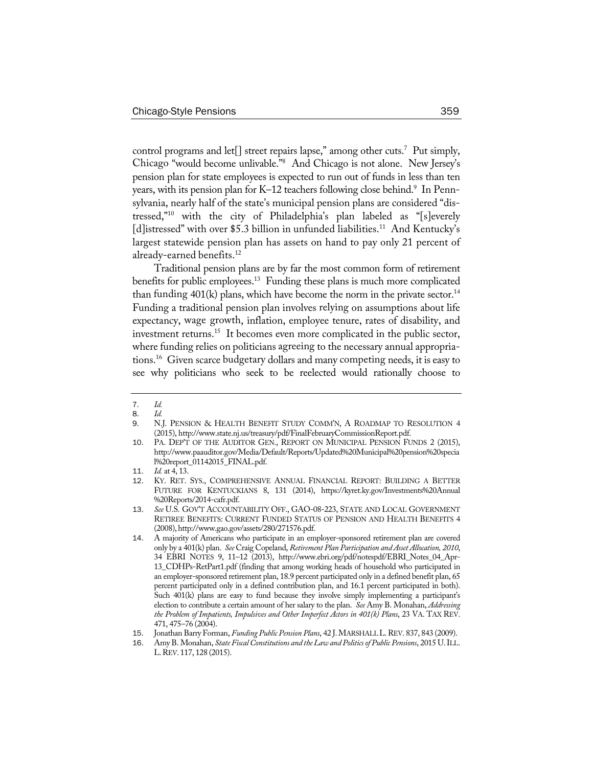control programs and let[] street repairs lapse," among other cuts.<sup>7</sup> Put simply, Chicago "would become unlivable."8 And Chicago is not alone. New Jersey's pension plan for state employees is expected to run out of funds in less than ten years, with its pension plan for K–12 teachers following close behind.<sup>9</sup> In Pennsylvania, nearly half of the state's municipal pension plans are considered "distressed,"10 with the city of Philadelphia's plan labeled as "[s]everely [d]istressed" with over \$5.3 billion in unfunded liabilities.<sup>11</sup> And Kentucky's largest statewide pension plan has assets on hand to pay only 21 percent of already-earned benefits.<sup>12</sup>

Traditional pension plans are by far the most common form of retirement benefits for public employees.<sup>13</sup> Funding these plans is much more complicated than funding  $401(k)$  plans, which have become the norm in the private sector.<sup>14</sup> Funding a traditional pension plan involves relying on assumptions about life expectancy, wage growth, inflation, employee tenure, rates of disability, and investment returns.<sup>15</sup> It becomes even more complicated in the public sector, where funding relies on politicians agreeing to the necessary annual appropriations.16 Given scarce budgetary dollars and many competing needs, it is easy to see why politicians who seek to be reelected would rationally choose to

<sup>7</sup>. *Id.*

<sup>8</sup>. *Id.*

<sup>9</sup>. N.J. PENSION & HEALTH BENEFIT STUDY COMM'N, A ROADMAP TO RESOLUTION 4 (2015), http://www.state.nj.us/treasury/pdf/FinalFebruaryCommissionReport.pdf.

<sup>10</sup>. PA. DEP'T OF THE AUDITOR GEN., REPORT ON MUNICIPAL PENSION FUNDS 2 (2015), http://www.paauditor.gov/Media/Default/Reports/Updated%20Municipal%20pension%20specia l%20report\_01142015\_FINAL.pdf.

<sup>11</sup>. *Id.* at 4, 13.

<sup>12</sup>. KY. RET. SYS., COMPREHENSIVE ANNUAL FINANCIAL REPORT: BUILDING A BETTER FUTURE FOR KENTUCKIANS 8, 131 (2014), https://kyret.ky.gov/Investments%20Annual %20Reports/2014-cafr.pdf.

<sup>13</sup>. *See* U.S. GOV'T ACCOUNTABILITY OFF., GAO-08-223, STATE AND LOCAL GOVERNMENT RETIREE BENEFITS: CURRENT FUNDED STATUS OF PENSION AND HEALTH BENEFITS 4 (2008),http://www.gao.gov/assets/280/271576.pdf.

<sup>14</sup>. A majority of Americans who participate in an employer-sponsored retirement plan are covered only by a 401(k) plan. *See* Craig Copeland, *Retirement Plan Participation and Asset Allocation, 2010*, 34 EBRI NOTES 9, 11–12 (2013), http://www.ebri.org/pdf/notespdf/EBRI\_Notes\_04\_Apr-13\_CDHPs-RetPart1.pdf (finding that among working heads of household who participated in an employer-sponsored retirement plan, 18.9 percent participated only in a defined benefit plan, 65 percent participated only in a defined contribution plan, and 16.1 percent participated in both). Such 401(k) plans are easy to fund because they involve simply implementing a participant's election to contribute a certain amount of her salary to the plan. *See* Amy B. Monahan, *Addressing the Problem of Impatients, Impulsives and Other Imperfect Actors in 401(k) Plans*, 23 VA. TAX REV. 471, 475–76 (2004).

<sup>15</sup>. Jonathan Barry Forman, *FundingPublic Pension Plans*, 42 J.MARSHALLL.REV. 837, 843 (2009).

<sup>16</sup>. Amy B. Monahan, *State FiscalConstitutions and the Law and Politicsof Public Pensions*, 2015 U.ILL. L.REV. 117, 128 (2015).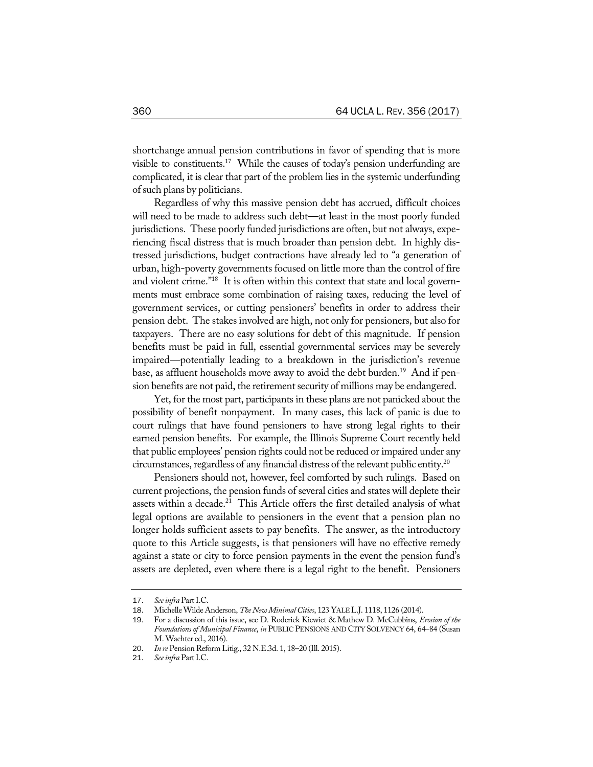shortchange annual pension contributions in favor of spending that is more visible to constituents.<sup>17</sup> While the causes of today's pension underfunding are complicated, it is clear that part of the problem lies in the systemic underfunding ofsuch plans by politicians.

Regardless of why this massive pension debt has accrued, difficult choices will need to be made to address such debt—at least in the most poorly funded jurisdictions. These poorly funded jurisdictions are often, but not always, experiencing fiscal distress that is much broader than pension debt. In highly distressed jurisdictions, budget contractions have already led to "a generation of urban, high-poverty governments focused on little more than the control of fire and violent crime."18 It is often within this context that state and local governments must embrace some combination of raising taxes, reducing the level of government services, or cutting pensioners' benefits in order to address their pension debt. The stakes involved are high, not only for pensioners, but also for taxpayers. There are no easy solutions for debt of this magnitude. If pension benefits must be paid in full, essential governmental services may be severely impaired—potentially leading to a breakdown in the jurisdiction's revenue base, as affluent households move away to avoid the debt burden.<sup>19</sup> And if pension benefits are not paid, the retirement security of millions may be endangered.

Yet, for the most part, participants in these plans are not panicked about the possibility of benefit nonpayment. In many cases, this lack of panic is due to court rulings that have found pensioners to have strong legal rights to their earned pension benefits. For example, the Illinois Supreme Court recently held that public employees' pension rights could not be reduced or impaired under any circumstances, regardless of any financial distress of the relevant public entity.20

Pensioners should not, however, feel comforted by such rulings. Based on current projections, the pension funds of several cities and states will deplete their assets within a decade.<sup>21</sup> This Article offers the first detailed analysis of what legal options are available to pensioners in the event that a pension plan no longer holds sufficient assets to pay benefits. The answer, as the introductory quote to this Article suggests, is that pensioners will have no effective remedy against a state or city to force pension payments in the event the pension fund's assets are depleted, even where there is a legal right to the benefit. Pensioners

<sup>17</sup>. *Seeinfra* PartI.C.

<sup>18</sup>. MichelleWilde Anderson, *The New MinimalCities*, 123 YALEL.J. 1118, 1126 (2014).

<sup>19</sup>. For a discussion of this issue, see D. Roderick Kiewiet & Mathew D. McCubbins, *Erosion of the Foundationsof Municipal Finance*, *in* PUBLIC PENSIONS AND CITY SOLVENCY 64, 64–84 (Susan M. Wachter ed., 2016).

<sup>20</sup>. *In re* Pension Reform Litig., 32 N.E.3d. 1, 18–20 (Ill. 2015).

<sup>21</sup>. *Seeinfra* PartI.C.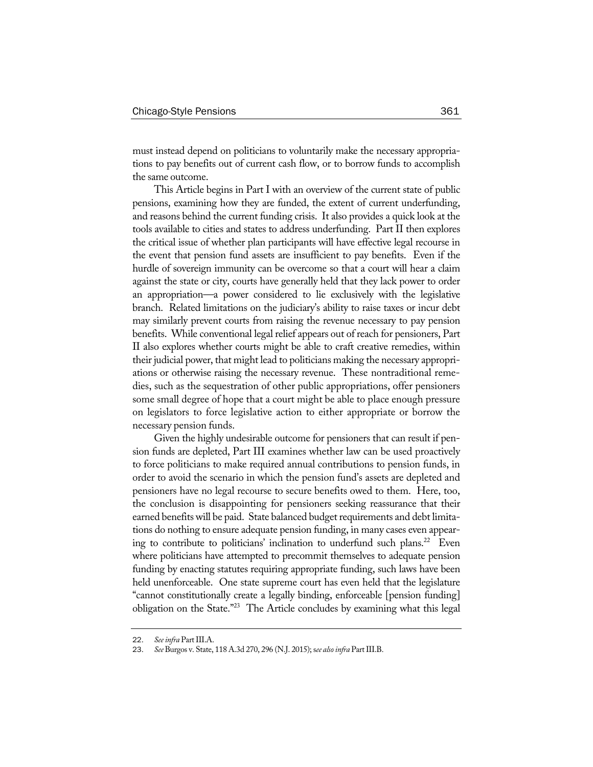must instead depend on politicians to voluntarily make the necessary appropriations to pay benefits out of current cash flow, or to borrow funds to accomplish the same outcome.

This Article begins in Part I with an overview of the current state of public pensions, examining how they are funded, the extent of current underfunding, and reasons behind the current funding crisis. It also provides a quick look at the tools available to cities and states to address underfunding. Part II then explores the critical issue of whether plan participants will have effective legal recourse in the event that pension fund assets are insufficient to pay benefits. Even if the hurdle of sovereign immunity can be overcome so that a court will hear a claim against the state or city, courts have generally held that they lack power to order an appropriation—a power considered to lie exclusively with the legislative branch. Related limitations on the judiciary's ability to raise taxes or incur debt may similarly prevent courts from raising the revenue necessary to pay pension benefits. While conventional legal relief appears out of reach for pensioners, Part II also explores whether courts might be able to craft creative remedies, within their judicial power, that might lead to politicians making the necessary appropriations or otherwise raising the necessary revenue. These nontraditional remedies, such as the sequestration of other public appropriations, offer pensioners some small degree of hope that a court might be able to place enough pressure on legislators to force legislative action to either appropriate or borrow the necessary pension funds.

Given the highly undesirable outcome for pensioners that can result if pension funds are depleted, Part III examines whether law can be used proactively to force politicians to make required annual contributions to pension funds, in order to avoid the scenario in which the pension fund's assets are depleted and pensioners have no legal recourse to secure benefits owed to them. Here, too, the conclusion is disappointing for pensioners seeking reassurance that their earned benefits will be paid. State balanced budget requirements and debt limitations do nothing to ensure adequate pension funding, in many cases even appearing to contribute to politicians' inclination to underfund such plans.<sup>22</sup> Even where politicians have attempted to precommit themselves to adequate pension funding by enacting statutes requiring appropriate funding, such laws have been held unenforceable. One state supreme court has even held that the legislature "cannot constitutionally create a legally binding, enforceable [pension funding] obligation on the State."23 The Article concludes by examining what this legal

<sup>22.</sup> *See infra* Part III.A.

See Burgos v. State, 118 A.3d 270, 296 (N.J. 2015); see also infra Part III.B.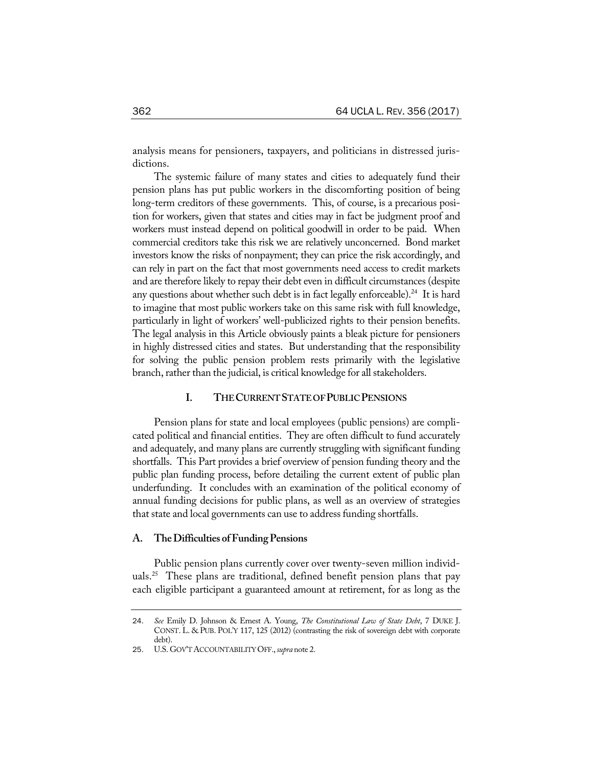analysis means for pensioners, taxpayers, and politicians in distressed jurisdictions.

The systemic failure of many states and cities to adequately fund their pension plans has put public workers in the discomforting position of being long-term creditors of these governments. This, of course, is a precarious position for workers, given that states and cities may in fact be judgment proof and workers must instead depend on political goodwill in order to be paid. When commercial creditors take this risk we are relatively unconcerned. Bond market investors know the risks of nonpayment; they can price the risk accordingly, and can rely in part on the fact that most governments need access to credit markets and are therefore likely to repay their debt even in difficult circumstances (despite any questions about whether such debt is in fact legally enforceable).<sup>24</sup> It is hard to imagine that most public workers take on this same risk with full knowledge, particularly in light of workers' well-publicized rights to their pension benefits. The legal analysis in this Article obviously paints a bleak picture for pensioners in highly distressed cities and states. But understanding that the responsibility for solving the public pension problem rests primarily with the legislative branch, rather than the judicial, is critical knowledge for all stakeholders.

# **I. THECURRENTSTATEOFPUBLICPENSIONS**

Pension plans for state and local employees (public pensions) are complicated political and financial entities. They are often difficult to fund accurately and adequately, and many plans are currently struggling with significant funding shortfalls. This Part provides a brief overview of pension funding theory and the public plan funding process, before detailing the current extent of public plan underfunding. It concludes with an examination of the political economy of annual funding decisions for public plans, as well as an overview of strategies that state and local governments can use to address funding shortfalls.

#### **A. TheDifficulties ofFundingPensions**

Public pension plans currently cover over twenty-seven million individuals.<sup>25</sup> These plans are traditional, defined benefit pension plans that pay each eligible participant a guaranteed amount at retirement, for as long as the

<sup>24</sup>. *See* Emily D. Johnson & Ernest A. Young, *The Constitutional Law of State Debt*, 7 DUKE J. CONST. L. & PUB. POL'Y 117, 125 (2012) (contrasting the risk of sovereign debt with corporate debt).

<sup>25</sup>. U.S. GOV'TACCOUNTABILITYOFF.,*supra* note 2.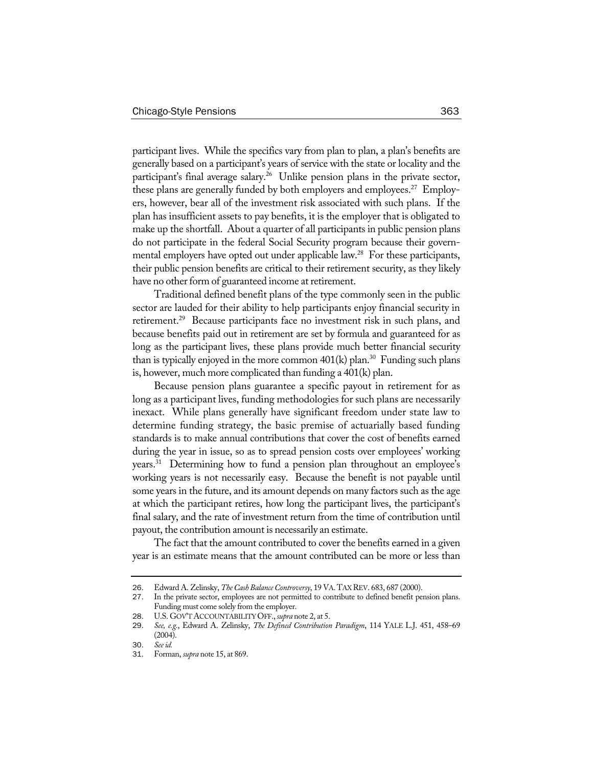participant lives. While the specifics vary from plan to plan, a plan's benefits are generally based on a participant's years of service with the state or locality and the participant's final average salary.<sup>26</sup> Unlike pension plans in the private sector, these plans are generally funded by both employers and employees.<sup>27</sup> Employers, however, bear all of the investment risk associated with such plans. If the plan has insufficient assets to pay benefits, it is the employer that is obligated to make up the shortfall. About a quarter of all participants in public pension plans do not participate in the federal Social Security program because their governmental employers have opted out under applicable law.<sup>28</sup> For these participants, their public pension benefits are critical to their retirement security, as they likely have no other form of guaranteed income at retirement.

Traditional defined benefit plans of the type commonly seen in the public sector are lauded for their ability to help participants enjoy financial security in retirement.<sup>29</sup> Because participants face no investment risk in such plans, and because benefits paid out in retirement are set by formula and guaranteed for as long as the participant lives, these plans provide much better financial security than is typically enjoyed in the more common  $401(k)$  plan.<sup>30</sup> Funding such plans is, however, much more complicated than funding a 401(k) plan.

Because pension plans guarantee a specific payout in retirement for as long as a participant lives, funding methodologies for such plans are necessarily inexact. While plans generally have significant freedom under state law to determine funding strategy, the basic premise of actuarially based funding standards is to make annual contributions that cover the cost of benefits earned during the year in issue, so as to spread pension costs over employees' working years.31 Determining how to fund a pension plan throughout an employee's working years is not necessarily easy. Because the benefit is not payable until some years in the future, and its amount depends on many factors such as the age at which the participant retires, how long the participant lives, the participant's final salary, and the rate of investment return from the time of contribution until payout, the contribution amount is necessarily an estimate.

The fact that the amount contributed to cover the benefits earned in a given year is an estimate means that the amount contributed can be more or less than

<sup>26</sup>. Edward A. Zelinsky, *TheCashBalanceControversy*, 19 VA.TAXREV. 683, 687 (2000).

<sup>27</sup>. In the private sector, employees are not permitted to contribute to defined benefit pension plans. Funding must come solely from the employer.

<sup>28.</sup> U.S. GOV'T ACCOUNTABILITY OFF., *supra* note 2, at 5.

<sup>29</sup>. *See, e.g.*, Edward A. Zelinsky, *The Defined Contribution Paradigm*, 114 YALE L.J. 451, 458–69 (2004).

<sup>30</sup>. *Seeid.*

<sup>31</sup>. Forman, *supra* note 15, at 869.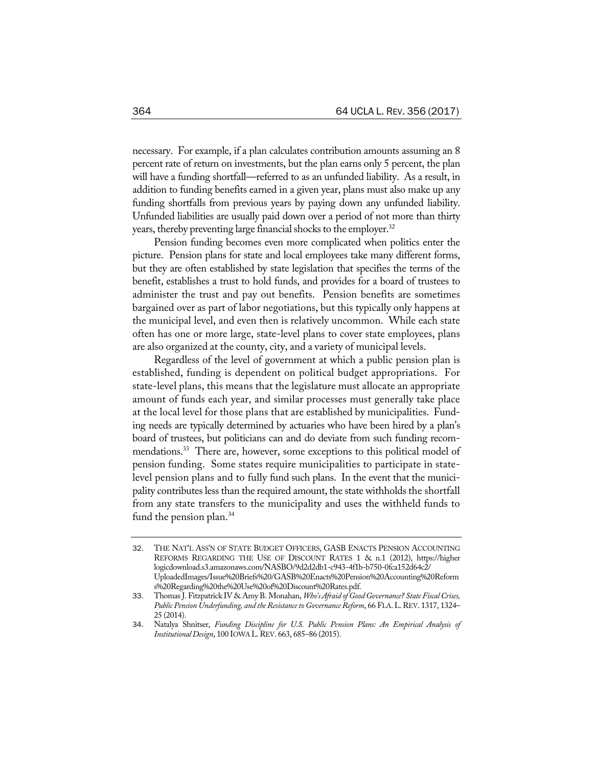necessary. For example, if a plan calculates contribution amounts assuming an 8 percent rate of return on investments, but the plan earns only 5 percent, the plan will have a funding shortfall—referred to as an unfunded liability. As a result, in addition to funding benefits earned in a given year, plans must also make up any funding shortfalls from previous years by paying down any unfunded liability. Unfunded liabilities are usually paid down over a period of not more than thirty years, thereby preventing large financial shocks to the employer.<sup>32</sup>

Pension funding becomes even more complicated when politics enter the picture. Pension plans for state and local employees take many different forms, but they are often established by state legislation that specifies the terms of the benefit, establishes a trust to hold funds, and provides for a board of trustees to administer the trust and pay out benefits. Pension benefits are sometimes bargained over as part of labor negotiations, but this typically only happens at the municipal level, and even then is relatively uncommon. While each state often has one or more large, state-level plans to cover state employees, plans are also organized at the county, city, and a variety of municipal levels.

Regardless of the level of government at which a public pension plan is established, funding is dependent on political budget appropriations. For state-level plans, this means that the legislature must allocate an appropriate amount of funds each year, and similar processes must generally take place at the local level for those plans that are established by municipalities. Funding needs are typically determined by actuaries who have been hired by a plan's board of trustees, but politicians can and do deviate from such funding recommendations.<sup>33</sup> There are, however, some exceptions to this political model of pension funding. Some states require municipalities to participate in statelevel pension plans and to fully fund such plans. In the event that the municipality contributes less than the required amount, the state withholds the shortfall from any state transfers to the municipality and uses the withheld funds to fund the pension plan.<sup>34</sup>

<sup>32</sup>. THE NAT'L ASS'N OF STATE BUDGET OFFICERS, GASB ENACTS PENSION ACCOUNTING REFORMS REGARDING THE USE OF DISCOUNT RATES 1 & n.1 (2012), https://higher logicdownload.s3.amazonaws.com/NASBO/9d2d2db1-c943-4f1b-b750-0fca152d64c2/ UploadedImages/Issue%20Briefs%20/GASB%20Enacts%20Pension%20Accounting%20Reform s%20Regarding%20the%20Use%20of%20Discount%20Rates.pdf.

<sup>33</sup>. Thomas J. Fitzpatrick IV & Amy B. Monahan, *Who's Afraid of Good Governance? State FiscalCrises, Public Pension Underfunding, and theResistanceto GovernanceReform*, 66 FLA.L.REV. 1317, 1324– 25 (2014).

<sup>34</sup>. Natalya Shnitser, *Funding Discipline for U.S. Public Pension Plans: An Empirical Analysis of InstitutionalDesign*, 100 IOWA L.REV. 663, 685–86 (2015).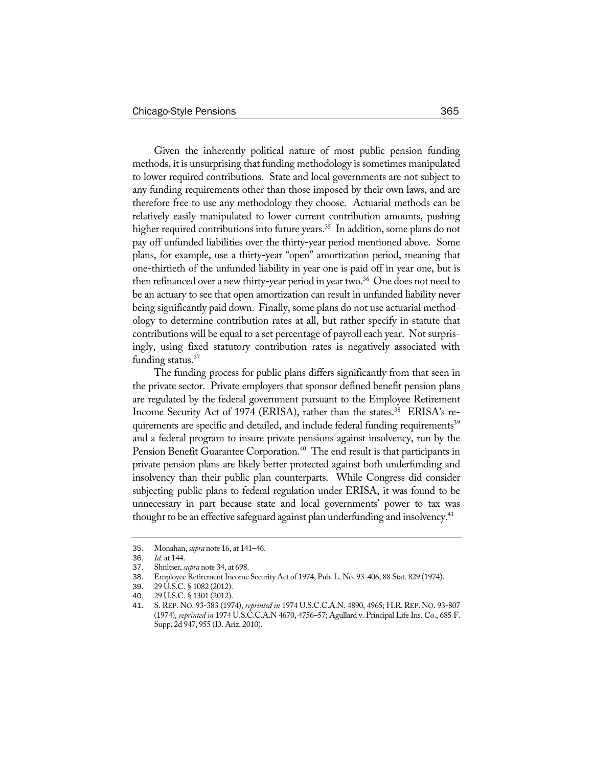Given the inherently political nature of most public pension funding methods, it is unsurprising that funding methodology is sometimes manipulated to lower required contributions. State and local governments are not subject to any funding requirements other than those imposed by their own laws, and are therefore free to use any methodology they choose. Actuarial methods can be relatively easily manipulated to lower current contribution amounts, pushing higher required contributions into future years.<sup>35</sup> In addition, some plans do not pay off unfunded liabilities over the thirty-year period mentioned above. Some plans, for example, use a thirty-year "open" amortization period, meaning that one-thirtieth of the unfunded liability in year one is paid off in year one, but is then refinanced over a new thirty-year period in year two.<sup>36</sup> One does not need to be an actuary to see that open amortization can result in unfunded liability never being significantly paid down. Finally, some plans do not use actuarial methodology to determine contribution rates at all, but rather specify in statute that contributions will be equal to a set percentage of payroll each year. Not surprisingly, using fixed statutory contribution rates is negatively associated with funding status. $37$ 

The funding process for public plans differs significantly from that seen in the private sector. Private employers that sponsor defined benefit pension plans are regulated by the federal government pursuant to the Employee Retirement Income Security Act of 1974 (ERISA), rather than the states.<sup>38</sup> ERISA's requirements are specific and detailed, and include federal funding requirements<sup>39</sup> and a federal program to insure private pensions against insolvency, run by the Pension Benefit Guarantee Corporation.<sup>40</sup> The end result is that participants in private pension plans are likely better protected against both underfunding and insolvency than their public plan counterparts. While Congress did consider subjecting public plans to federal regulation under ERISA, it was found to be unnecessary in part because state and local governments' power to tax was thought to be an effective safeguard against plan underfunding and insolvency.<sup>41</sup>

<sup>35</sup>. Monahan, *supra* note 16, at 141–46.

*Id.* at 144.

<sup>37</sup>. Shnitser, *supra* note 34, at 698.

<sup>38.</sup> Employee Retirement Income Security Act of 1974, Pub. L. No. 93-406, 88 Stat. 829 (1974).<br>39. 29 U.S.C. § 1082 (2012).

<sup>39</sup>. 29 U.S.C. § 1082 (2012).

<sup>40</sup>. 29 U.S.C. § 1301 (2012).

<sup>41</sup>. S. REP. NO. 93-383 (1974), *reprinted in* 1974 U.S.C.C.A.N. 4890, 4965; H.R. REP. NO. 93-807 (1974), *reprinted in* 1974 U.S.C.C.A.N 4670, 4756–57; Agullard v. Principal Life Ins. Co., 685 F. Supp. 2d 947, 955 (D. Ariz. 2010).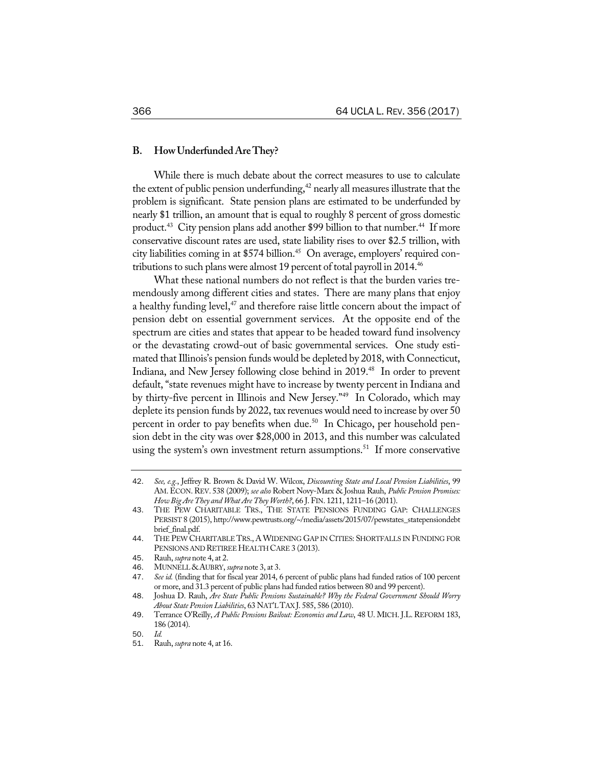## **B. HowUnderfundedAreThey?**

While there is much debate about the correct measures to use to calculate the extent of public pension underfunding, $42$  nearly all measures illustrate that the problem is significant. State pension plans are estimated to be underfunded by nearly \$1 trillion, an amount that is equal to roughly 8 percent of gross domestic product.<sup>43</sup> City pension plans add another \$99 billion to that number.<sup>44</sup> If more conservative discount rates are used, state liability rises to over \$2.5 trillion, with city liabilities coming in at \$574 billion.<sup>45</sup> On average, employers' required contributions to such plans were almost 19 percent of total payroll in 2014.<sup>46</sup>

What these national numbers do not reflect is that the burden varies tremendously among different cities and states. There are many plans that enjoy a healthy funding level, $47$  and therefore raise little concern about the impact of pension debt on essential government services. At the opposite end of the spectrum are cities and states that appear to be headed toward fund insolvency or the devastating crowd-out of basic governmental services. One study estimated that Illinois's pension funds would be depleted by 2018, with Connecticut, Indiana, and New Jersey following close behind in 2019.<sup>48</sup> In order to prevent default, "state revenues might have to increase by twenty percent in Indiana and by thirty-five percent in Illinois and New Jersey."49 In Colorado, which may deplete its pension funds by 2022, tax revenues would need to increase by over 50 percent in order to pay benefits when due.<sup>50</sup> In Chicago, per household pension debt in the city was over \$28,000 in 2013, and this number was calculated using the system's own investment return assumptions.<sup>51</sup> If more conservative

<sup>42</sup>. *See, e.g.*, Jeffrey R. Brown & David W. Wilcox, *Discounting State and Local Pension Liabilities*, 99 AM.ECON.REV. 538 (2009); *see also* Robert Novy-Marx & Joshua Rauh, *Public Pension Promises: How BigAreThey and WhatAreThey Worth?*, 66 J. FIN. 1211, 1211–16 (2011).

<sup>43</sup>. THE PEW CHARITABLE TRS., THE STATE PENSIONS FUNDING GAP: CHALLENGES PERSIST 8 (2015), http://www.pewtrusts.org/~/media/assets/2015/07/pewstates\_statepensiondebt brief\_final.pdf.

<sup>44</sup>. THE PEW CHARITABLE TRS., AWIDENING GAP IN CITIES: SHORTFALLS IN FUNDING FOR PENSIONS AND RETIREE HEALTH CARE 3 (2013).

<sup>45</sup>. Rauh, *supra* note 4, at 2.

<sup>46</sup>. MUNNELL&AUBRY, *supra* note 3, at 3.

<sup>47</sup>. *See id.* (finding that for fiscal year 2014, 6 percent of public plans had funded ratios of 100 percent or more, and 31.3 percent of public plans had funded ratios between 80 and 99 percent).

<sup>48</sup>. Joshua D. Rauh, *Are State Public Pensions Sustainable? Why the Federal Government Should Worry About State Pension Liabilities*, 63 NAT'LTAXJ. 585, 586 (2010).

<sup>49</sup>. Terrance O'Reilly, *A Public Pensions Bailout: Economics and Law*, 48 U. MICH. J.L. REFORM 183, 186 (2014).

<sup>50</sup>. *Id.*

<sup>51</sup>. Rauh, *supra* note 4, at 16.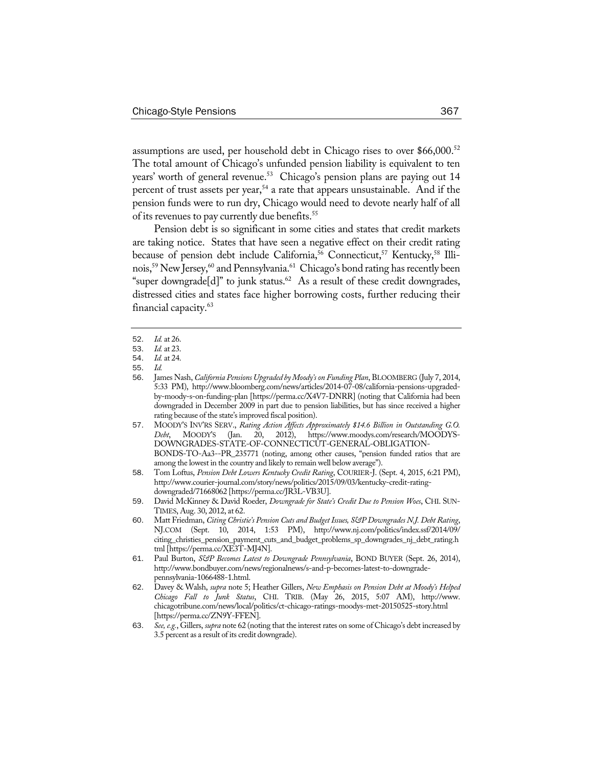assumptions are used, per household debt in Chicago rises to over \$66,000.52 The total amount of Chicago's unfunded pension liability is equivalent to ten years' worth of general revenue.<sup>53</sup> Chicago's pension plans are paying out 14 percent of trust assets per year,<sup>54</sup> a rate that appears unsustainable. And if the pension funds were to run dry, Chicago would need to devote nearly half of all of its revenues to pay currently due benefits.<sup>55</sup>

Pension debt is so significant in some cities and states that credit markets are taking notice. States that have seen a negative effect on their credit rating because of pension debt include California,<sup>56</sup> Connecticut,<sup>57</sup> Kentucky,<sup>58</sup> Illinois,<sup>59</sup> New Jersey,<sup>60</sup> and Pennsylvania.<sup>61</sup> Chicago's bond rating has recently been "super downgrade[d]" to junk status.<sup>62</sup> As a result of these credit downgrades, distressed cities and states face higher borrowing costs, further reducing their financial capacity.<sup>63</sup>

62. Davey & Walsh, *supra* note 5; Heather Gillers, *New Emphasis on Pension Debt at Moody's Helped Chicago Fall to Junk Status*, CHI. TRIB. (May 26, 2015, 5:07 AM), http://www. chicagotribune.com/news/local/politics/ct-chicago-ratings-moodys-met-20150525-story.html [https://perma.cc/ZN9Y-FFEN].

<sup>52</sup>. *Id.* at 26.

<sup>53</sup>. *Id.* at 23.

<sup>54</sup>. *Id.* at 24.

<sup>55</sup>. *Id.*

<sup>56</sup>. James Nash, *California Pensions Upgraded by Moody'son Funding Plan*, BLOOMBERG (July 7, 2014, 5:33 PM), http://www.bloomberg.com/news/articles/2014-07-08/california-pensions-upgradedby-moody-s-on-funding-plan [https://perma.cc/X4V7-DNRR] (noting that California had been downgraded in December 2009 in part due to pension liabilities, but has since received a higher rating because of the state's improved fiscal position).

<sup>57</sup>. MOODY'S INV'RS SERV., *Rating Action Affects Approximately \$14.6 Billion in Outstanding G.O. Debt*, MOODY'S (Jan. 20, 2012), https://www.moodys.com/research/MOODYS-DOWNGRADES-STATE-OF-CONNECTICUT-GENERAL-OBLIGATION-BONDS-TO-Aa3--PR\_235771 (noting, among other causes, "pension funded ratios that are among the lowest in the country and likely to remain well below average").

<sup>58</sup>. Tom Loftus, *Pension Debt Lowers Kentucky Credit Rating*, COURIER-J. (Sept. 4, 2015, 6:21 PM), http://www.courier-journal.com/story/news/politics/2015/09/03/kentucky-credit-ratingdowngraded/71668062 [https://perma.cc/JR3L-VB3U].

<sup>59</sup>. David McKinney & David Roeder, *Downgrade for State's Credit Due to Pension Woes*, CHI. SUN-TIMES, Aug. 30, 2012, at 62.

<sup>60</sup>. Matt Friedman, *Citing Christie's Pension Cuts and BudgetIssues, S&P Downgrades N.J. Debt Rating*, NJ.COM (Sept. 10, 2014, 1:53 PM), http://www.nj.com/politics/index.ssf/2014/09/ citing\_christies\_pension\_payment\_cuts\_and\_budget\_problems\_sp\_downgrades\_nj\_debt\_rating.h tml [https://perma.cc/XE3T-MJ4N].

<sup>61</sup>. Paul Burton, *S&P Becomes Latest to Downgrade Pennsylvania*, BOND BUYER (Sept. 26, 2014), http://www.bondbuyer.com/news/regionalnews/s-and-p-becomes-latest-to-downgradepennsylvania-1066488-1.html.

<sup>63</sup>. *See,e.g.*, Gillers, *supra* note 62 (noting that the interest rates on some of Chicago's debt increased by 3.5 percent as a result of its credit downgrade).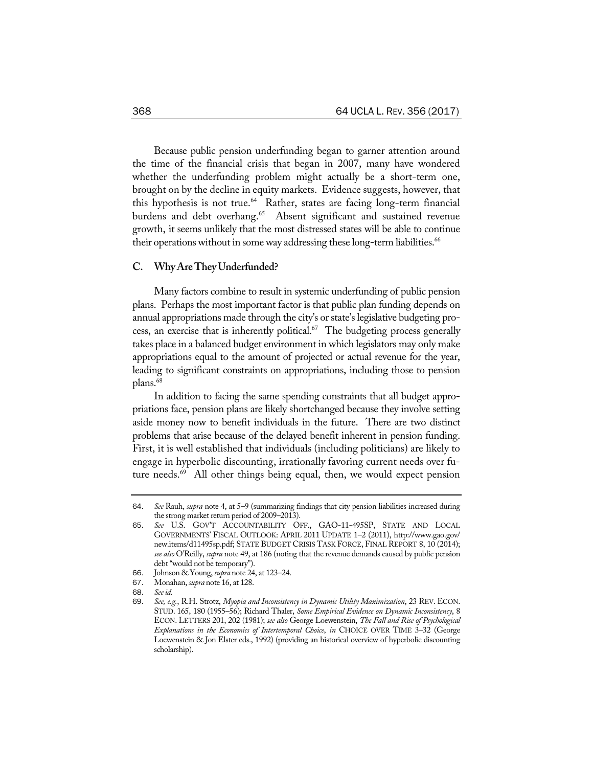Because public pension underfunding began to garner attention around the time of the financial crisis that began in 2007, many have wondered whether the underfunding problem might actually be a short-term one, brought on by the decline in equity markets. Evidence suggests, however, that this hypothesis is not true.<sup>64</sup> Rather, states are facing long-term financial burdens and debt overhang.<sup>65</sup> Absent significant and sustained revenue growth, it seems unlikely that the most distressed states will be able to continue their operations without in some way addressing these long-term liabilities.<sup>66</sup>

#### **C. WhyAreTheyUnderfunded?**

Many factors combine to result in systemic underfunding of public pension plans. Perhaps the most important factor is that public plan funding depends on annual appropriations made through the city's or state's legislative budgeting process, an exercise that is inherently political. $67$  The budgeting process generally takes place in a balanced budget environment in which legislators may only make appropriations equal to the amount of projected or actual revenue for the year, leading to significant constraints on appropriations, including those to pension plans.<sup>68</sup>

In addition to facing the same spending constraints that all budget appropriations face, pension plans are likely shortchanged because they involve setting aside money now to benefit individuals in the future. There are two distinct problems that arise because of the delayed benefit inherent in pension funding. First, it is well established that individuals (including politicians) are likely to engage in hyperbolic discounting, irrationally favoring current needs over future needs.<sup>69</sup> All other things being equal, then, we would expect pension

- 67. Monahan, *supra* note 16, at 128.
- 68. *Seeid.*

<sup>64</sup>. *See* Rauh, *supra* note 4, at 5–9 (summarizing findings that city pension liabilities increased during the strong market return period of 2009–2013).

<sup>65</sup>. *See* U.S. GOV'T ACCOUNTABILITY OFF., GAO-11-495SP, STATE AND LOCAL GOVERNMENTS' FISCAL OUTLOOK: APRIL 2011 UPDATE 1–2 (2011), http://www.gao.gov/ new.items/d11495sp.pdf; STATE BUDGET CRISIS TASK FORCE, FINAL REPORT 8, 10 (2014); *see also* O'Reilly, *supra* note 49, at 186 (noting that the revenue demands caused by public pension debt "would not be temporary").

<sup>66</sup>. Johnson & Young, *supra* note 24, at 123–24.

<sup>69</sup>. *See, e.g.*, R.H. Strotz, *Myopia and Inconsistency in Dynamic Utility Maximization*, 23 REV. ECON. STUD. 165, 180 (1955–56); Richard Thaler, *Some Empirical Evidence on Dynamic Inconsistency*, 8 ECON. LETTERS 201, 202 (1981); *see also* George Loewenstein, *The Fall and Rise of Psychological Explanations in the Economics of Intertemporal Choice*, *in* CHOICE OVER TIME 3–32 (George Loewenstein & Jon Elster eds., 1992) (providing an historical overview of hyperbolic discounting scholarship).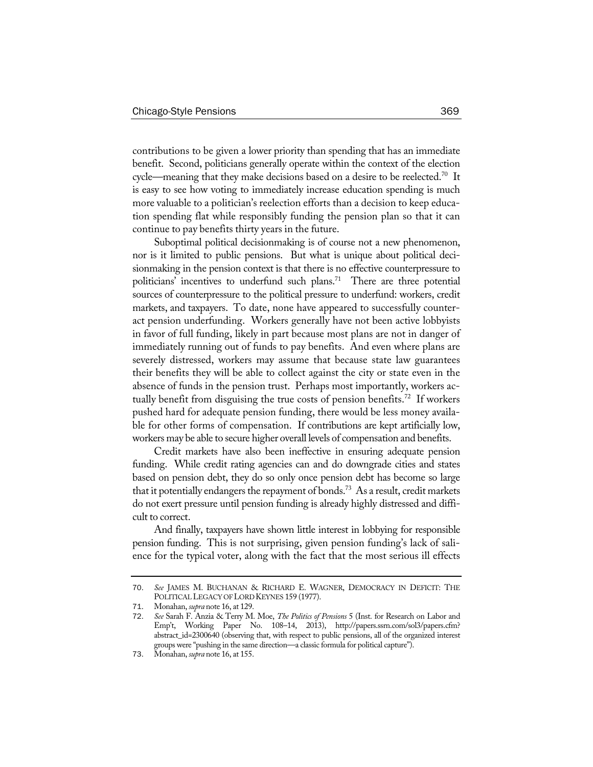contributions to be given a lower priority than spending that has an immediate benefit. Second, politicians generally operate within the context of the election cycle—meaning that they make decisions based on a desire to be reelected.<sup>70</sup> It is easy to see how voting to immediately increase education spending is much more valuable to a politician's reelection efforts than a decision to keep education spending flat while responsibly funding the pension plan so that it can continue to pay benefits thirty years in the future.

Suboptimal political decisionmaking is of course not a new phenomenon, nor is it limited to public pensions. But what is unique about political decisionmaking in the pension context is that there is no effective counterpressure to politicians' incentives to underfund such plans.<sup>71</sup> There are three potential sources of counterpressure to the political pressure to underfund: workers, credit markets, and taxpayers. To date, none have appeared to successfully counteract pension underfunding. Workers generally have not been active lobbyists in favor of full funding, likely in part because most plans are not in danger of immediately running out of funds to pay benefits. And even where plans are severely distressed, workers may assume that because state law guarantees their benefits they will be able to collect against the city or state even in the absence of funds in the pension trust. Perhaps most importantly, workers actually benefit from disguising the true costs of pension benefits.<sup>72</sup> If workers pushed hard for adequate pension funding, there would be less money available for other forms of compensation. If contributions are kept artificially low, workers may be able to secure higher overall levels of compensation and benefits.

Credit markets have also been ineffective in ensuring adequate pension funding. While credit rating agencies can and do downgrade cities and states based on pension debt, they do so only once pension debt has become so large that it potentially endangers the repayment of bonds.<sup>73</sup> As a result, credit markets do not exert pressure until pension funding is already highly distressed and difficult to correct.

And finally, taxpayers have shown little interest in lobbying for responsible pension funding. This is not surprising, given pension funding's lack of salience for the typical voter, along with the fact that the most serious ill effects

<sup>70</sup>. *See* JAMES M. BUCHANAN & RICHARD E. WAGNER, DEMOCRACY IN DEFICIT: THE POLITICALLEGACY OFLORD KEYNES 159 (1977).

<sup>71</sup>. Monahan, *supra* note 16, at 129.

<sup>72</sup>. *See* Sarah F. Anzia & Terry M. Moe, *The Politics of Pensions* 5 (Inst. for Research on Labor and Emp't, Working Paper No. 108–14, 2013), http://papers.ssrn.com/sol3/papers.cfm? abstract\_id=2300640 (observing that, with respect to public pensions, all of the organized interest groups were "pushing in the same direction—a classic formula for political capture").

<sup>73</sup>. Monahan, *supra* note 16, at 155.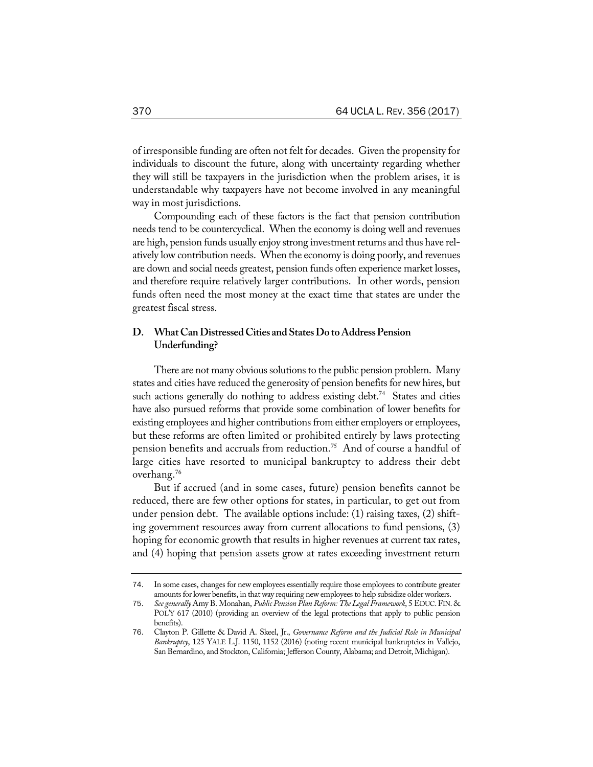of irresponsible funding are often not felt for decades. Given the propensity for individuals to discount the future, along with uncertainty regarding whether they will still be taxpayers in the jurisdiction when the problem arises, it is understandable why taxpayers have not become involved in any meaningful way in most jurisdictions.

Compounding each of these factors is the fact that pension contribution needs tend to be countercyclical. When the economy is doing well and revenues are high, pension funds usually enjoy strong investment returns and thus have relatively low contribution needs. When the economy is doing poorly, and revenues are down and social needs greatest, pension funds often experience market losses, and therefore require relatively larger contributions. In other words, pension funds often need the most money at the exact time that states are under the greatest fiscal stress.

# **D. WhatCanDistressedCities andStatesDo toAddressPension Underfunding?**

There are not many obvious solutions to the public pension problem. Many states and cities have reduced the generosity of pension benefits for new hires, but such actions generally do nothing to address existing debt.<sup>74</sup> States and cities have also pursued reforms that provide some combination of lower benefits for existing employees and higher contributions from either employers or employees, but these reforms are often limited or prohibited entirely by laws protecting pension benefits and accruals from reduction.75 And of course a handful of large cities have resorted to municipal bankruptcy to address their debt overhang.76

But if accrued (and in some cases, future) pension benefits cannot be reduced, there are few other options for states, in particular, to get out from under pension debt. The available options include: (1) raising taxes, (2) shifting government resources away from current allocations to fund pensions, (3) hoping for economic growth that results in higher revenues at current tax rates, and (4) hoping that pension assets grow at rates exceeding investment return

<sup>74</sup>. In some cases, changes for new employees essentially require those employees to contribute greater amounts for lower benefits, in that way requiring new employees to help subsidize older workers.

<sup>75</sup>. *See generally* Amy B. Monahan, *Public Pension PlanReform: The Legal Framework*, 5 EDUC.FIN. & POL'Y 617 (2010) (providing an overview of the legal protections that apply to public pension benefits).

<sup>76</sup>. Clayton P. Gillette & David A. Skeel, Jr., *Governance Reform and the Judicial Role in Municipal Bankruptcy*, 125 YALE L.J. 1150, 1152 (2016) (noting recent municipal bankruptcies in Vallejo, San Bernardino, and Stockton, California; Jefferson County, Alabama; and Detroit, Michigan).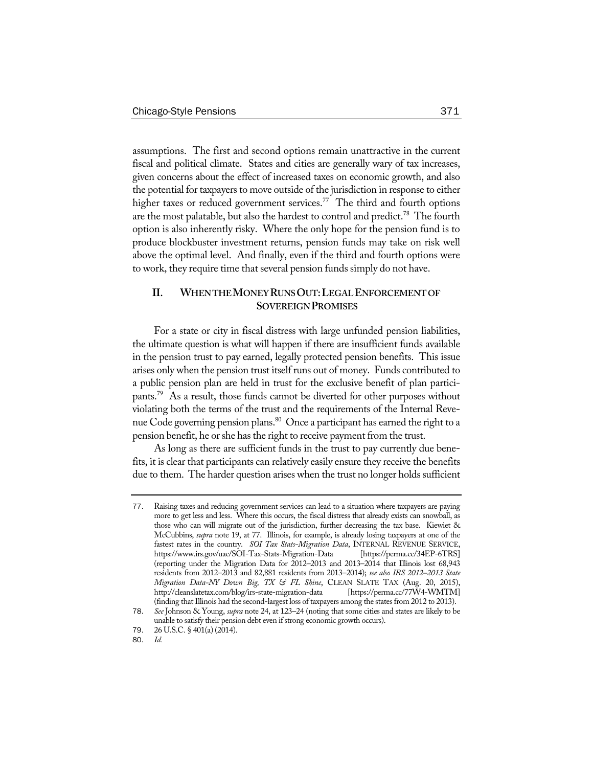assumptions. The first and second options remain unattractive in the current fiscal and political climate. States and cities are generally wary of tax increases, given concerns about the effect of increased taxes on economic growth, and also the potential for taxpayers to move outside of the jurisdiction in response to either higher taxes or reduced government services.<sup>77</sup> The third and fourth options are the most palatable, but also the hardest to control and predict.<sup>78</sup> The fourth option is also inherently risky. Where the only hope for the pension fund is to produce blockbuster investment returns, pension funds may take on risk well above the optimal level. And finally, even if the third and fourth options were to work, they require time that several pension funds simply do not have.

# **II. WHENTHEMONEYRUNSOUT:LEGALENFORCEMENTOF SOVEREIGNPROMISES**

For a state or city in fiscal distress with large unfunded pension liabilities, the ultimate question is what will happen if there are insufficient funds available in the pension trust to pay earned, legally protected pension benefits. This issue arises only when the pension trust itself runs out of money. Funds contributed to a public pension plan are held in trust for the exclusive benefit of plan participants.79 As a result, those funds cannot be diverted for other purposes without violating both the terms of the trust and the requirements of the Internal Revenue Code governing pension plans.<sup>80</sup> Once a participant has earned the right to a pension benefit, he or she has the right to receive payment from the trust.

As long as there are sufficient funds in the trust to pay currently due benefits, it is clear that participants can relatively easily ensure they receive the benefits due to them. The harder question arises when the trust no longer holds sufficient

<sup>77</sup>. Raising taxes and reducing government services can lead to a situation where taxpayers are paying more to get less and less. Where this occurs, the fiscal distress that already exists can snowball, as those who can will migrate out of the jurisdiction, further decreasing the tax base. Kiewiet & McCubbins, *supra* note 19, at 77. Illinois, for example, is already losing taxpayers at one of the fastest rates in the country. *SOI Tax Stats-Migration Data*, INTERNAL REVENUE SERVICE, https://www.irs.gov/uac/SOI-Tax-Stats-Migration-Data [https://perma.cc/34EP-6TRS] (reporting under the Migration Data for 2012–2013 and 2013–2014 that Illinois lost 68,943 residents from 2012–2013 and 82,881 residents from 2013–2014); *see also IRS 2012–2013 State Migration Data-NY Down Big, TX & FL Shine*, CLEAN SLATE TAX (Aug. 20, 2015), http://cleanslatetax.com/blog/irs-state-migration-data (finding that Illinois had the second-largest loss of taxpayers among the states from 2012 to 2013).

<sup>78</sup>. *See* Johnson & Young, *supra* note 24, at 123–24 (noting that some cities and states are likely to be unable to satisfy their pension debt even if strong economic growth occurs).

<sup>79. 26</sup> U.S.C. § 401(a) (2014).<br>80. Id.

<sup>80</sup>. *Id.*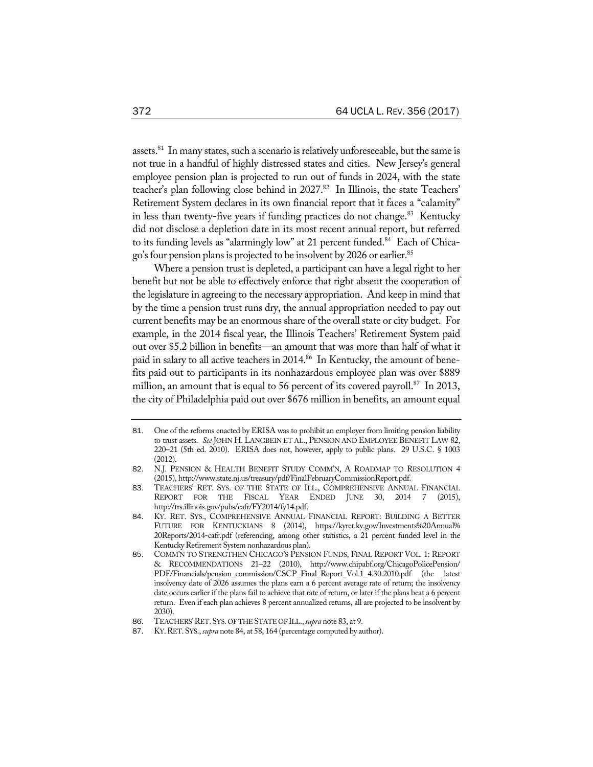assets.<sup>81</sup> In many states, such a scenario is relatively unforeseeable, but the same is not true in a handful of highly distressed states and cities. New Jersey's general employee pension plan is projected to run out of funds in 2024, with the state teacher's plan following close behind in 2027.82 In Illinois, the state Teachers' Retirement System declares in its own financial report that it faces a "calamity" in less than twenty-five years if funding practices do not change.<sup>83</sup> Kentucky did not disclose a depletion date in its most recent annual report, but referred to its funding levels as "alarmingly low" at 21 percent funded.<sup>84</sup> Each of Chicago's four pension plans is projected to be insolvent by 2026 or earlier.<sup>85</sup>

Where a pension trust is depleted, a participant can have a legal right to her benefit but not be able to effectively enforce that right absent the cooperation of the legislature in agreeing to the necessary appropriation. And keep in mind that by the time a pension trust runs dry, the annual appropriation needed to pay out current benefits may be an enormous share of the overall state or city budget. For example, in the 2014 fiscal year, the Illinois Teachers' Retirement System paid out over \$5.2 billion in benefits—an amount that was more than half of what it paid in salary to all active teachers in 2014.<sup>86</sup> In Kentucky, the amount of benefits paid out to participants in its nonhazardous employee plan was over \$889 million, an amount that is equal to 56 percent of its covered payroll.<sup>87</sup> In 2013, the city of Philadelphia paid out over \$676 million in benefits, an amount equal

<sup>81</sup>. One of the reforms enacted by ERISA was to prohibit an employer from limiting pension liability to trust assets. *See* JOHN H. LANGBEIN ET AL., PENSION AND EMPLOYEE BENEFIT LAW 82, 220–21 (5th ed. 2010). ERISA does not, however, apply to public plans. 29 U.S.C. § 1003 (2012).

<sup>82</sup>. N.J. PENSION & HEALTH BENEFIT STUDY COMM'N, A ROADMAP TO RESOLUTION 4 (2015), http://www.state.nj.us/treasury/pdf/FinalFebruaryCommissionReport.pdf.

<sup>83</sup>. TEACHERS' RET. SYS. OF THE STATE OF ILL., COMPREHENSIVE ANNUAL FINANCIAL REPORT FOR THE FISCAL YEAR ENDED JUNE 30, 2014 7 (2015), http://trs.illinois.gov/pubs/cafr/FY2014/fy14.pdf.

<sup>84</sup>. KY. RET. SYS., COMPREHENSIVE ANNUAL FINANCIAL REPORT: BUILDING A BETTER FUTURE FOR KENTUCKIANS 8 (2014), https://kyret.ky.gov/Investments%20Annual% 20Reports/2014-cafr.pdf (referencing, among other statistics, a 21 percent funded level in the Kentucky Retirement System nonhazardous plan).

<sup>85</sup>. COMM'N TO STRENGTHEN CHICAGO'S PENSION FUNDS, FINAL REPORT VOL. 1: REPORT & RECOMMENDATIONS 21–22 (2010), http://www.chipabf.org/ChicagoPolicePension/ PDF/Financials/pension\_commission/CSCP\_Final\_Report\_Vol.1\_4.30.2010.pdf (the latest insolvency date of 2026 assumes the plans earn a 6 percent average rate of return; the insolvency date occurs earlier if the plans fail to achieve that rate of return, or later if the plans beat a 6 percent return. Even if each plan achieves 8 percent annualized returns, all are projected to be insolvent by 2030).

<sup>86</sup>. TEACHERS'RET.SYS. OF THESTATE OF ILL.,*supra* note 83, at 9.

<sup>87</sup>. KY.RET.SYS., *supra* note 84, at 58, 164 (percentage computed by author).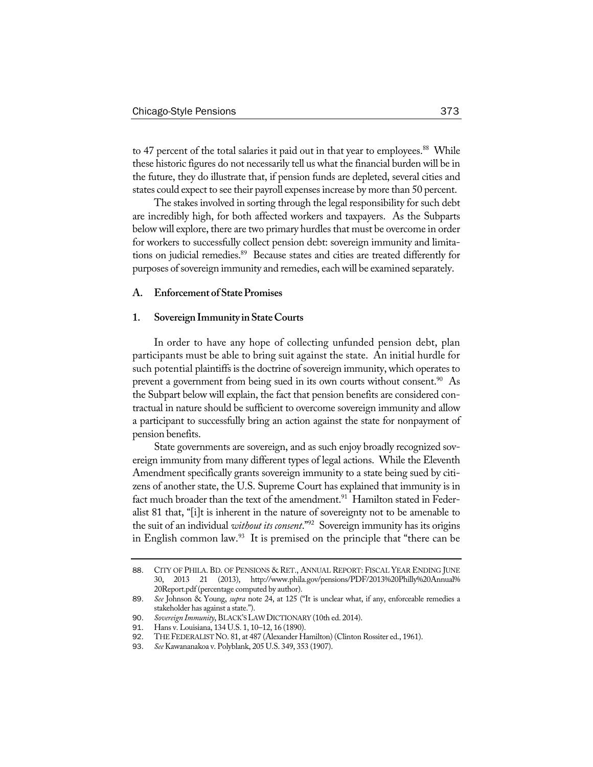to 47 percent of the total salaries it paid out in that year to employees.<sup>88</sup> While these historic figures do not necessarily tell us what the financial burden will be in the future, they do illustrate that, if pension funds are depleted, several cities and states could expect to see their payroll expensesincrease by more than 50 percent.

The stakes involved in sorting through the legal responsibility for such debt are incredibly high, for both affected workers and taxpayers. As the Subparts below will explore, there are two primary hurdles that must be overcome in order for workers to successfully collect pension debt: sovereign immunity and limitations on judicial remedies.<sup>89</sup> Because states and cities are treated differently for purposes of sovereign immunity and remedies, each will be examined separately.

# **A. Enforcement of StatePromises**

## **1. SovereignImmunity inStateCourts**

In order to have any hope of collecting unfunded pension debt, plan participants must be able to bring suit against the state. An initial hurdle for such potential plaintiffs is the doctrine of sovereign immunity, which operates to prevent a government from being sued in its own courts without consent.<sup>90</sup> As the Subpart below will explain, the fact that pension benefits are considered contractual in nature should be sufficient to overcome sovereign immunity and allow a participant to successfully bring an action against the state for nonpayment of pension benefits.

State governments are sovereign, and as such enjoy broadly recognized sovereign immunity from many different types of legal actions. While the Eleventh Amendment specifically grants sovereign immunity to a state being sued by citizens of another state, the U.S. Supreme Court has explained that immunity is in fact much broader than the text of the amendment.<sup>91</sup> Hamilton stated in Federalist 81 that, "[i]t is inherent in the nature of sovereignty not to be amenable to the suit of an individual *without its consent*."92 Sovereign immunity has its origins in English common law.<sup>93</sup> It is premised on the principle that "there can be

<sup>88</sup>. CITY OF PHILA. BD. OF PENSIONS & RET., ANNUAL REPORT: FISCAL YEAR ENDING JUNE 30, 2013 21 (2013), http://www.phila.gov/pensions/PDF/2013%20Philly%20Annual% 20Report.pdf (percentage computed by author).

<sup>89</sup>. *See* Johnson & Young, *supra* note 24, at 125 ("It is unclear what, if any, enforceable remedies a stakeholder has against a state.").

<sup>90</sup>. *Sovereign Immunity*, BLACK'SLAWDICTIONARY (10th ed. 2014).

<sup>91</sup>. Hans v. Louisiana, 134 U.S. 1, 10–12, 16 (1890).

<sup>92</sup>. THEFEDERALISTNO. 81, at 487 (Alexander Hamilton) (Clinton Rossiter ed., 1961).

<sup>93</sup>. *See* Kawananakoa v. Polyblank, 205 U.S. 349, 353 (1907).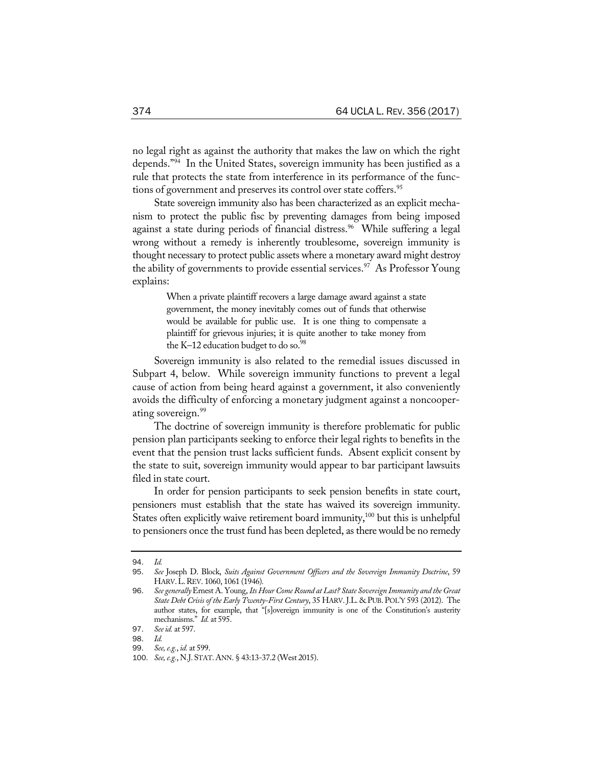no legal right as against the authority that makes the law on which the right depends."94 In the United States, sovereign immunity has been justified as a rule that protects the state from interference in its performance of the functions of government and preserves its control over state coffers.<sup>95</sup>

State sovereign immunity also has been characterized as an explicit mechanism to protect the public fisc by preventing damages from being imposed against a state during periods of financial distress.<sup>96</sup> While suffering a legal wrong without a remedy is inherently troublesome, sovereign immunity is thought necessary to protect public assets where a monetary award might destroy the ability of governments to provide essential services.<sup>97</sup> As Professor Young explains:

> When a private plaintiff recovers a large damage award against a state government, the money inevitably comes out of funds that otherwise would be available for public use. It is one thing to compensate a plaintiff for grievous injuries; it is quite another to take money from the K–12 education budget to do so. $98$

Sovereign immunity is also related to the remedial issues discussed in Subpart 4, below. While sovereign immunity functions to prevent a legal cause of action from being heard against a government, it also conveniently avoids the difficulty of enforcing a monetary judgment against a noncooperating sovereign.<sup>99</sup>

The doctrine of sovereign immunity is therefore problematic for public pension plan participants seeking to enforce their legal rights to benefits in the event that the pension trust lacks sufficient funds. Absent explicit consent by the state to suit, sovereign immunity would appear to bar participant lawsuits filed in state court.

In order for pension participants to seek pension benefits in state court, pensioners must establish that the state has waived its sovereign immunity. States often explicitly waive retirement board immunity,<sup>100</sup> but this is unhelpful to pensioners once the trust fund has been depleted, as there would be no remedy

<sup>94</sup>. *Id.*

<sup>95</sup>. *See* Joseph D. Block, *Suits Against Government Officers and the Sovereign Immunity Doctrine*, 59 HARV.L.REV. 1060, 1061 (1946)*.*

<sup>96</sup>. *See generally*Ernest A. Young, *Its HourComeRound at Last? State Sovereign Immunity and the Great State Debt Crisisof the Early Twenty-First Century*, 35 HARV.J.L. & PUB. POL'Y 593 (2012). The author states, for example, that "[s]overeign immunity is one of the Constitution's austerity mechanisms." *Id.* at 595.

<sup>97</sup>. *Seeid.* at 597.

<sup>98</sup>. *Id.*

<sup>99</sup>. *See,e.g.*, *id.* at 599.

<sup>100</sup>. *See,e.g.*, N.J.STAT.ANN. § 43:13-37.2 (West 2015).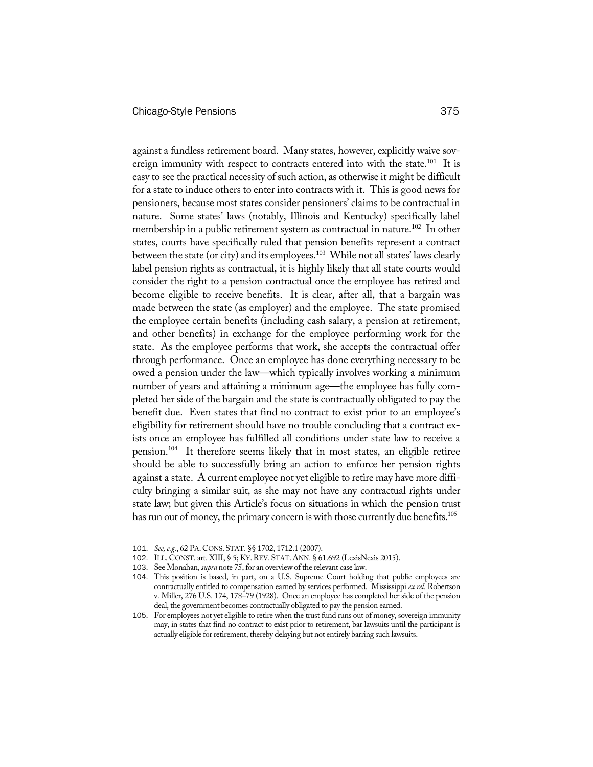against a fundless retirement board. Many states, however, explicitly waive sovereign immunity with respect to contracts entered into with the state.<sup>101</sup> It is easy to see the practical necessity of such action, as otherwise it might be difficult for a state to induce others to enter into contracts with it. This is good news for pensioners, because most states consider pensioners' claims to be contractual in nature. Some states' laws (notably, Illinois and Kentucky) specifically label membership in a public retirement system as contractual in nature.<sup>102</sup> In other states, courts have specifically ruled that pension benefits represent a contract between the state (or city) and its employees.<sup>103</sup> While not all states' laws clearly label pension rights as contractual, it is highly likely that all state courts would consider the right to a pension contractual once the employee has retired and become eligible to receive benefits. It is clear, after all, that a bargain was made between the state (as employer) and the employee. The state promised the employee certain benefits (including cash salary, a pension at retirement, and other benefits) in exchange for the employee performing work for the state. As the employee performs that work, she accepts the contractual offer through performance. Once an employee has done everything necessary to be owed a pension under the law—which typically involves working a minimum number of years and attaining a minimum age—the employee has fully completed her side of the bargain and the state is contractually obligated to pay the benefit due. Even states that find no contract to exist prior to an employee's eligibility for retirement should have no trouble concluding that a contract exists once an employee has fulfilled all conditions under state law to receive a pension.104 It therefore seems likely that in most states, an eligible retiree should be able to successfully bring an action to enforce her pension rights against a state. A current employee not yet eligible to retire may have more difficulty bringing a similar suit, as she may not have any contractual rights under state law; but given this Article's focus on situations in which the pension trust has run out of money, the primary concern is with those currently due benefits.<sup>105</sup>

<sup>101</sup>. *See,e.g.*, 62 PA.CONS.STAT. §§ 1702, 1712.1 (2007).

<sup>102</sup>. ILL. CONST. art. XIII, § 5; KY.REV.STAT.ANN. § 61.692 (LexisNexis 2015).

<sup>103</sup>. See Monahan, *supra* note 75, for an overview of the relevant case law.

<sup>104</sup>. This position is based, in part, on a U.S. Supreme Court holding that public employees are contractually entitled to compensation earned by services performed. Mississippi *ex rel.* Robertson v. Miller, 276 U.S. 174, 178–79 (1928). Once an employee has completed her side of the pension deal, the government becomes contractually obligated to pay the pension earned.

<sup>105</sup>. For employees not yet eligible to retire when the trust fund runs out of money, sovereign immunity may, in states that find no contract to exist prior to retirement, bar lawsuits until the participant is actually eligible for retirement, thereby delaying but not entirely barring such lawsuits.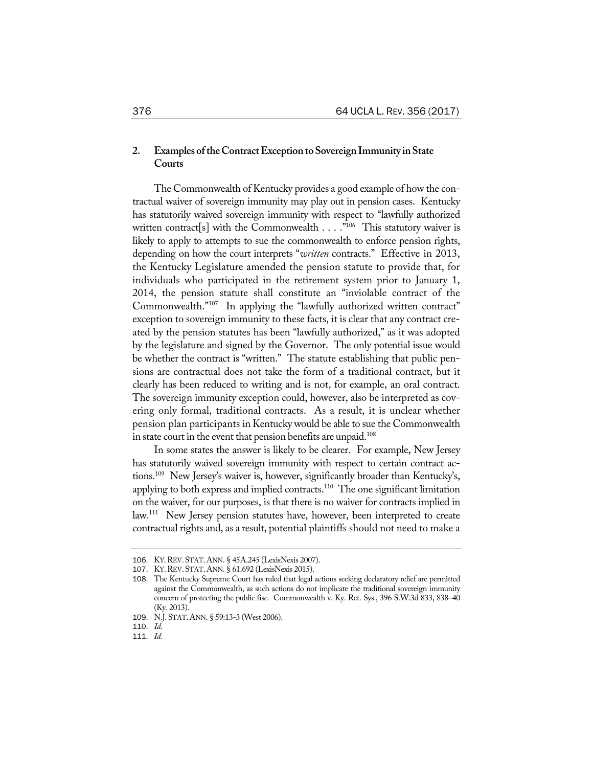# **2. Examples oftheContractExceptiontoSovereignImmunity inState Courts**

The Commonwealth of Kentucky provides a good example of how the contractual waiver of sovereign immunity may play out in pension cases. Kentucky has statutorily waived sovereign immunity with respect to "lawfully authorized written contract[s] with the Commonwealth  $\dots$ ."<sup>106</sup> This statutory waiver is likely to apply to attempts to sue the commonwealth to enforce pension rights, depending on how the court interprets "*written* contracts." Effective in 2013, the Kentucky Legislature amended the pension statute to provide that, for individuals who participated in the retirement system prior to January 1, 2014, the pension statute shall constitute an "inviolable contract of the Commonwealth."107 In applying the "lawfully authorized written contract" exception to sovereign immunity to these facts, it is clear that any contract created by the pension statutes has been "lawfully authorized," as it was adopted by the legislature and signed by the Governor. The only potential issue would be whether the contract is "written." The statute establishing that public pensions are contractual does not take the form of a traditional contract, but it clearly has been reduced to writing and is not, for example, an oral contract. The sovereign immunity exception could, however, also be interpreted as covering only formal, traditional contracts. As a result, it is unclear whether pension plan participants in Kentucky would be able to sue the Commonwealth in state court in the event that pension benefits are unpaid.<sup>108</sup>

In some states the answer is likely to be clearer. For example, New Jersey has statutorily waived sovereign immunity with respect to certain contract actions.109 New Jersey's waiver is, however, significantly broader than Kentucky's, applying to both express and implied contracts.<sup>110</sup> The one significant limitation on the waiver, for our purposes, is that there is no waiver for contracts implied in law.<sup>111</sup> New Jersey pension statutes have, however, been interpreted to create contractual rights and, as a result, potential plaintiffs should not need to make a

111. *Id.*

<sup>106</sup>. KY.REV.STAT.ANN. § 45A.245 (LexisNexis 2007).

<sup>107</sup>. KY.REV.STAT.ANN. § 61.692 (LexisNexis 2015).

<sup>108</sup>. The Kentucky Supreme Court has ruled that legal actions seeking declaratory relief are permitted against the Commonwealth, as such actions do not implicate the traditional sovereign immunity concern of protecting the public fisc. Commonwealth v. Ky. Ret. Sys., 396 S.W.3d 833, 838–40 (Ky. 2013).

<sup>109</sup>. N.J.STAT.ANN. § 59:13-3 (West 2006).

<sup>110</sup>. *Id.*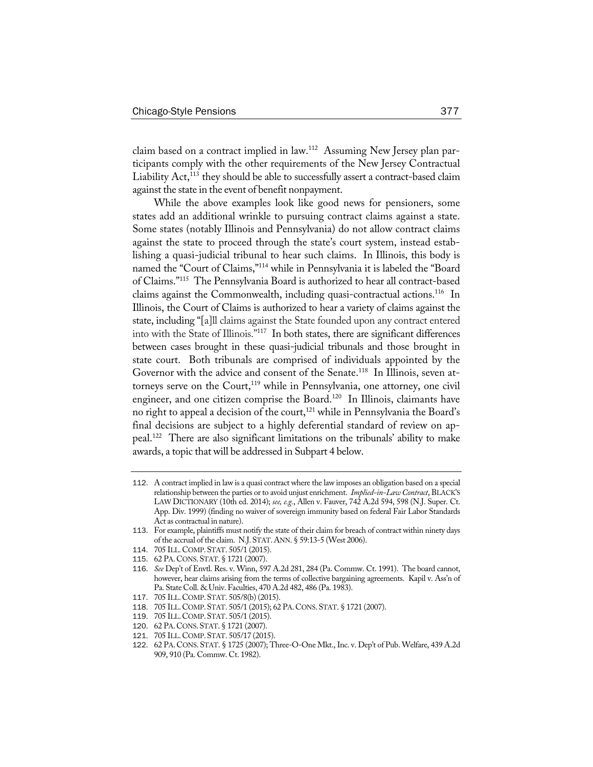claim based on a contract implied in law.112 Assuming New Jersey plan participants comply with the other requirements of the New Jersey Contractual Liability Act,<sup>113</sup> they should be able to successfully assert a contract-based claim against the state in the event of benefit nonpayment.

While the above examples look like good news for pensioners, some states add an additional wrinkle to pursuing contract claims against a state. Some states (notably Illinois and Pennsylvania) do not allow contract claims against the state to proceed through the state's court system, instead establishing a quasi-judicial tribunal to hear such claims. In Illinois, this body is named the "Court of Claims,"114 while in Pennsylvania it is labeled the "Board of Claims."115 The Pennsylvania Board is authorized to hear all contract-based claims against the Commonwealth, including quasi-contractual actions.<sup>116</sup> In Illinois, the Court of Claims is authorized to hear a variety of claims against the state, including "[a]ll claims against the State founded upon any contract entered into with the State of Illinois."117 In both states, there are significant differences between cases brought in these quasi-judicial tribunals and those brought in state court. Both tribunals are comprised of individuals appointed by the Governor with the advice and consent of the Senate.<sup>118</sup> In Illinois, seven attorneys serve on the Court,<sup>119</sup> while in Pennsylvania, one attorney, one civil engineer, and one citizen comprise the Board.<sup>120</sup> In Illinois, claimants have no right to appeal a decision of the court,<sup>121</sup> while in Pennsylvania the Board's final decisions are subject to a highly deferential standard of review on appeal.122 There are also significant limitations on the tribunals' ability to make awards, a topic that will be addressed in Subpart 4 below.

<sup>112</sup>. A contract implied in law is a quasi contract where the law imposes an obligation based on a special relationship between the parties or to avoid unjust enrichment. *Implied-in-Law Contract*, BLACK'S LAW DICTIONARY (10th ed. 2014); *see, e.g.*, Allen v. Fauver, 742 A.2d 594, 598 (N.J. Super. Ct. App. Div. 1999) (finding no waiver of sovereign immunity based on federal Fair Labor Standards Act as contractual in nature).

<sup>113</sup>. For example, plaintiffs must notify the state of their claim for breach of contract within ninety days of the accrual of the claim. N.J.STAT.ANN. § 59:13-5 (West 2006).

<sup>114</sup>. 705 ILL.COMP.STAT. 505/1 (2015).

<sup>115</sup>. 62 PA.CONS.STAT. § 1721 (2007).

<sup>116</sup>. *See* Dep't of Envtl. Res. v. Winn, 597 A.2d 281, 284 (Pa. Commw. Ct. 1991). The board cannot, however, hear claims arising from the terms of collective bargaining agreements. Kapil v. Ass'n of Pa. State Coll. & Univ. Faculties, 470 A.2d 482, 486 (Pa. 1983).

<sup>117</sup>. 705 ILL.COMP.STAT. 505/8(b) (2015).

<sup>118</sup>. 705 ILL.COMP.STAT. 505/1 (2015); 62 PA.CONS.STAT. § 1721 (2007).

<sup>119</sup>. 705 ILL.COMP.STAT. 505/1 (2015).

<sup>120</sup>. 62 PA.CONS.STAT. § 1721 (2007).

<sup>121</sup>. 705 ILL.COMP.STAT. 505/17 (2015).

<sup>122</sup>. 62 PA.CONS. STAT. § 1725 (2007); Three-O-One Mkt., Inc. v. Dep't of Pub. Welfare, 439 A.2d 909, 910 (Pa. Commw. Ct. 1982).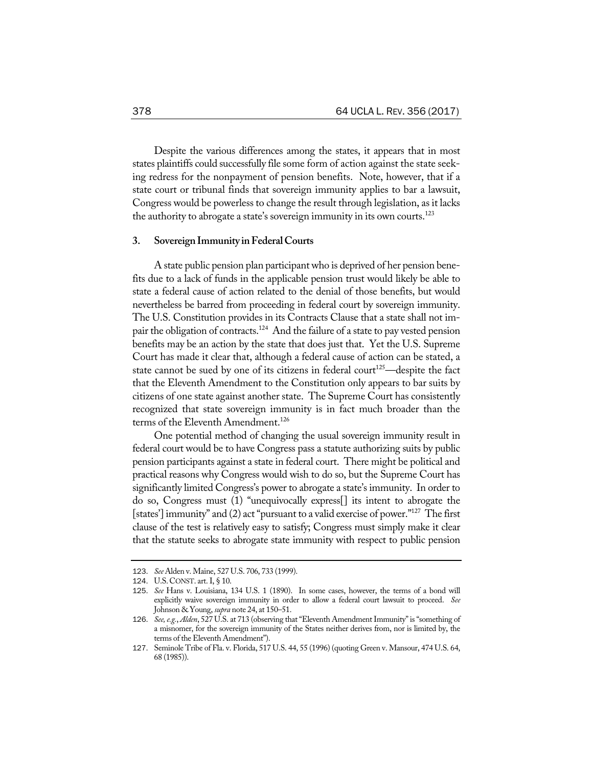Despite the various differences among the states, it appears that in most states plaintiffs could successfully file some form of action against the state seeking redress for the nonpayment of pension benefits. Note, however, that if a state court or tribunal finds that sovereign immunity applies to bar a lawsuit, Congress would be powerless to change the result through legislation, as it lacks the authority to abrogate a state's sovereign immunity in its own courts.<sup>123</sup>

#### **3. SovereignImmunity inFederalCourts**

A state public pension plan participant who is deprived of her pension benefits due to a lack of funds in the applicable pension trust would likely be able to state a federal cause of action related to the denial of those benefits, but would nevertheless be barred from proceeding in federal court by sovereign immunity. The U.S. Constitution provides in its Contracts Clause that a state shall not impair the obligation of contracts.<sup>124</sup> And the failure of a state to pay vested pension benefits may be an action by the state that does just that. Yet the U.S. Supreme Court has made it clear that, although a federal cause of action can be stated, a state cannot be sued by one of its citizens in federal court<sup>125</sup>—despite the fact that the Eleventh Amendment to the Constitution only appears to bar suits by citizens of one state against another state. The Supreme Court has consistently recognized that state sovereign immunity is in fact much broader than the terms of the Eleventh Amendment.<sup>126</sup>

One potential method of changing the usual sovereign immunity result in federal court would be to have Congress pass a statute authorizing suits by public pension participants against a state in federal court. There might be political and practical reasons why Congress would wish to do so, but the Supreme Court has significantly limited Congress's power to abrogate a state's immunity. In order to do so, Congress must (1) "unequivocally express[] its intent to abrogate the [states'] immunity" and (2) act "pursuant to a valid exercise of power."<sup>127</sup> The first clause of the test is relatively easy to satisfy; Congress must simply make it clear that the statute seeks to abrogate state immunity with respect to public pension

<sup>123</sup>. *See* Alden v. Maine, 527 U.S. 706, 733 (1999).

<sup>124</sup>. U.S.CONST. art.I, § 10.

<sup>125</sup>. *See* Hans v. Louisiana, 134 U.S. 1 (1890). In some cases, however, the terms of a bond will explicitly waive sovereign immunity in order to allow a federal court lawsuit to proceed. *See* Johnson & Young, *supra* note 24, at 150–51.

<sup>126</sup>. *See,e.g.*, *Alden*, 527 U.S. at 713 (observing that"Eleventh AmendmentImmunity"is "something of a misnomer, for the sovereign immunity of the States neither derives from, nor is limited by, the terms of the Eleventh Amendment").

<sup>127</sup>. Seminole Tribe of Fla. v. Florida, 517 U.S. 44, 55 (1996) (quoting Green v. Mansour, 474 U.S. 64, 68 (1985)).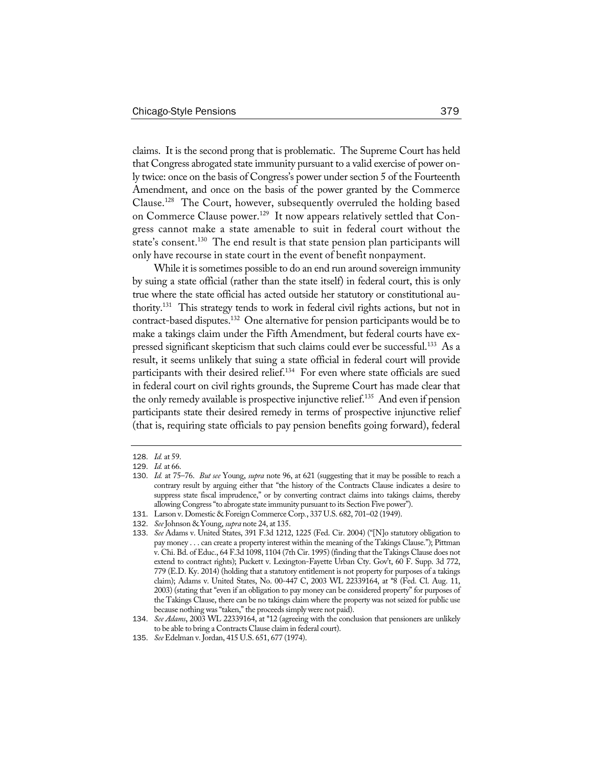claims. It is the second prong that is problematic. The Supreme Court has held that Congress abrogated state immunity pursuant to a valid exercise of power only twice: once on the basis of Congress's power under section 5 of the Fourteenth Amendment, and once on the basis of the power granted by the Commerce Clause.128 The Court, however, subsequently overruled the holding based on Commerce Clause power.<sup>129</sup> It now appears relatively settled that Congress cannot make a state amenable to suit in federal court without the state's consent.<sup>130</sup> The end result is that state pension plan participants will only have recourse in state court in the event of benefit nonpayment.

While it is sometimes possible to do an end run around sovereign immunity by suing a state official (rather than the state itself) in federal court, this is only true where the state official has acted outside her statutory or constitutional authority.131 This strategy tends to work in federal civil rights actions, but not in contract-based disputes.<sup>132</sup> One alternative for pension participants would be to make a takings claim under the Fifth Amendment, but federal courts have expressed significant skepticism that such claims could ever be successful.<sup>133</sup> As a result, it seems unlikely that suing a state official in federal court will provide participants with their desired relief.<sup>134</sup> For even where state officials are sued in federal court on civil rights grounds, the Supreme Court has made clear that the only remedy available is prospective injunctive relief.<sup>135</sup> And even if pension participants state their desired remedy in terms of prospective injunctive relief (that is, requiring state officials to pay pension benefits going forward), federal

132. *See*Johnson & Young, *supra* note 24, at 135.

<sup>128</sup>. *Id.* at 59.

<sup>129</sup>. *Id.* at 66.

<sup>130</sup>. *Id.* at 75–76. *But see* Young, *supra* note 96, at 621 (suggesting that it may be possible to reach a contrary result by arguing either that "the history of the Contracts Clause indicates a desire to suppress state fiscal imprudence," or by converting contract claims into takings claims, thereby allowing Congress"to abrogate state immunity pursuant to its Section Five power").

<sup>131</sup>. Larson v. Domestic & Foreign Commerce Corp*.*, 337 U.S. 682, 701–02 (1949).

<sup>133</sup>. *See* Adams v. United States, 391 F.3d 1212, 1225 (Fed. Cir. 2004) ("[N]o statutory obligation to pay money . . . can create a property interest within the meaning of the Takings Clause."); Pittman v. Chi. Bd. of Educ., 64 F.3d 1098, 1104 (7th Cir. 1995) (finding that the Takings Clause does not extend to contract rights); Puckett v. Lexington-Fayette Urban Cty. Gov't, 60 F. Supp. 3d 772, 779 (E.D. Ky. 2014) (holding that a statutory entitlement is not property for purposes of a takings claim); Adams v. United States, No. 00-447 C, 2003 WL 22339164, at \*8 (Fed. Cl. Aug. 11, 2003) (stating that "even if an obligation to pay money can be considered property" for purposes of the Takings Clause, there can be no takings claim where the property was not seized for public use because nothing was "taken," the proceeds simply were not paid).

<sup>134</sup>. *See Adams*, 2003 WL 22339164, at \*12 (agreeing with the conclusion that pensioners are unlikely to be able to bring a Contracts Clause claim in federal court).

<sup>135</sup>. *See*Edelman v. Jordan, 415 U.S. 651, 677 (1974).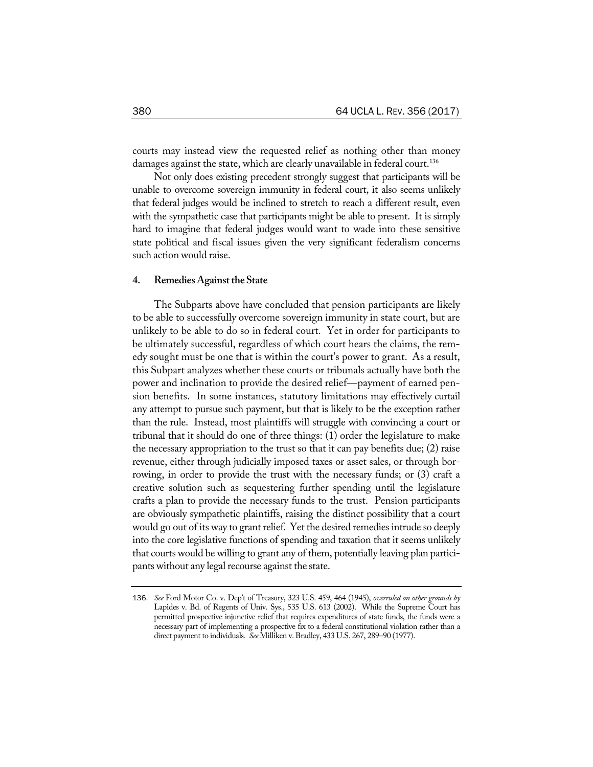courts may instead view the requested relief as nothing other than money damages against the state, which are clearly unavailable in federal court.<sup>136</sup>

Not only does existing precedent strongly suggest that participants will be unable to overcome sovereign immunity in federal court, it also seems unlikely that federal judges would be inclined to stretch to reach a different result, even with the sympathetic case that participants might be able to present. It is simply hard to imagine that federal judges would want to wade into these sensitive state political and fiscal issues given the very significant federalism concerns such action would raise.

#### **4. RemediesAgainsttheState**

The Subparts above have concluded that pension participants are likely to be able to successfully overcome sovereign immunity in state court, but are unlikely to be able to do so in federal court. Yet in order for participants to be ultimately successful, regardless of which court hears the claims, the remedy sought must be one that is within the court's power to grant. As a result, this Subpart analyzes whether these courts or tribunals actually have both the power and inclination to provide the desired relief—payment of earned pension benefits. In some instances, statutory limitations may effectively curtail any attempt to pursue such payment, but that is likely to be the exception rather than the rule. Instead, most plaintiffs will struggle with convincing a court or tribunal that it should do one of three things: (1) order the legislature to make the necessary appropriation to the trust so that it can pay benefits due; (2) raise revenue, either through judicially imposed taxes or asset sales, or through borrowing, in order to provide the trust with the necessary funds; or (3) craft a creative solution such as sequestering further spending until the legislature crafts a plan to provide the necessary funds to the trust. Pension participants are obviously sympathetic plaintiffs, raising the distinct possibility that a court would go out of its way to grant relief. Yet the desired remedies intrude so deeply into the core legislative functions of spending and taxation that it seems unlikely that courts would be willing to grant any of them, potentially leaving plan participants without any legal recourse against the state.

<sup>136</sup>. *See* Ford Motor Co. v. Dep't of Treasury, 323 U.S. 459, 464 (1945), *overruled on other grounds by* Lapides v. Bd. of Regents of Univ. Sys., 535 U.S. 613 (2002). While the Supreme Court has permitted prospective injunctive relief that requires expenditures of state funds, the funds were a necessary part of implementing a prospective fix to a federal constitutional violation rather than a direct payment to individuals. *See*Milliken v. Bradley, 433 U.S. 267, 289–90 (1977).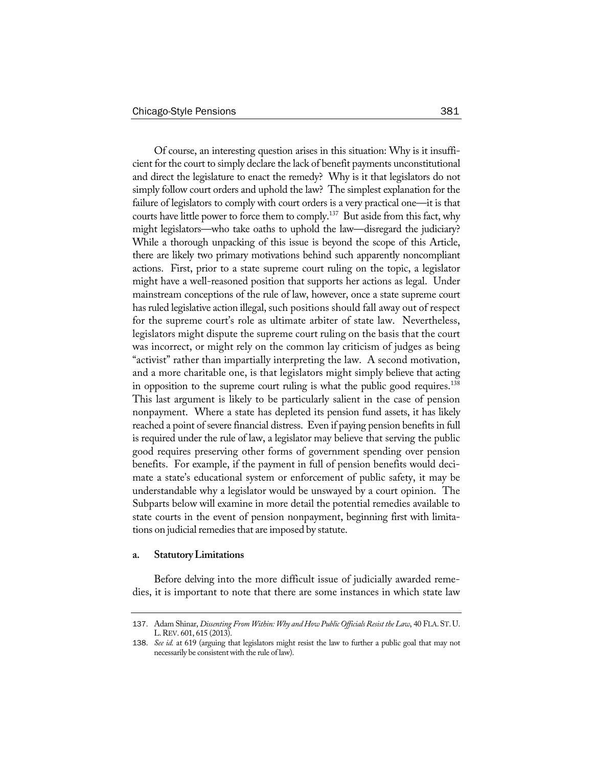Of course, an interesting question arises in this situation: Why is it insufficient for the court to simply declare the lack of benefit payments unconstitutional and direct the legislature to enact the remedy? Why is it that legislators do not simply follow court orders and uphold the law? The simplest explanation for the failure of legislators to comply with court orders is a very practical one—it is that courts have little power to force them to comply.<sup>137</sup> But aside from this fact, why might legislators—who take oaths to uphold the law—disregard the judiciary? While a thorough unpacking of this issue is beyond the scope of this Article, there are likely two primary motivations behind such apparently noncompliant actions. First, prior to a state supreme court ruling on the topic, a legislator might have a well-reasoned position that supports her actions as legal. Under mainstream conceptions of the rule of law, however, once a state supreme court has ruled legislative action illegal, such positions should fall away out of respect for the supreme court's role as ultimate arbiter of state law. Nevertheless, legislators might dispute the supreme court ruling on the basis that the court was incorrect, or might rely on the common lay criticism of judges as being "activist" rather than impartially interpreting the law. A second motivation, and a more charitable one, is that legislators might simply believe that acting in opposition to the supreme court ruling is what the public good requires.<sup>138</sup> This last argument is likely to be particularly salient in the case of pension nonpayment. Where a state has depleted its pension fund assets, it has likely reached a point of severe financial distress. Even if paying pension benefits in full is required under the rule of law, a legislator may believe that serving the public good requires preserving other forms of government spending over pension benefits. For example, if the payment in full of pension benefits would decimate a state's educational system or enforcement of public safety, it may be understandable why a legislator would be unswayed by a court opinion. The Subparts below will examine in more detail the potential remedies available to state courts in the event of pension nonpayment, beginning first with limitations on judicial remedies that are imposed by statute.

#### **a. StatutoryLimitations**

Before delving into the more difficult issue of judicially awarded remedies, it is important to note that there are some instances in which state law

<sup>137</sup>. Adam Shinar, *Dissenting From Within: Why and How Public OfficialsResist the Law*, 40 FLA.ST.U. L.REV. 601, 615 (2013).

<sup>138</sup>. *See id.* at 619 (arguing that legislators might resist the law to further a public goal that may not necessarily be consistent with the rule of law).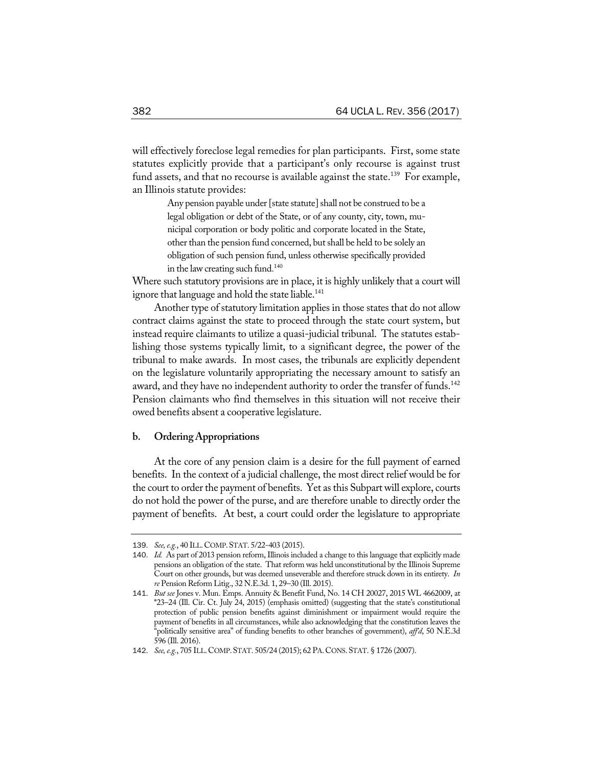will effectively foreclose legal remedies for plan participants. First, some state statutes explicitly provide that a participant's only recourse is against trust fund assets, and that no recourse is available against the state.<sup>139</sup> For example, an Illinois statute provides:

> Any pension payable under [state statute] shall not be construed to be a legal obligation or debt of the State, or of any county, city, town, municipal corporation or body politic and corporate located in the State, other than the pension fund concerned, butshall be held to be solely an obligation of such pension fund, unless otherwise specifically provided in the lawcreating such fund. 140

Where such statutory provisions are in place, it is highly unlikely that a court will ignore that language and hold the state liable.<sup>141</sup>

Another type of statutory limitation applies in those states that do not allow contract claims against the state to proceed through the state court system, but instead require claimants to utilize a quasi-judicial tribunal. The statutes establishing those systems typically limit, to a significant degree, the power of the tribunal to make awards. In most cases, the tribunals are explicitly dependent on the legislature voluntarily appropriating the necessary amount to satisfy an award, and they have no independent authority to order the transfer of funds.<sup>142</sup> Pension claimants who find themselves in this situation will not receive their owed benefits absent a cooperative legislature.

## **b. OrderingAppropriations**

At the core of any pension claim is a desire for the full payment of earned benefits. In the context of a judicial challenge, the most direct relief would be for the court to order the payment of benefits. Yet as this Subpart will explore, courts do not hold the power of the purse, and are therefore unable to directly order the payment of benefits. At best, a court could order the legislature to appropriate

<sup>139</sup>. *See,e.g.*, 40 ILL.COMP.STAT. 5/22-403 (2015).

<sup>140</sup>. *Id.* As part of 2013 pension reform, Illinois included a change to this language that explicitly made pensions an obligation of the state. That reform was held unconstitutional by the Illinois Supreme Court on other grounds, but was deemed unseverable and therefore struck down in its entirety. *In re* Pension Reform Litig., 32 N.E.3d. 1, 29–30 (Ill. 2015).

<sup>141</sup>. *But see* Jones v. Mun. Emps. Annuity & Benefit Fund, No. 14 CH 20027, 2015 WL 4662009, at \*23–24 (Ill. Cir. Ct. July 24, 2015) (emphasis omitted) (suggesting that the state's constitutional protection of public pension benefits against diminishment or impairment would require the payment of benefits in all circumstances, while also acknowledging that the constitution leaves the "politically sensitive area" of funding benefits to other branches of government), *aff'd*, 50 N.E.3d 596 (Ill. 2016).

<sup>142</sup>. *See,e.g.*, 705 ILL.COMP.STAT. 505/24 (2015); 62 PA.CONS.STAT. § 1726 (2007).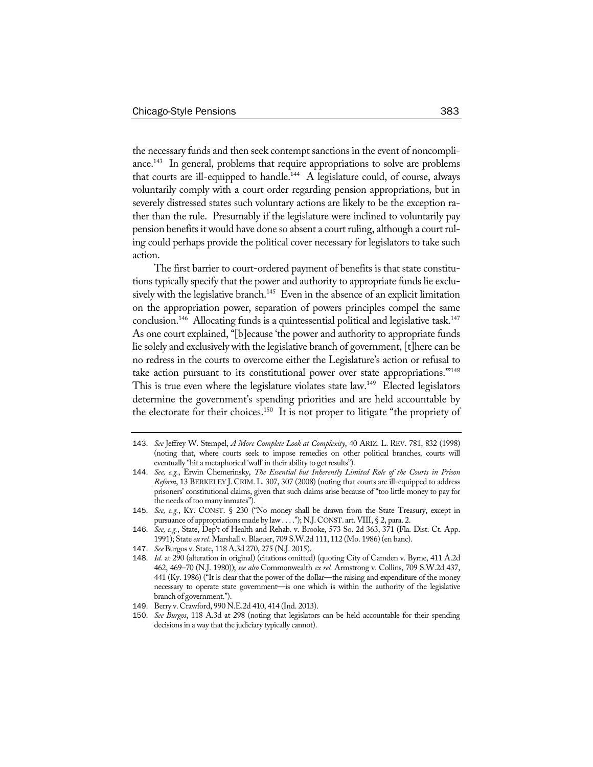the necessary funds and then seek contempt sanctions in the event of noncompliance.<sup>143</sup> In general, problems that require appropriations to solve are problems that courts are ill-equipped to handle.<sup>144</sup> A legislature could, of course, always voluntarily comply with a court order regarding pension appropriations, but in severely distressed states such voluntary actions are likely to be the exception rather than the rule. Presumably if the legislature were inclined to voluntarily pay pension benefits it would have done so absent a court ruling, although a court ruling could perhaps provide the political cover necessary for legislators to take such action.

The first barrier to court-ordered payment of benefits is that state constitutions typically specify that the power and authority to appropriate funds lie exclusively with the legislative branch.<sup>145</sup> Even in the absence of an explicit limitation on the appropriation power, separation of powers principles compel the same conclusion.<sup>146</sup> Allocating funds is a quintessential political and legislative task.<sup>147</sup> As one court explained, "[b]ecause 'the power and authority to appropriate funds lie solely and exclusively with the legislative branch of government, [t]here can be no redress in the courts to overcome either the Legislature's action or refusal to take action pursuant to its constitutional power over state appropriations."<sup>148</sup> This is true even where the legislature violates state law.<sup>149</sup> Elected legislators determine the government's spending priorities and are held accountable by the electorate for their choices.<sup>150</sup> It is not proper to litigate "the propriety of

- 144. *See, e.g.*, Erwin Chemerinsky, *The Essential but Inherently Limited Role of the Courts in Prison Reform*, 13 BERKELEY J. CRIM. L. 307, 307 (2008) (noting that courts are ill-equipped to address prisoners' constitutional claims, given that such claims arise because of "too little money to pay for the needs of too many inmates").
- 145. *See, e.g.*, KY. CONST. § 230 ("No money shall be drawn from the State Treasury, except in pursuance of appropriations made by law . . . ."); N.J.CONST. art. VIII, § 2, para. 2.
- 146. *See, e.g.*, State, Dep't of Health and Rehab. v. Brooke, 573 So. 2d 363, 371 (Fla. Dist. Ct. App. 1991); State *ex rel.* Marshall v. Blaeuer, 709 S.W.2d 111, 112 (Mo. 1986) (en banc).
- 147. *See*Burgos v. State, 118 A.3d 270, 275 (N.J. 2015).
- 148. *Id.* at 290 (alteration in original) (citations omitted) (quoting City of Camden v. Byrne, 411 A.2d 462, 469–70 (N.J. 1980)); *see also* Commonwealth *ex rel.* Armstrong v. Collins, 709 S.W.2d 437, 441 (Ky. 1986) ("It is clear that the power of the dollar—the raising and expenditure of the money necessary to operate state government—is one which is within the authority of the legislative branch of government.").
- 149. Berry v. Crawford, 990 N.E.2d 410, 414 (Ind. 2013).
- 150. *See Burgos*, 118 A.3d at 298 (noting that legislators can be held accountable for their spending decisions in a way that the judiciary typically cannot).

<sup>143</sup>. *See* Jeffrey W. Stempel, *A More Complete Look at Complexity*, 40 ARIZ. L. REV. 781, 832 (1998) (noting that, where courts seek to impose remedies on other political branches, courts will eventually "hit a metaphorical 'wall' in their ability to get results").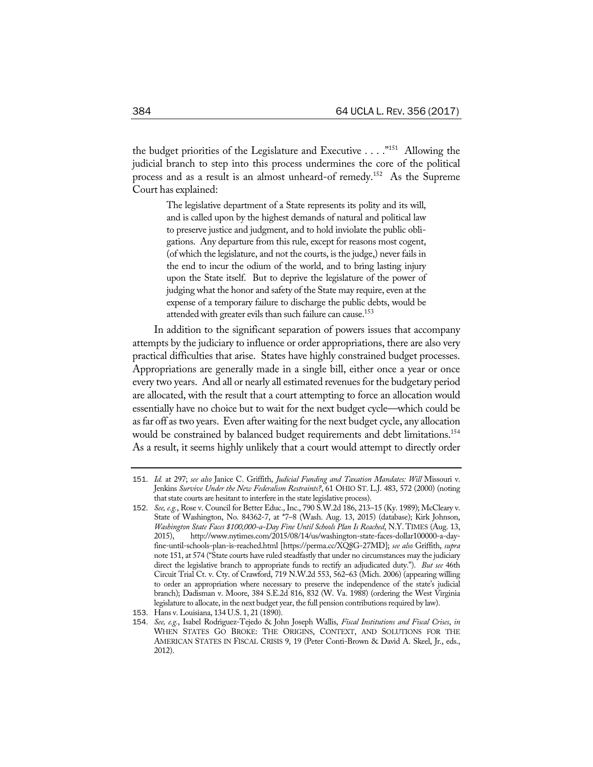the budget priorities of the Legislature and Executive . . . ."151 Allowing the judicial branch to step into this process undermines the core of the political process and as a result is an almost unheard-of remedy.152 As the Supreme Court has explained:

> The legislative department of a State represents its polity and its will, and is called upon by the highest demands of natural and political law to preserve justice and judgment, and to hold inviolate the public obligations. Any departure from this rule, except for reasons most cogent, (of which the legislature, and not the courts, is the judge,) never fails in the end to incur the odium of the world, and to bring lasting injury upon the State itself. But to deprive the legislature of the power of judging what the honor and safety of the State may require, even at the expense of a temporary failure to discharge the public debts, would be attended with greater evils than such failure can cause.<sup>153</sup>

In addition to the significant separation of powers issues that accompany attempts by the judiciary to influence or order appropriations, there are also very practical difficulties that arise. States have highly constrained budget processes. Appropriations are generally made in a single bill, either once a year or once every two years. And all or nearly all estimated revenues for the budgetary period are allocated, with the result that a court attempting to force an allocation would essentially have no choice but to wait for the next budget cycle—which could be asfar off astwo years. Even after waiting for the next budget cycle, any allocation would be constrained by balanced budget requirements and debt limitations.<sup>154</sup> As a result, it seems highly unlikely that a court would attempt to directly order

<sup>151</sup>. *Id.* at 297; *see also* Janice C. Griffith, *Judicial Funding and Taxation Mandates: Will* Missouri v. Jenkins *Survive Under the New Federalism Restraints?*, 61 OHIO ST. L.J. 483, 572 (2000) (noting that state courts are hesitant to interfere in the state legislative process).

<sup>152</sup>. *See, e.g.*, Rose v. Council for Better Educ., Inc., 790 S.W.2d 186, 213–15 (Ky. 1989); McCleary v. State of Washington, No. 84362-7, at \*7–8 (Wash. Aug. 13, 2015) (database); Kirk Johnson, *Washington State Faces \$100,000-a-Day Fine Until Schools Plan Is Reached*, N.Y. TIMES (Aug. 13, 2015), http://www.nytimes.com/2015/08/14/us/washington-state-faces-dollar100000-a-dayfine-until-schools-plan-is-reached.html [https://perma.cc/XQ8G-27MD]; *see also* Griffith, *supra* note 151, at 574 ("State courts have ruled steadfastly that under no circumstances may the judiciary direct the legislative branch to appropriate funds to rectify an adjudicated duty."). *But see* 46th Circuit Trial Ct. v. Cty. of Crawford, 719 N.W.2d 553, 562–63 (Mich. 2006) (appearing willing to order an appropriation where necessary to preserve the independence of the state's judicial branch); Dadisman v. Moore, 384 S.E.2d 816, 832 (W. Va. 1988) (ordering the West Virginia legislature to allocate, in the next budget year, the full pension contributions required by law).

<sup>153</sup>. Hans v. Louisiana, 134 U.S. 1, 21 (1890).

<sup>154</sup>. *See, e.g.*, Isabel Rodriguez-Tejedo & John Joseph Wallis, *Fiscal Institutions and Fiscal Crises*, *in* WHEN STATES GO BROKE: THE ORIGINS, CONTEXT, AND SOLUTIONS FOR THE AMERICAN STATES IN FISCAL CRISIS 9, 19 (Peter Conti-Brown & David A. Skeel, Jr., eds., 2012).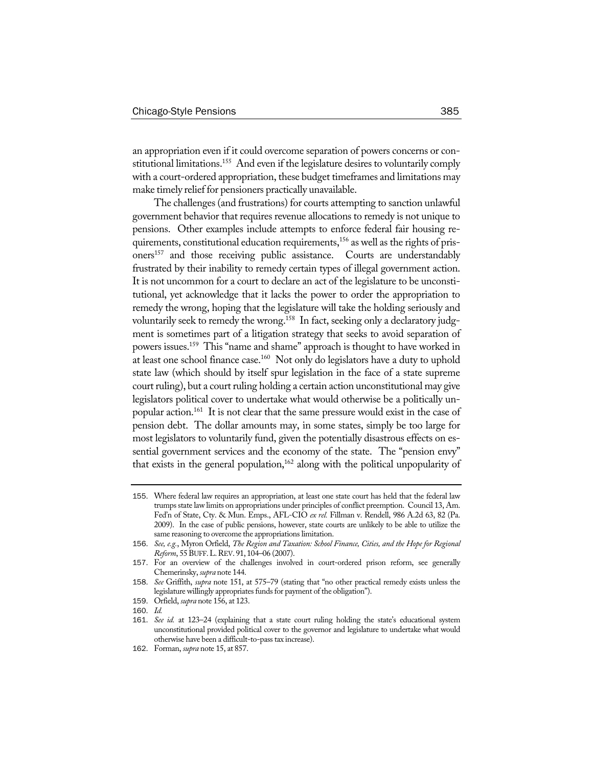an appropriation even if it could overcome separation of powers concerns or constitutional limitations.<sup>155</sup> And even if the legislature desires to voluntarily comply with a court-ordered appropriation, these budget timeframes and limitations may make timely relief for pensioners practically unavailable.

The challenges (and frustrations) for courts attempting to sanction unlawful government behavior that requires revenue allocations to remedy is not unique to pensions. Other examples include attempts to enforce federal fair housing requirements, constitutional education requirements,<sup>156</sup> as well as the rights of prisoners<sup>157</sup> and those receiving public assistance. Courts are understandably frustrated by their inability to remedy certain types of illegal government action. It is not uncommon for a court to declare an act of the legislature to be unconstitutional, yet acknowledge that it lacks the power to order the appropriation to remedy the wrong, hoping that the legislature will take the holding seriously and voluntarily seek to remedy the wrong.<sup>158</sup> In fact, seeking only a declaratory judgment is sometimes part of a litigation strategy that seeks to avoid separation of powers issues.159 This "name and shame" approach is thought to have worked in at least one school finance case.<sup>160</sup> Not only do legislators have a duty to uphold state law (which should by itself spur legislation in the face of a state supreme court ruling), but a court ruling holding a certain action unconstitutional may give legislators political cover to undertake what would otherwise be a politically unpopular action.161 It is not clear that the same pressure would exist in the case of pension debt. The dollar amounts may, in some states, simply be too large for most legislators to voluntarily fund, given the potentially disastrous effects on essential government services and the economy of the state. The "pension envy" that exists in the general population, $162$  along with the political unpopularity of

<sup>155</sup>. Where federal law requires an appropriation, at least one state court has held that the federal law trumps state law limits on appropriations under principles of conflict preemption. Council 13, Am. Fed'n of State, Cty. & Mun. Emps., AFL-CIO *ex rel.* Fillman v. Rendell, 986 A.2d 63, 82 (Pa. 2009). In the case of public pensions, however, state courts are unlikely to be able to utilize the same reasoning to overcome the appropriations limitation.

<sup>156</sup>. *See, e.g.*, Myron Orfield, *The Region and Taxation: School Finance, Cities, and the Hope for Regional Reform*, 55BUFF.L.REV. 91, 104–06 (2007).

<sup>157</sup>. For an overview of the challenges involved in court-ordered prison reform, see generally Chemerinsky, *supra* note 144.

<sup>158</sup>. *See* Griffith, *supra* note 151, at 575–79 (stating that "no other practical remedy exists unless the legislature willingly appropriates funds for payment of the obligation").

<sup>159</sup>. Orfield, *supra* note 156, at 123.

<sup>160</sup>. *Id.*

<sup>161</sup>. *See id.* at 123–24 (explaining that a state court ruling holding the state's educational system unconstitutional provided political cover to the governor and legislature to undertake what would otherwise have been a difficult-to-passtax increase).

<sup>162</sup>. Forman, *supra* note 15, at 857.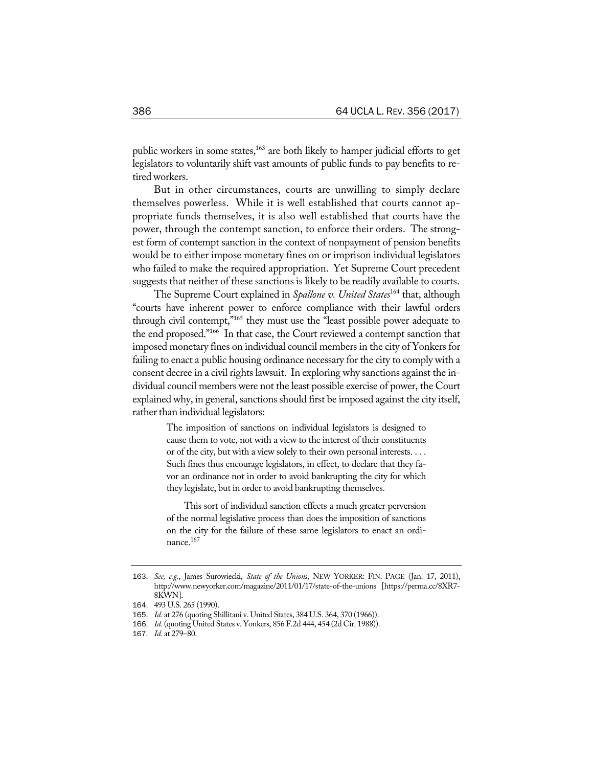public workers in some states,<sup>163</sup> are both likely to hamper judicial efforts to get legislators to voluntarily shift vast amounts of public funds to pay benefits to retired workers.

But in other circumstances, courts are unwilling to simply declare themselves powerless. While it is well established that courts cannot appropriate funds themselves, it is also well established that courts have the power, through the contempt sanction, to enforce their orders. The strongest form of contempt sanction in the context of nonpayment of pension benefits would be to either impose monetary fines on or imprison individual legislators who failed to make the required appropriation. Yet Supreme Court precedent suggests that neither of these sanctions is likely to be readily available to courts.

The Supreme Court explained in *Spallone v. United States*<sup>164</sup> that, although "courts have inherent power to enforce compliance with their lawful orders through civil contempt,"165 they must use the "least possible power adequate to the end proposed."166 In that case, the Court reviewed a contempt sanction that imposed monetary fines on individual council members in the city of Yonkers for failing to enact a public housing ordinance necessary for the city to comply with a consent decree in a civil rights lawsuit. In exploring why sanctions against the individual council members were not the least possible exercise of power, the Court explained why, in general, sanctions should first be imposed against the city itself, rather than individual legislators:

> The imposition of sanctions on individual legislators is designed to cause them to vote, not with a view to the interest of their constituents or of the city, but with a view solely to their own personal interests. . . . Such fines thus encourage legislators, in effect, to declare that they favor an ordinance not in order to avoid bankrupting the city for which they legislate, but in order to avoid bankrupting themselves.

> This sort of individual sanction effects a much greater perversion of the normal legislative process than does the imposition of sanctions on the city for the failure of these same legislators to enact an ordinance.<sup>167</sup>

<sup>163</sup>. *See, e.g.*, James Surowiecki, *State of the Unions*, NEW YORKER: FIN. PAGE (Jan. 17, 2011), http://www.newyorker.com/magazine/2011/01/17/state-of-the-unions [https://perma.cc/8XR7- 8KWN].

<sup>164</sup>. 493 U.S. 265 (1990).

<sup>165</sup>. *Id.* at 276 (quoting Shillitani v. United States, 384 U.S. 364, 370 (1966)).

<sup>166</sup>. *Id.* (quoting United States v. Yonkers, 856 F.2d 444, 454 (2d Cir. 1988)).

<sup>167</sup>. *Id.* at 279–80.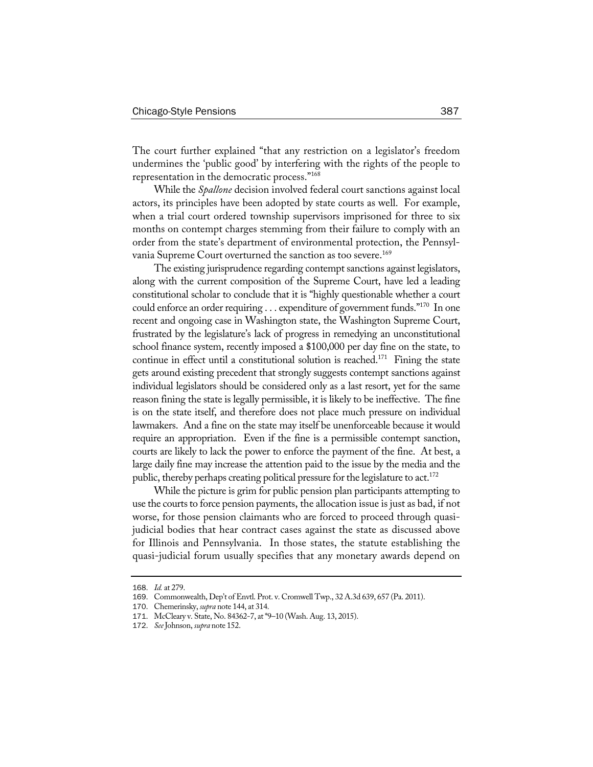The court further explained "that any restriction on a legislator's freedom undermines the 'public good' by interfering with the rights of the people to representation in the democratic process."168

While the *Spallone* decision involved federal court sanctions against local actors, its principles have been adopted by state courts as well. For example, when a trial court ordered township supervisors imprisoned for three to six months on contempt charges stemming from their failure to comply with an order from the state's department of environmental protection, the Pennsylvania Supreme Court overturned the sanction as too severe.<sup>169</sup>

The existing jurisprudence regarding contempt sanctions against legislators, along with the current composition of the Supreme Court, have led a leading constitutional scholar to conclude that it is "highly questionable whether a court could enforce an order requiring . . . expenditure of government funds."170 In one recent and ongoing case in Washington state, the Washington Supreme Court, frustrated by the legislature's lack of progress in remedying an unconstitutional school finance system, recently imposed a \$100,000 per day fine on the state, to continue in effect until a constitutional solution is reached.<sup>171</sup> Fining the state gets around existing precedent that strongly suggests contempt sanctions against individual legislators should be considered only as a last resort, yet for the same reason fining the state is legally permissible, it is likely to be ineffective. The fine is on the state itself, and therefore does not place much pressure on individual lawmakers. And a fine on the state may itself be unenforceable because it would require an appropriation. Even if the fine is a permissible contempt sanction, courts are likely to lack the power to enforce the payment of the fine. At best, a large daily fine may increase the attention paid to the issue by the media and the public, thereby perhaps creating political pressure for the legislature to act.<sup>172</sup>

While the picture is grim for public pension plan participants attempting to use the courts to force pension payments, the allocation issue is just as bad, if not worse, for those pension claimants who are forced to proceed through quasijudicial bodies that hear contract cases against the state as discussed above for Illinois and Pennsylvania. In those states, the statute establishing the quasi-judicial forum usually specifies that any monetary awards depend on

<sup>168</sup>. *Id.* at 279.

<sup>169</sup>. Commonwealth, Dep't of Envtl. Prot. v. Cromwell Twp., 32 A.3d 639, 657 (Pa. 2011).

<sup>170</sup>. Chemerinsky, *supra* note 144, at 314.

<sup>171</sup>. McCleary v. State, No. 84362-7, at \*9–10 (Wash. Aug. 13, 2015).

<sup>172</sup>. *See*Johnson, *supra* note 152.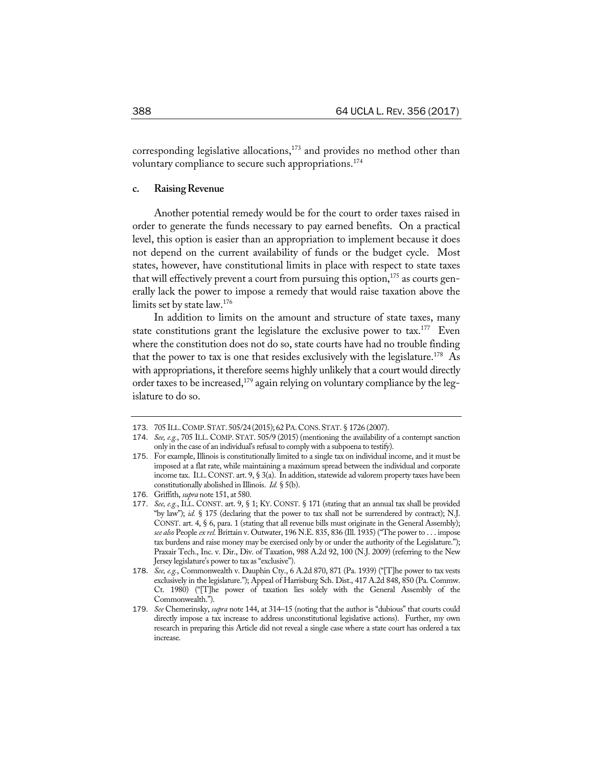corresponding legislative allocations,<sup>173</sup> and provides no method other than voluntary compliance to secure such appropriations.<sup>174</sup>

## **c. RaisingRevenue**

Another potential remedy would be for the court to order taxes raised in order to generate the funds necessary to pay earned benefits. On a practical level, this option is easier than an appropriation to implement because it does not depend on the current availability of funds or the budget cycle. Most states, however, have constitutional limits in place with respect to state taxes that will effectively prevent a court from pursuing this option,  $175$  as courts generally lack the power to impose a remedy that would raise taxation above the limits set by state law.176

In addition to limits on the amount and structure of state taxes, many state constitutions grant the legislature the exclusive power to  $\text{tax.}^{177}$  Even where the constitution does not do so, state courts have had no trouble finding that the power to tax is one that resides exclusively with the legislature.<sup>178</sup> As with appropriations, it therefore seems highly unlikely that a court would directly order taxes to be increased,<sup>179</sup> again relying on voluntary compliance by the legislature to do so.

<sup>173</sup>. 705 ILL.COMP.STAT. 505/24 (2015); 62 PA.CONS.STAT. § 1726 (2007).

<sup>174</sup>. *See, e.g.*, 705 ILL. COMP. STAT. 505/9 (2015) (mentioning the availability of a contempt sanction only in the case of an individual's refusal to comply with a subpoena to testify).

<sup>175</sup>. For example, Illinois is constitutionally limited to a single tax on individual income, and it must be imposed at a flat rate, while maintaining a maximum spread between the individual and corporate income tax. ILL.CONST. art. 9, § 3(a). In addition, statewide ad valorem property taxes have been constitutionally abolished in Illinois. *Id.* § 5(b).

<sup>176</sup>. Griffith, *supra* note 151, at 580.

<sup>177</sup>. *See, e.g.*, ILL. CONST. art. 9, § 1; KY. CONST. § 171 (stating that an annual tax shall be provided "by law"); *id.* § 175 (declaring that the power to tax shall not be surrendered by contract); N.J. CONST. art. 4, § 6, para. 1 (stating that all revenue bills must originate in the General Assembly); *see also* People *ex rel.* Brittain v. Outwater, 196 N.E. 835, 836 (Ill. 1935) ("The power to . . . impose tax burdens and raise money may be exercised only by or under the authority of the Legislature."); Praxair Tech., Inc. v. Dir., Div. of Taxation, 988 A.2d 92, 100 (N.J. 2009) (referring to the New Jersey legislature's power to tax as"exclusive").

<sup>178</sup>. *See, e.g.*, Commonwealth v. Dauphin Cty., 6 A.2d 870, 871 (Pa. 1939) ("[T]he power to tax vests exclusively in the legislature."); Appeal of Harrisburg Sch. Dist., 417 A.2d 848, 850 (Pa. Commw. Ct. 1980) ("[T]he power of taxation lies solely with the General Assembly of the Commonwealth.").

<sup>179</sup>. *See* Chemerinsky, *supra* note 144, at 314–15 (noting that the author is "dubious" that courts could directly impose a tax increase to address unconstitutional legislative actions). Further, my own research in preparing this Article did not reveal a single case where a state court has ordered a tax increase.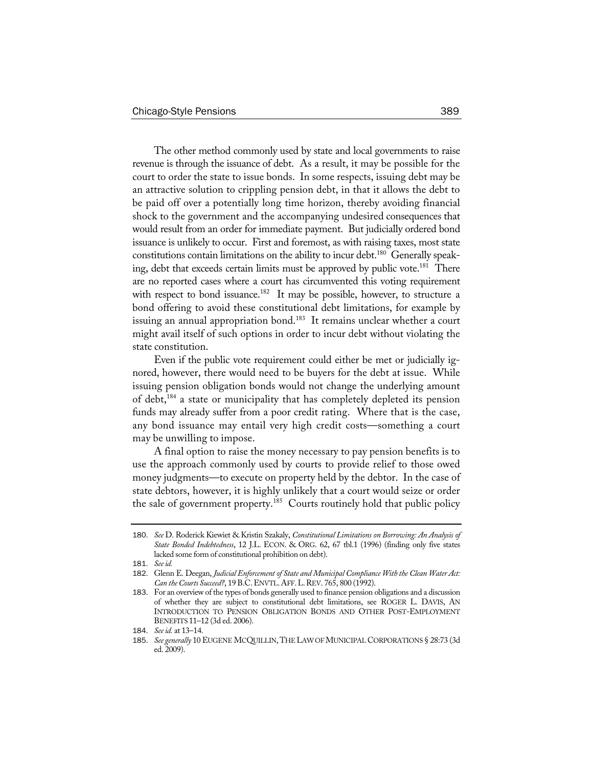The other method commonly used by state and local governments to raise revenue is through the issuance of debt. As a result, it may be possible for the court to order the state to issue bonds. In some respects, issuing debt may be an attractive solution to crippling pension debt, in that it allows the debt to be paid off over a potentially long time horizon, thereby avoiding financial shock to the government and the accompanying undesired consequences that would result from an order for immediate payment. But judicially ordered bond issuance is unlikely to occur. First and foremost, as with raising taxes, most state constitutions contain limitations on the ability to incur debt.<sup>180</sup> Generally speaking, debt that exceeds certain limits must be approved by public vote.<sup>181</sup> There are no reported cases where a court has circumvented this voting requirement with respect to bond issuance.<sup>182</sup> It may be possible, however, to structure a bond offering to avoid these constitutional debt limitations, for example by issuing an annual appropriation bond.<sup>183</sup> It remains unclear whether a court might avail itself of such options in order to incur debt without violating the state constitution.

Even if the public vote requirement could either be met or judicially ignored, however, there would need to be buyers for the debt at issue. While issuing pension obligation bonds would not change the underlying amount of debt,184 a state or municipality that has completely depleted its pension funds may already suffer from a poor credit rating. Where that is the case, any bond issuance may entail very high credit costs—something a court may be unwilling to impose.

A final option to raise the money necessary to pay pension benefits is to use the approach commonly used by courts to provide relief to those owed money judgments—to execute on property held by the debtor. In the case of state debtors, however, it is highly unlikely that a court would seize or order the sale of government property.<sup>185</sup> Courts routinely hold that public policy

<sup>180</sup>. *See* D. Roderick Kiewiet & Kristin Szakaly, *Constitutional Limitations on Borrowing: An Analysis of State Bonded Indebtedness*, 12 J.L. ECON. & ORG. 62, 67 tbl.1 (1996) (finding only five states lacked some form of constitutional prohibition on debt).

<sup>181</sup>. *Seeid.*

<sup>182</sup>. Glenn E. Deegan, *Judicial Enforcementof State and Municipal Compliance With the Clean Water Act: Can theCourts Succeed?*, 19 B.C.ENVTL.AFF.L.REV. 765, 800 (1992).

<sup>183</sup>. For an overview of the types of bonds generally used to finance pension obligations and a discussion of whether they are subject to constitutional debt limitations, see ROGER L. DAVIS, AN INTRODUCTION TO PENSION OBLIGATION BONDS AND OTHER POST-EMPLOYMENT BENEFITS 11–12 (3d ed. 2006).

<sup>184</sup>. *Seeid.* at 13–14.

<sup>185</sup>. *See generally* 10 EUGENE MCQUILLIN,THE LAWOFMUNICIPALCORPORATIONS § 28:73 (3d ed. 2009).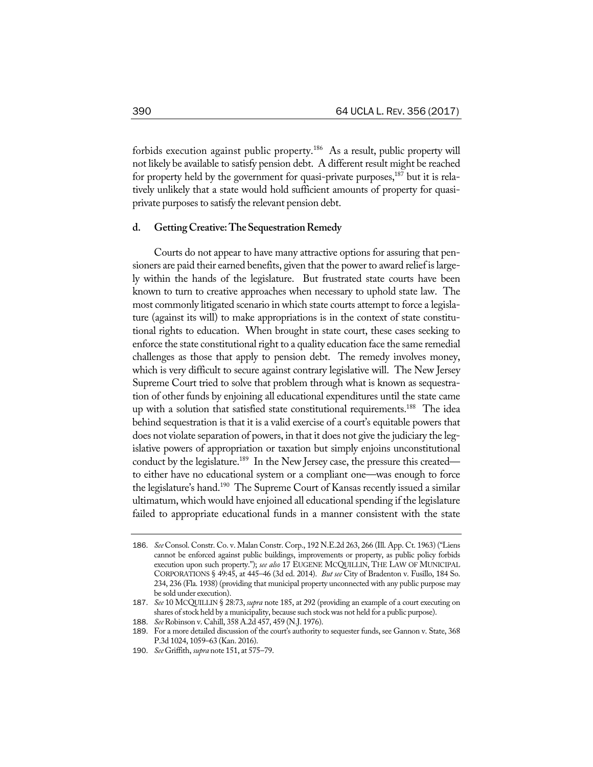forbids execution against public property.<sup>186</sup> As a result, public property will not likely be available to satisfy pension debt. A different result might be reached for property held by the government for quasi-private purposes, $187$  but it is relatively unlikely that a state would hold sufficient amounts of property for quasiprivate purposes to satisfy the relevant pension debt.

# **d. GettingCreative:TheSequestrationRemedy**

Courts do not appear to have many attractive options for assuring that pensioners are paid their earned benefits, given that the power to award relief is largely within the hands of the legislature. But frustrated state courts have been known to turn to creative approaches when necessary to uphold state law. The most commonly litigated scenario in which state courts attempt to force a legislature (against its will) to make appropriations is in the context of state constitutional rights to education. When brought in state court, these cases seeking to enforce the state constitutional right to a quality education face the same remedial challenges as those that apply to pension debt. The remedy involves money, which is very difficult to secure against contrary legislative will. The New Jersey Supreme Court tried to solve that problem through what is known as sequestration of other funds by enjoining all educational expenditures until the state came up with a solution that satisfied state constitutional requirements.<sup>188</sup> The idea behind sequestration is that it is a valid exercise of a court's equitable powers that does not violate separation of powers, in that it does not give the judiciary the legislative powers of appropriation or taxation but simply enjoins unconstitutional conduct by the legislature.<sup>189</sup> In the New Jersey case, the pressure this created to either have no educational system or a compliant one—was enough to force the legislature's hand.<sup>190</sup> The Supreme Court of Kansas recently issued a similar ultimatum, which would have enjoined all educational spending if the legislature failed to appropriate educational funds in a manner consistent with the state

<sup>186</sup>. *See* Consol. Constr. Co. v. Malan Constr. Corp., 192 N.E.2d 263, 266 (Ill. App. Ct. 1963) ("Liens cannot be enforced against public buildings, improvements or property, as public policy forbids execution upon such property."); *see also* 17 EUGENE MCQUILLIN, THE LAW OF MUNICIPAL CORPORATIONS § 49:45, at 445–46 (3d ed. 2014). *But see* City of Bradenton v. Fusillo, 184 So. 234, 236 (Fla. 1938) (providing that municipal property unconnected with any public purpose may be sold under execution).

<sup>187</sup>. *See* 10 MCQUILLIN § 28:73, *supra* note 185, at 292 (providing an example of a court executing on shares of stock held by a municipality, because such stock was not held for a public purpose).

<sup>188</sup>. *See*Robinson v. Cahill, 358 A.2d 457, 459 (N.J. 1976).

<sup>189</sup>. For a more detailed discussion of the court's authority to sequester funds, see Gannon v. State, 368 P.3d 1024, 1059–63 (Kan. 2016).

<sup>190</sup>. *See* Griffith, *supra* note 151, at 575–79.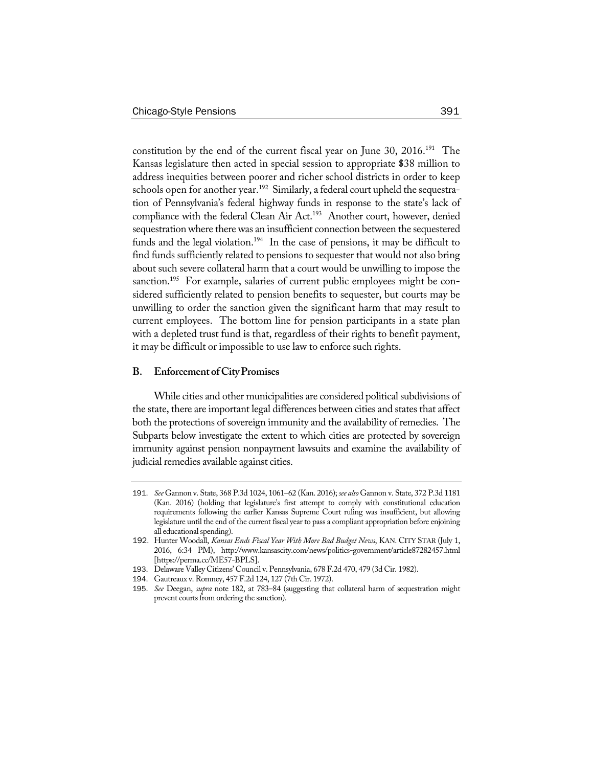constitution by the end of the current fiscal year on June 30, 2016.<sup>191</sup> The Kansas legislature then acted in special session to appropriate \$38 million to address inequities between poorer and richer school districts in order to keep schools open for another year.<sup>192</sup> Similarly, a federal court upheld the sequestration of Pennsylvania's federal highway funds in response to the state's lack of compliance with the federal Clean Air Act.<sup>193</sup> Another court, however, denied sequestration where there was an insufficient connection between the sequestered funds and the legal violation.<sup>194</sup> In the case of pensions, it may be difficult to find funds sufficiently related to pensions to sequester that would not also bring about such severe collateral harm that a court would be unwilling to impose the sanction.<sup>195</sup> For example, salaries of current public employees might be considered sufficiently related to pension benefits to sequester, but courts may be unwilling to order the sanction given the significant harm that may result to current employees. The bottom line for pension participants in a state plan with a depleted trust fund is that, regardless of their rights to benefit payment, it may be difficult or impossible to use law to enforce such rights.

#### **B. Enforcement ofCityPromises**

While cities and other municipalities are considered political subdivisions of the state, there are important legal differences between cities and states that affect both the protections of sovereign immunity and the availability of remedies. The Subparts below investigate the extent to which cities are protected by sovereign immunity against pension nonpayment lawsuits and examine the availability of judicial remedies available against cities.

<sup>191</sup>. *See* Gannon v. State, 368 P.3d 1024, 1061–62 (Kan. 2016); *see also* Gannon v. State, 372 P.3d 1181 (Kan. 2016) (holding that legislature's first attempt to comply with constitutional education requirements following the earlier Kansas Supreme Court ruling was insufficient, but allowing legislature until the end of the current fiscal year to pass a compliant appropriation before enjoining all educational spending).

<sup>192</sup>. Hunter Woodall, *Kansas Ends Fiscal Year With More Bad Budget News*, KAN. CITY STAR (July 1, 2016, 6:34 PM), http://www.kansascity.com/news/politics-government/article87282457.html [https://perma.cc/ME57-BPLS].

<sup>193</sup>. Delaware Valley Citizens' Council v. Pennsylvania, 678 F.2d 470, 479 (3d Cir. 1982).

<sup>194</sup>. Gautreaux v. Romney, 457 F.2d 124, 127 (7th Cir. 1972).

<sup>195</sup>. *See* Deegan, *supra* note 182, at 783–84 (suggesting that collateral harm of sequestration might prevent courts from ordering the sanction).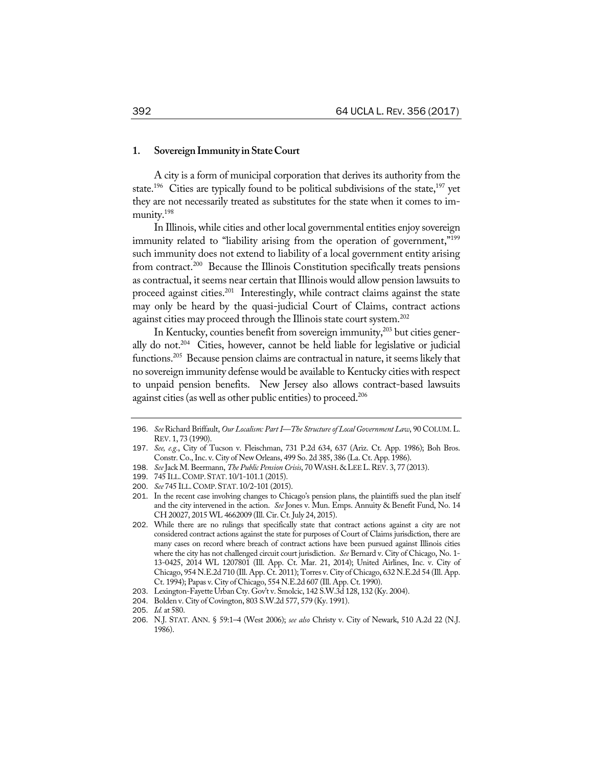#### 1. Sovereign Immunity in State Court

A city is a form of municipal corporation that derives its authority from the state.<sup>196</sup> Cities are typically found to be political subdivisions of the state,<sup>197</sup> yet they are not necessarily treated as substitutes for the state when it comes to immunity.198

In Illinois, while cities and other local governmental entities enjoy sovereign immunity related to "liability arising from the operation of government,"<sup>199</sup> such immunity does not extend to liability of a local government entity arising from contract.<sup>200</sup> Because the Illinois Constitution specifically treats pensions as contractual, it seems near certain that Illinois would allow pension lawsuits to proceed against cities.<sup>201</sup> Interestingly, while contract claims against the state may only be heard by the quasi-judicial Court of Claims, contract actions against cities may proceed through the Illinois state court system.<sup>202</sup>

In Kentucky, counties benefit from sovereign immunity, $2^{03}$  but cities generally do not.204 Cities, however, cannot be held liable for legislative or judicial functions.205 Because pension claims are contractual in nature, it seems likely that no sovereign immunity defense would be available to Kentucky cities with respect to unpaid pension benefits. New Jersey also allows contract-based lawsuits against cities (as well as other public entities) to proceed.<sup>206</sup>

<sup>196</sup>. *See*Richard Briffault, *Our Localism: PartI—The Structureof Local Government Law*, 90 COLUM.L. REV. 1, 73 (1990).

<sup>197</sup>. *See, e.g.*, City of Tucson v. Fleischman, 731 P.2d 634, 637 (Ariz. Ct. App. 1986); Boh Bros. Constr. Co.,Inc. v. City of New Orleans, 499 So. 2d 385, 386 (La. Ct. App. 1986).

<sup>198</sup>. *See*Jack M. Beermann, *The Public PensionCrisis*, 70 WASH.&LEEL.REV. 3, 77 (2013).

<sup>199</sup>. 745 ILL.COMP.STAT. 10/1-101.1 (2015).

<sup>200</sup>. *See* 745 ILL.COMP.STAT. 10/2-101 (2015).

<sup>201</sup>. In the recent case involving changes to Chicago's pension plans, the plaintiffs sued the plan itself and the city intervened in the action. *See* Jones v. Mun. Emps. Annuity & Benefit Fund, No. 14 CH 20027, 2015WL 4662009 (Ill. Cir. Ct. July 24, 2015).

<sup>202</sup>. While there are no rulings that specifically state that contract actions against a city are not considered contract actions against the state for purposes of Court of Claims jurisdiction, there are many cases on record where breach of contract actions have been pursued against Illinois cities where the city has not challenged circuit court jurisdiction. *See* Bernard v. City of Chicago, No. 1- 13-0425, 2014 WL 1207801 (Ill. App. Ct. Mar. 21, 2014); United Airlines, Inc. v. City of Chicago, 954 N.E.2d 710 (Ill. App. Ct. 2011); Torres v. City of Chicago, 632 N.E.2d 54 (Ill. App. Ct. 1994); Papas v. City of Chicago, 554 N.E.2d 607 (Ill. App. Ct. 1990).

<sup>203</sup>. Lexington-Fayette Urban Cty. Gov't v. Smolcic, 142 S.W.3d 128, 132 (Ky. 2004).

<sup>204</sup>. Bolden v. City of Covington, 803 S.W.2d 577, 579 (Ky. 1991).

<sup>205</sup>. *Id.* at 580.

<sup>206</sup>. N.J. STAT. ANN. § 59:1–4 (West 2006); *see also* Christy v. City of Newark, 510 A.2d 22 (N.J. 1986).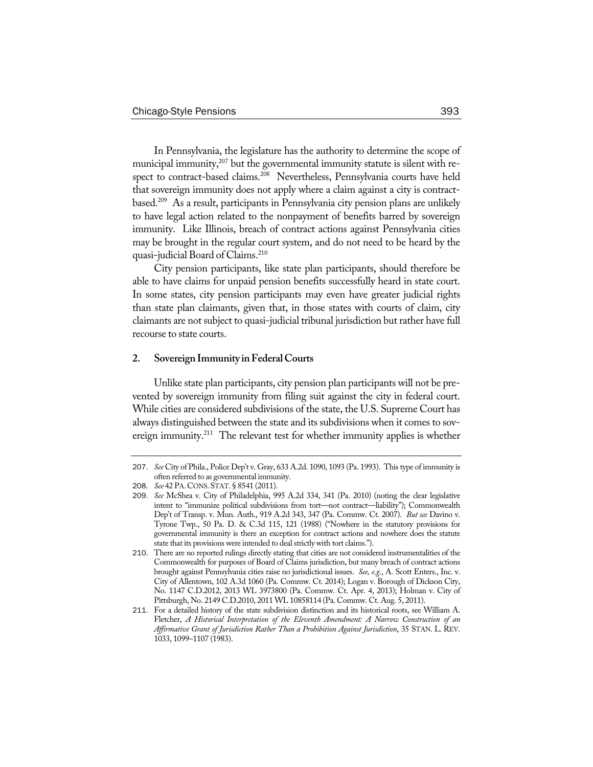In Pennsylvania, the legislature has the authority to determine the scope of municipal immunity,<sup>207</sup> but the governmental immunity statute is silent with respect to contract-based claims.<sup>208</sup> Nevertheless, Pennsylvania courts have held that sovereign immunity does not apply where a claim against a city is contractbased.209 As a result, participants in Pennsylvania city pension plans are unlikely to have legal action related to the nonpayment of benefits barred by sovereign immunity. Like Illinois, breach of contract actions against Pennsylvania cities may be brought in the regular court system, and do not need to be heard by the quasi-judicial Board of Claims.<sup>210</sup>

City pension participants, like state plan participants, should therefore be able to have claims for unpaid pension benefits successfully heard in state court. In some states, city pension participants may even have greater judicial rights than state plan claimants, given that, in those states with courts of claim, city claimants are not subject to quasi-judicial tribunal jurisdiction but rather have full recourse to state courts.

#### **2. SovereignImmunity inFederalCourts**

Unlike state plan participants, city pension plan participants will not be prevented by sovereign immunity from filing suit against the city in federal court. While cities are considered subdivisions of the state, the U.S. Supreme Court has always distinguished between the state and its subdivisions when it comes to sovereign immunity.<sup>211</sup> The relevant test for whether immunity applies is whether

<sup>207</sup>. *See* City of Phila., Police Dep't v. Gray, 633 A.2d. 1090, 1093 (Pa. 1993). This type of immunity is often referred to as governmental immunity.

<sup>208</sup>. *See* 42 PA.CONS.STAT.§ 8541 (2011).

<sup>209</sup>. *See* McShea v. City of Philadelphia, 995 A.2d 334, 341 (Pa. 2010) (noting the clear legislative intent to "immunize political subdivisions from tort—not contract—liability"); Commonwealth Dep't of Transp. v. Mun. Auth., 919 A.2d 343, 347 (Pa. Commw. Ct. 2007). *But see* Davino v. Tyrone Twp., 50 Pa. D. & C.3d 115, 121 (1988) ("Nowhere in the statutory provisions for governmental immunity is there an exception for contract actions and nowhere does the statute state that its provisions were intended to deal strictly with tort claims.").

<sup>210</sup>. There are no reported rulings directly stating that cities are not considered instrumentalities of the Commonwealth for purposes of Board of Claims jurisdiction, but many breach of contract actions brought against Pennsylvania cities raise no jurisdictional issues. *See, e.g.*, A. Scott Enters., Inc. v. City of Allentown, 102 A.3d 1060 (Pa. Commw. Ct. 2014); Logan v. Borough of Dickson City, No. 1147 C.D.2012, 2013 WL 3973800 (Pa. Commw. Ct. Apr. 4, 2013); Holman v. City of Pittsburgh, No. 2149 C.D.2010, 2011 WL 10858114 (Pa. Commw. Ct. Aug. 5, 2011).

<sup>211</sup>. For a detailed history of the state subdivision distinction and its historical roots, see William A. Fletcher, *A Historical Interpretation of the Eleventh Amendment: A Narrow Construction of an Affirmative Grant of Jurisdiction Rather Than a Prohibition Against Jurisdiction*, 35 STAN. L. REV. 1033, 1099–1107 (1983).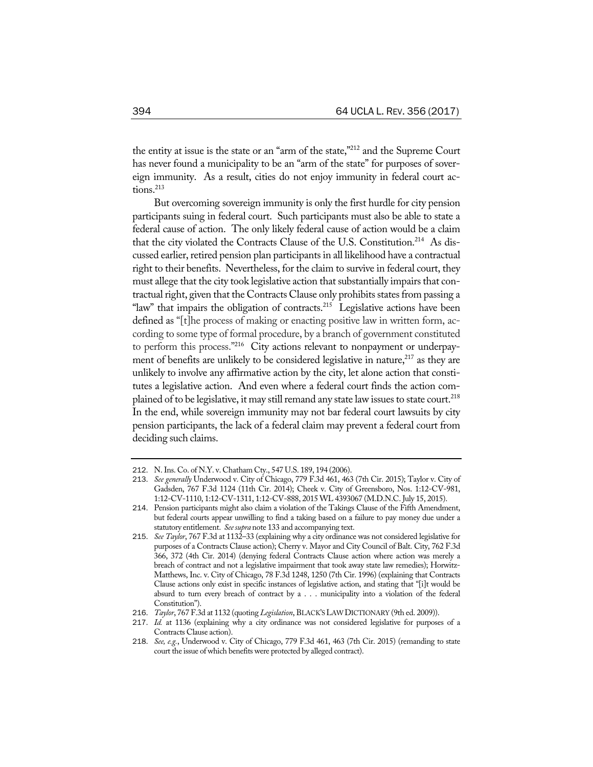the entity at issue is the state or an "arm of the state,"212 and the Supreme Court has never found a municipality to be an "arm of the state" for purposes of sovereign immunity. As a result, cities do not enjoy immunity in federal court actions.<sup>213</sup>

But overcoming sovereign immunity is only the first hurdle for city pension participants suing in federal court. Such participants must also be able to state a federal cause of action. The only likely federal cause of action would be a claim that the city violated the Contracts Clause of the U.S. Constitution.<sup>214</sup> As discussed earlier, retired pension plan participants in all likelihood have a contractual right to their benefits. Nevertheless, for the claim to survive in federal court, they must allege that the city took legislative action that substantially impairs that contractual right, given that the Contracts Clause only prohibits states from passing a "law" that impairs the obligation of contracts. $215$  Legislative actions have been defined as "[t]he process of making or enacting positive law in written form, according to some type of formal procedure, by a branch of government constituted to perform this process."<sup>216</sup> City actions relevant to nonpayment or underpayment of benefits are unlikely to be considered legislative in nature, $217$  as they are unlikely to involve any affirmative action by the city, let alone action that constitutes a legislative action. And even where a federal court finds the action complained of to be legislative, it may still remand any state law issues to state court.<sup>218</sup> In the end, while sovereign immunity may not bar federal court lawsuits by city pension participants, the lack of a federal claim may prevent a federal court from deciding such claims.

<sup>212</sup>. N.Ins. Co. of N.Y. v. Chatham Cty., 547 U.S. 189, 194 (2006).

<sup>213</sup>. *See generally* Underwood v. City of Chicago, 779 F.3d 461, 463 (7th Cir. 2015); Taylor v. City of Gadsden, 767 F.3d 1124 (11th Cir. 2014); Cheek v. City of Greensboro, Nos. 1:12-CV-981, 1:12-CV-1110, 1:12-CV-1311, 1:12-CV-888, 2015 WL 4393067 (M.D.N.C. July 15, 2015).

<sup>214</sup>. Pension participants might also claim a violation of the Takings Clause of the Fifth Amendment, but federal courts appear unwilling to find a taking based on a failure to pay money due under a statutory entitlement. *Seesupra* note 133 and accompanying text.

<sup>215</sup>. *See Taylor*, 767 F.3d at 1132–33 (explaining why a city ordinance was not considered legislative for purposes of a Contracts Clause action); Cherry v. Mayor and City Council of Balt. City, 762 F.3d 366, 372 (4th Cir. 2014) (denying federal Contracts Clause action where action was merely a breach of contract and not a legislative impairment that took away state law remedies); Horwitz-Matthews, Inc. v. City of Chicago, 78 F.3d 1248, 1250 (7th Cir. 1996) (explaining that Contracts Clause actions only exist in specific instances of legislative action, and stating that "[i]t would be absurd to turn every breach of contract by a . . . municipality into a violation of the federal Constitution").

<sup>216</sup>. *Taylor*, 767 F.3d at 1132 (quoting *Legislation*, BLACK'SLAWDICTIONARY (9th ed. 2009)).

<sup>217</sup>. *Id.* at 1136 (explaining why a city ordinance was not considered legislative for purposes of a Contracts Clause action).

<sup>218</sup>. *See, e.g.*, Underwood v. City of Chicago, 779 F.3d 461, 463 (7th Cir. 2015) (remanding to state court the issue of which benefits were protected by alleged contract).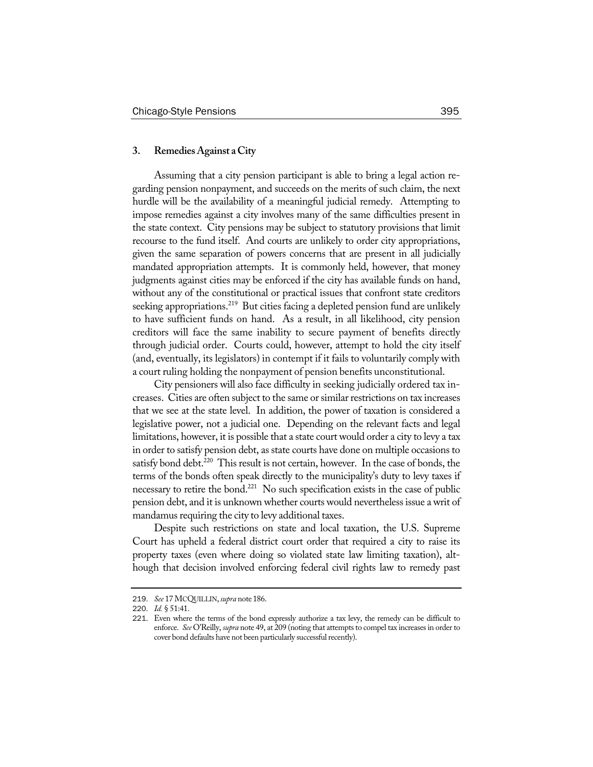## **3. RemediesAgainst aCity**

Assuming that a city pension participant is able to bring a legal action regarding pension nonpayment, and succeeds on the merits of such claim, the next hurdle will be the availability of a meaningful judicial remedy. Attempting to impose remedies against a city involves many of the same difficulties present in the state context. City pensions may be subject to statutory provisions that limit recourse to the fund itself. And courts are unlikely to order city appropriations, given the same separation of powers concerns that are present in all judicially mandated appropriation attempts. It is commonly held, however, that money judgments against cities may be enforced if the city has available funds on hand, without any of the constitutional or practical issues that confront state creditors seeking appropriations.<sup>219</sup> But cities facing a depleted pension fund are unlikely to have sufficient funds on hand. As a result, in all likelihood, city pension creditors will face the same inability to secure payment of benefits directly through judicial order. Courts could, however, attempt to hold the city itself (and, eventually, its legislators) in contempt if it fails to voluntarily comply with a court ruling holding the nonpayment of pension benefits unconstitutional.

City pensioners will also face difficulty in seeking judicially ordered tax increases. Cities are often subject to the same or similar restrictions on tax increases that we see at the state level. In addition, the power of taxation is considered a legislative power, not a judicial one. Depending on the relevant facts and legal limitations, however, it is possible that a state court would order a city to levy a tax in order to satisfy pension debt, as state courts have done on multiple occasions to satisfy bond debt.<sup>220</sup> This result is not certain, however. In the case of bonds, the terms of the bonds often speak directly to the municipality's duty to levy taxes if necessary to retire the bond.<sup>221</sup> No such specification exists in the case of public pension debt, and it is unknown whether courts would nevertheless issue a writ of mandamus requiring the city to levy additional taxes.

Despite such restrictions on state and local taxation, the U.S. Supreme Court has upheld a federal district court order that required a city to raise its property taxes (even where doing so violated state law limiting taxation), although that decision involved enforcing federal civil rights law to remedy past

<sup>219</sup>. *See* 17 MCQUILLIN,*supra* note 186.

<sup>220</sup>. *Id.* § 51:41.

<sup>221</sup>. Even where the terms of the bond expressly authorize a tax levy, the remedy can be difficult to enforce. *See* O'Reilly, *supra* note 49, at 209 (noting that attempts to compel tax increases in order to cover bond defaults have not been particularly successful recently).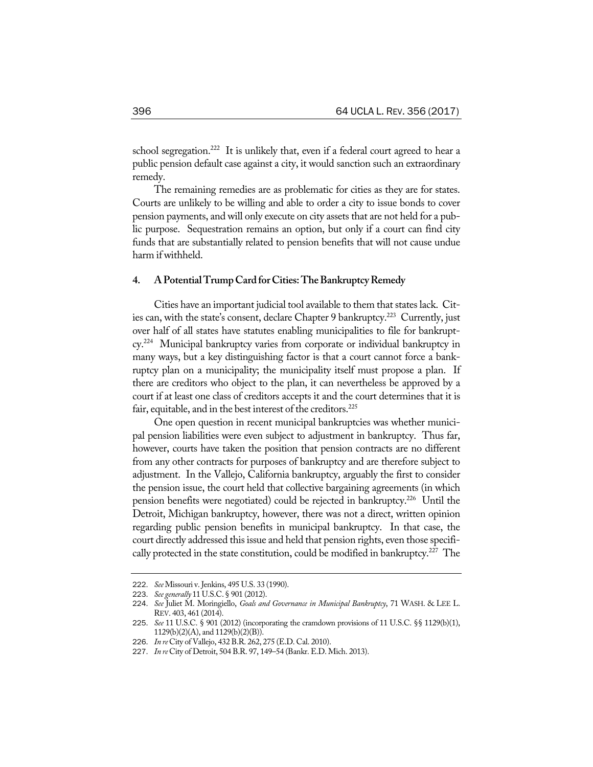school segregation.<sup>222</sup> It is unlikely that, even if a federal court agreed to hear a public pension default case against a city, it would sanction such an extraordinary remedy.

The remaining remedies are as problematic for cities as they are for states. Courts are unlikely to be willing and able to order a city to issue bonds to cover pension payments, and will only execute on city assets that are not held for a public purpose. Sequestration remains an option, but only if a court can find city funds that are substantially related to pension benefits that will not cause undue harm if withheld.

## **4. APotentialTrumpCard forCities:TheBankruptcyRemedy**

Cities have an important judicial tool available to them that states lack. Cities can, with the state's consent, declare Chapter 9 bankruptcy.<sup>223</sup> Currently, just over half of all states have statutes enabling municipalities to file for bankruptcy.224 Municipal bankruptcy varies from corporate or individual bankruptcy in many ways, but a key distinguishing factor is that a court cannot force a bankruptcy plan on a municipality; the municipality itself must propose a plan. If there are creditors who object to the plan, it can nevertheless be approved by a court if at least one class of creditors accepts it and the court determines that it is fair, equitable, and in the best interest of the creditors.<sup>225</sup>

One open question in recent municipal bankruptcies was whether municipal pension liabilities were even subject to adjustment in bankruptcy. Thus far, however, courts have taken the position that pension contracts are no different from any other contracts for purposes of bankruptcy and are therefore subject to adjustment. In the Vallejo, California bankruptcy, arguably the first to consider the pension issue, the court held that collective bargaining agreements (in which pension benefits were negotiated) could be rejected in bankruptcy.<sup>226</sup> Until the Detroit, Michigan bankruptcy, however, there was not a direct, written opinion regarding public pension benefits in municipal bankruptcy. In that case, the court directly addressed this issue and held that pension rights, even those specifically protected in the state constitution, could be modified in bankruptcy.<sup>227</sup> The

<sup>222</sup>. *See*Missouri v. Jenkins, 495 U.S. 33 (1990).

<sup>223</sup>. *See generally* 11 U.S.C.§ 901 (2012).

<sup>224</sup>. *See* Juliet M. Moringiello, *Goals and Governance in Municipal Bankruptcy*, 71 WASH. & LEE L. REV. 403, 461 (2014).

<sup>225</sup>. *See* 11 U.S.C. § 901 (2012) (incorporating the cramdown provisions of 11 U.S.C. §§ 1129(b)(1), 1129(b)(2)(A), and 1129(b)(2)(B)).

<sup>226</sup>. *In re* City of Vallejo, 432 B.R. 262, 275 (E.D. Cal. 2010).

<sup>227</sup>. *In re* City of Detroit, 504 B.R. 97, 149–54 (Bankr. E.D. Mich. 2013).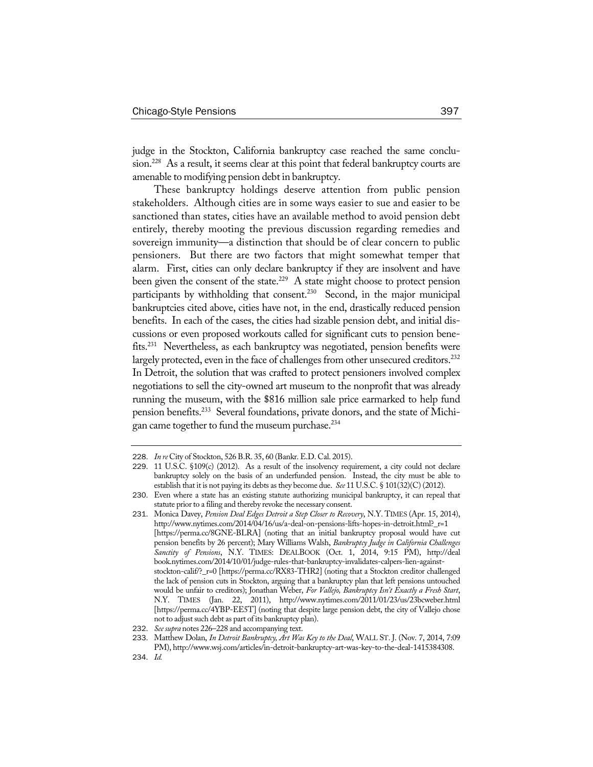judge in the Stockton, California bankruptcy case reached the same conclusion.<sup>228</sup> As a result, it seems clear at this point that federal bankruptcy courts are amenable to modifying pension debt in bankruptcy.

These bankruptcy holdings deserve attention from public pension stakeholders. Although cities are in some ways easier to sue and easier to be sanctioned than states, cities have an available method to avoid pension debt entirely, thereby mooting the previous discussion regarding remedies and sovereign immunity—a distinction that should be of clear concern to public pensioners. But there are two factors that might somewhat temper that alarm. First, cities can only declare bankruptcy if they are insolvent and have been given the consent of the state.<sup>229</sup> A state might choose to protect pension participants by withholding that consent.<sup>230</sup> Second, in the major municipal bankruptcies cited above, cities have not, in the end, drastically reduced pension benefits. In each of the cases, the cities had sizable pension debt, and initial discussions or even proposed workouts called for significant cuts to pension benefits.231 Nevertheless, as each bankruptcy was negotiated, pension benefits were largely protected, even in the face of challenges from other unsecured creditors.<sup>232</sup> In Detroit, the solution that was crafted to protect pensioners involved complex negotiations to sell the city-owned art museum to the nonprofit that was already running the museum, with the \$816 million sale price earmarked to help fund pension benefits.233 Several foundations, private donors, and the state of Michigan came together to fund the museum purchase.<sup>234</sup>

<sup>228</sup>. *In re* City of Stockton, 526 B.R. 35, 60 (Bankr. E.D. Cal. 2015).

<sup>229</sup>. 11 U.S.C. §109(c) (2012). As a result of the insolvency requirement, a city could not declare bankruptcy solely on the basis of an underfunded pension. Instead, the city must be able to establish that it is not paying its debts as they become due. *See* 11 U.S.C. § 101(32)(C) (2012).

<sup>230</sup>. Even where a state has an existing statute authorizing municipal bankruptcy, it can repeal that statute prior to a filing and thereby revoke the necessary consent.

<sup>231</sup>. Monica Davey, *Pension Deal Edges Detroit a Step Closer to Recovery*, N.Y. TIMES (Apr. 15, 2014), http://www.nytimes.com/2014/04/16/us/a-deal-on-pensions-lifts-hopes-in-detroit.html?\_r=1 [https://perma.cc/8GNE-BLRA] (noting that an initial bankruptcy proposal would have cut pension benefits by 26 percent); Mary Williams Walsh, *Bankruptcy Judge in California Challenges Sanctity of Pensions*, N.Y. TIMES: DEALBOOK (Oct. 1, 2014, 9:15 PM), http://deal book.nytimes.com/2014/10/01/judge-rules-that-bankruptcy-invalidates-calpers-lien-againststockton-calif/?\_r=0 [https://perma.cc/RX83-THR2] (noting that a Stockton creditor challenged the lack of pension cuts in Stockton, arguing that a bankruptcy plan that left pensions untouched would be unfair to creditors); Jonathan Weber, *For Vallejo, Bankruptcy Isn't Exactly a Fresh Start*, N.Y. TIMES (Jan. 22, 2011), http://www.nytimes.com/2011/01/23/us/23bcweber.html [https://perma.cc/4YBP-EE5T] (noting that despite large pension debt, the city of Vallejo chose not to adjust such debt as part of its bankruptcy plan).

<sup>232</sup>. *Seesupra* notes 226–228 and accompanying text.

<sup>233</sup>. Matthew Dolan, *In Detroit Bankruptcy, Art Was Key to the Deal*, WALL ST. J. (Nov. 7, 2014, 7:09 PM), http://www.wsj.com/articles/in-detroit-bankruptcy-art-was-key-to-the-deal-1415384308.

<sup>234</sup>. *Id.*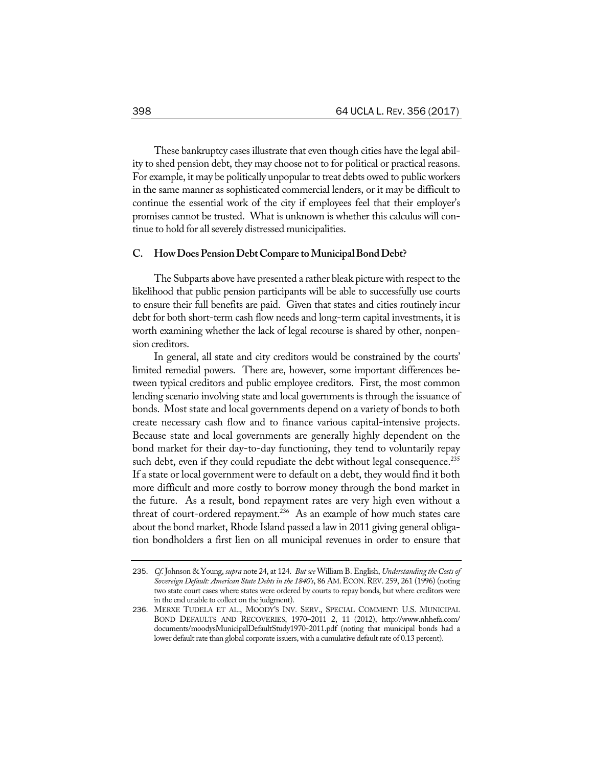These bankruptcy cases illustrate that even though cities have the legal ability to shed pension debt, they may choose not to for political or practical reasons. For example, it may be politically unpopular to treat debts owed to public workers in the same manner as sophisticated commercial lenders, or it may be difficult to continue the essential work of the city if employees feel that their employer's promises cannot be trusted. What is unknown is whether this calculus will continue to hold for all severely distressed municipalities.

# **C. HowDoesPensionDebtCompare toMunicipalBondDebt?**

The Subparts above have presented a rather bleak picture with respect to the likelihood that public pension participants will be able to successfully use courts to ensure their full benefits are paid. Given that states and cities routinely incur debt for both short-term cash flow needs and long-term capital investments, it is worth examining whether the lack of legal recourse is shared by other, nonpension creditors.

In general, all state and city creditors would be constrained by the courts' limited remedial powers. There are, however, some important differences between typical creditors and public employee creditors. First, the most common lending scenario involving state and local governments is through the issuance of bonds. Most state and local governments depend on a variety of bonds to both create necessary cash flow and to finance various capital-intensive projects. Because state and local governments are generally highly dependent on the bond market for their day-to-day functioning, they tend to voluntarily repay such debt, even if they could repudiate the debt without legal consequence.<sup>235</sup> If a state or local government were to default on a debt, they would find it both more difficult and more costly to borrow money through the bond market in the future. As a result, bond repayment rates are very high even without a threat of court-ordered repayment.<sup>236</sup> As an example of how much states care about the bond market, Rhode Island passed a law in 2011 giving general obligation bondholders a first lien on all municipal revenues in order to ensure that

<sup>235</sup>. *Cf.* Johnson & Young, *supra* note 24, at 124. *But see* William B. English, *Understanding theCostsof Sovereign Default: American State Debts in the 1840's*, 86 AM.ECON.REV. 259, 261 (1996) (noting two state court cases where states were ordered by courts to repay bonds, but where creditors were in the end unable to collect on the judgment).

<sup>236</sup>. MERXE TUDELA ET AL., MOODY'S INV. SERV., SPECIAL COMMENT: U.S. MUNICIPAL BOND DEFAULTS AND RECOVERIES, 1970–2011 2, 11 (2012), http://www.nhhefa.com/ documents/moodysMunicipalDefaultStudy1970-2011.pdf (noting that municipal bonds had a lower default rate than global corporate issuers, with a cumulative default rate of 0.13 percent).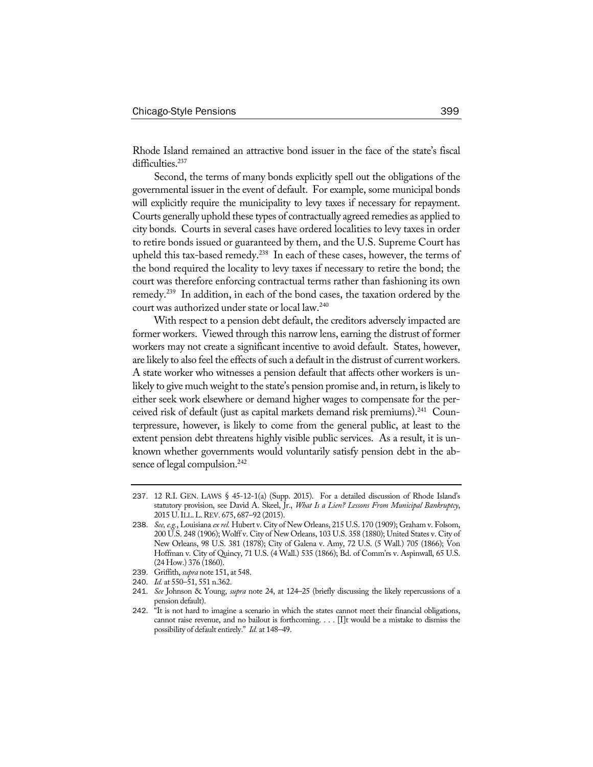Rhode Island remained an attractive bond issuer in the face of the state's fiscal difficulties.<sup>237</sup>

Second, the terms of many bonds explicitly spell out the obligations of the governmental issuer in the event of default. For example, some municipal bonds will explicitly require the municipality to levy taxes if necessary for repayment. Courts generally uphold these types of contractually agreed remedies as applied to city bonds. Courts in several cases have ordered localities to levy taxes in order to retire bonds issued or guaranteed by them, and the U.S. Supreme Court has upheld this tax-based remedy.<sup>238</sup> In each of these cases, however, the terms of the bond required the locality to levy taxes if necessary to retire the bond; the court was therefore enforcing contractual terms rather than fashioning its own remedy.239 In addition, in each of the bond cases, the taxation ordered by the court was authorized under state or local law.240

With respect to a pension debt default, the creditors adversely impacted are former workers. Viewed through this narrow lens, earning the distrust of former workers may not create a significant incentive to avoid default. States, however, are likely to also feel the effects of such a default in the distrust of current workers. A state worker who witnesses a pension default that affects other workers is unlikely to give much weight to the state's pension promise and, in return, is likely to either seek work elsewhere or demand higher wages to compensate for the perceived risk of default (just as capital markets demand risk premiums).<sup>241</sup> Counterpressure, however, is likely to come from the general public, at least to the extent pension debt threatens highly visible public services. As a result, it is unknown whether governments would voluntarily satisfy pension debt in the absence of legal compulsion.<sup>242</sup>

- 240. *Id.* at 550–51, 551 n.362.
- 241. *See* Johnson & Young, *supra* note 24, at 124–25 (briefly discussing the likely repercussions of a pension default).

<sup>237</sup>. 12 R.I. GEN. LAWS § 45-12-1(a) (Supp. 2015). For a detailed discussion of Rhode Island's statutory provision, see David A. Skeel, Jr., *What Is a Lien? Lessons From Municipal Bankruptcy*, 2015 U.ILL.L.REV. 675, 687–92 (2015).

<sup>238</sup>. *See,e.g.*, Louisiana *ex rel.* Hubert v. City of New Orleans, 215 U.S. 170 (1909); Graham v. Folsom, 200 U.S. 248 (1906); Wolff v. City of New Orleans, 103 U.S. 358 (1880); United States v. City of New Orleans, 98 U.S. 381 (1878); City of Galena v. Amy, 72 U.S. (5 Wall.) 705 (1866); Von Hoffman v. City of Quincy, 71 U.S. (4 Wall.) 535 (1866); Bd. of Comm'rs v. Aspinwall, 65 U.S. (24 How.) 376 (1860).

<sup>239</sup>. Griffith, *supra* note 151, at 548.

<sup>242</sup>. "It is not hard to imagine a scenario in which the states cannot meet their financial obligations, cannot raise revenue, and no bailout is forthcoming. . . . [I]t would be a mistake to dismiss the possibility of default entirely." *Id.* at 148–49.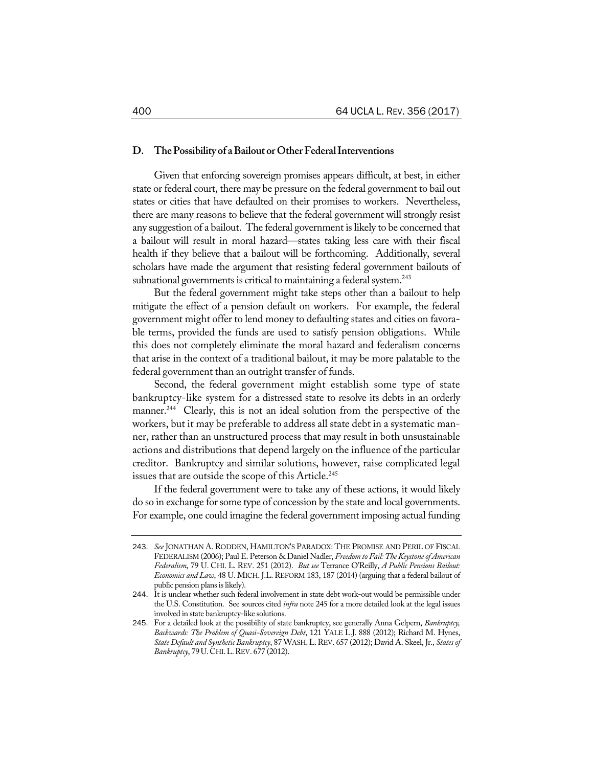#### **D. ThePossibility of aBailout orOtherFederalInterventions**

Given that enforcing sovereign promises appears difficult, at best, in either state or federal court, there may be pressure on the federal government to bail out states or cities that have defaulted on their promises to workers. Nevertheless, there are many reasons to believe that the federal government will strongly resist any suggestion of a bailout. The federal government is likely to be concerned that a bailout will result in moral hazard—states taking less care with their fiscal health if they believe that a bailout will be forthcoming. Additionally, several scholars have made the argument that resisting federal government bailouts of subnational governments is critical to maintaining a federal system. $^{243}$ 

But the federal government might take steps other than a bailout to help mitigate the effect of a pension default on workers. For example, the federal government might offer to lend money to defaulting states and cities on favorable terms, provided the funds are used to satisfy pension obligations. While this does not completely eliminate the moral hazard and federalism concerns that arise in the context of a traditional bailout, it may be more palatable to the federal government than an outright transfer of funds.

Second, the federal government might establish some type of state bankruptcy-like system for a distressed state to resolve its debts in an orderly manner.<sup>244</sup> Clearly, this is not an ideal solution from the perspective of the workers, but it may be preferable to address all state debt in a systematic manner, rather than an unstructured process that may result in both unsustainable actions and distributions that depend largely on the influence of the particular creditor. Bankruptcy and similar solutions, however, raise complicated legal issues that are outside the scope of this Article.<sup>245</sup>

If the federal government were to take any of these actions, it would likely do so in exchange for some type of concession by the state and local governments. For example, one could imagine the federal government imposing actual funding

<sup>243</sup>. *See* JONATHAN A. RODDEN, HAMILTON'S PARADOX: THE PROMISE AND PERIL OF FISCAL FEDERALISM (2006); Paul E. Peterson & Daniel Nadler, *Freedom toFail:TheKeystoneof American Federalism*, 79 U. CHI. L. REV. 251 (2012). *But see* Terrance O'Reilly, *A Public Pensions Bailout: Economics and Law*, 48 U. MICH. J.L. REFORM 183, 187 (2014) (arguing that a federal bailout of public pension plans is likely).

<sup>244</sup>. It is unclear whether such federal involvement in state debt work-out would be permissible under the U.S. Constitution. See sources cited *infra* note 245 for a more detailed look at the legal issues involved in state bankruptcy-like solutions.

<sup>245</sup>. For a detailed look at the possibility of state bankruptcy, see generally Anna Gelpern, *Bankruptcy, Backwards: The Problem of Quasi-Sovereign Debt*, 121 YALE L.J. 888 (2012); Richard M. Hynes, *State Default and Synthetic Bankruptcy*, 87 WASH.L.REV. 657 (2012); David A. Skeel, Jr., *Statesof Bankruptcy*, 79U.CHI.L.REV. 677 (2012).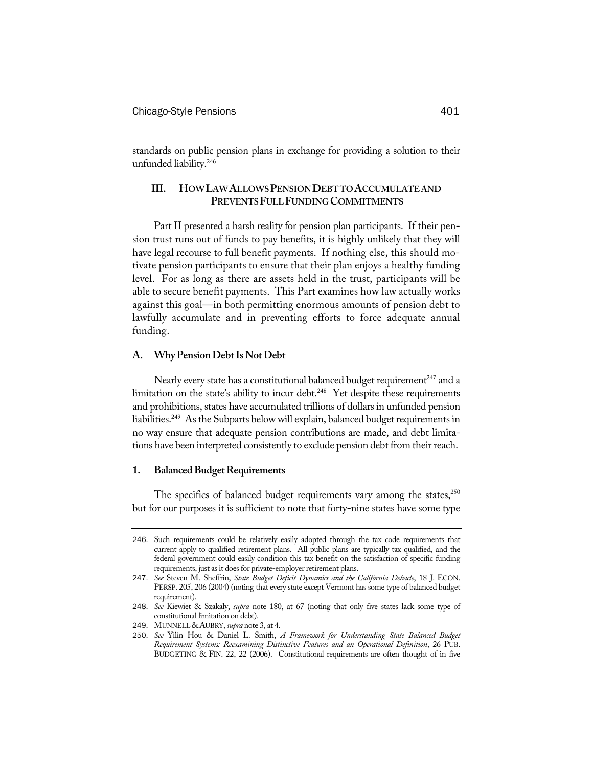standards on public pension plans in exchange for providing a solution to their unfunded liability.246

# **III. HOWLAWALLOWS PENSION DEBTTO ACCUMULATE AND PREVENTSFULLFUNDINGCOMMITMENTS**

Part II presented a harsh reality for pension plan participants. If their pension trust runs out of funds to pay benefits, it is highly unlikely that they will have legal recourse to full benefit payments. If nothing else, this should motivate pension participants to ensure that their plan enjoys a healthy funding level. For as long as there are assets held in the trust, participants will be able to secure benefit payments. This Part examines how law actually works against this goal—in both permitting enormous amounts of pension debt to lawfully accumulate and in preventing efforts to force adequate annual funding.

# **A. WhyPensionDebtIs NotDebt**

Nearly every state has a constitutional balanced budget requirement<sup>247</sup> and a limitation on the state's ability to incur debt.<sup>248</sup> Yet despite these requirements and prohibitions, states have accumulated trillions of dollars in unfunded pension liabilities.<sup>249</sup> As the Subparts below will explain, balanced budget requirements in no way ensure that adequate pension contributions are made, and debt limitations have been interpreted consistently to exclude pension debt from their reach.

## **1.** Balanced Budget Requirements

The specifics of balanced budget requirements vary among the states, $^{250}$ but for our purposes it is sufficient to note that forty-nine states have some type

<sup>246</sup>. Such requirements could be relatively easily adopted through the tax code requirements that current apply to qualified retirement plans. All public plans are typically tax qualified, and the federal government could easily condition this tax benefit on the satisfaction of specific funding requirements, just as it does for private-employer retirement plans.

<sup>247</sup>. *See* Steven M. Sheffrin, *State Budget Deficit Dynamics and the California Debacle*, 18 J. ECON. PERSP. 205, 206 (2004) (noting that every state except Vermont has some type of balanced budget requirement).

<sup>248</sup>. *See* Kiewiet & Szakaly, *supra* note 180, at 67 (noting that only five states lack some type of constitutional limitation on debt).

<sup>249</sup>. MUNNELL&AUBRY, *supra* note 3, at 4.

<sup>250</sup>. *See* Yilin Hou & Daniel L. Smith, *A Framework for Understanding State Balanced Budget Requirement Systems: Reexamining Distinctive Features and an Operational Definition*, 26 PUB. BUDGETING & FIN. 22, 22 (2006). Constitutional requirements are often thought of in five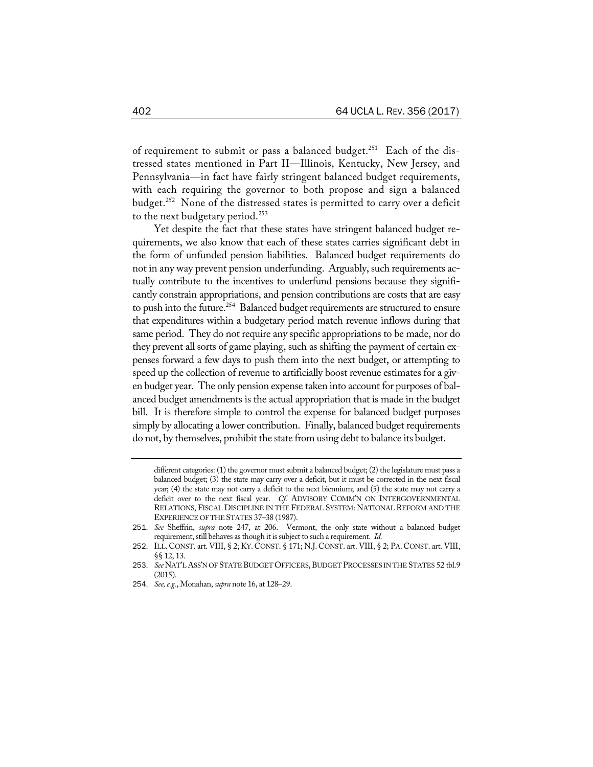of requirement to submit or pass a balanced budget.<sup>251</sup> Each of the distressed states mentioned in Part II—Illinois, Kentucky, New Jersey, and Pennsylvania—in fact have fairly stringent balanced budget requirements, with each requiring the governor to both propose and sign a balanced budget.<sup>252</sup> None of the distressed states is permitted to carry over a deficit to the next budgetary period.<sup>253</sup>

Yet despite the fact that these states have stringent balanced budget requirements, we also know that each of these states carries significant debt in the form of unfunded pension liabilities. Balanced budget requirements do not in any way prevent pension underfunding. Arguably, such requirements actually contribute to the incentives to underfund pensions because they significantly constrain appropriations, and pension contributions are costs that are easy to push into the future.<sup>254</sup> Balanced budget requirements are structured to ensure that expenditures within a budgetary period match revenue inflows during that same period. They do not require any specific appropriations to be made, nor do they prevent all sorts of game playing, such as shifting the payment of certain expenses forward a few days to push them into the next budget, or attempting to speed up the collection of revenue to artificially boost revenue estimates for a given budget year. The only pension expense taken into account for purposes of balanced budget amendments is the actual appropriation that is made in the budget bill. It is therefore simple to control the expense for balanced budget purposes simply by allocating a lower contribution. Finally, balanced budget requirements do not, by themselves, prohibit the state from using debt to balance its budget.

different categories: (1) the governor must submit a balanced budget; (2) the legislature must pass a balanced budget; (3) the state may carry over a deficit, but it must be corrected in the next fiscal year; (4) the state may not carry a deficit to the next biennium; and (5) the state may not carry a deficit over to the next fiscal year. *Cf.* ADVISORY COMM'N ON INTERGOVERNMENTAL RELATIONS, FISCAL DISCIPLINE IN THE FEDERAL SYSTEM: NATIONAL REFORM AND THE EXPERIENCE OF THE STATES 37-38 (1987).

<sup>251</sup>. *See* Sheffrin, *supra* note 247, at 206. Vermont, the only state without a balanced budget requirement, still behaves as though it is subject to such a requirement. *Id.* 

<sup>252</sup>. ILL.CONST. art. VIII, § 2; KY. CONST. § 171; N.J. CONST. art. VIII, § 2; PA.CONST. art. VIII, §§ 12, 13.

<sup>253.</sup> *See* NAT'L ASS'N OF STATE BUDGET OFFICERS, BUDGET PROCESSES IN THE STATES 52 tbl.9 (2015).

<sup>254</sup>. *See,e.g.*, Monahan, *supra* note 16, at 128–29.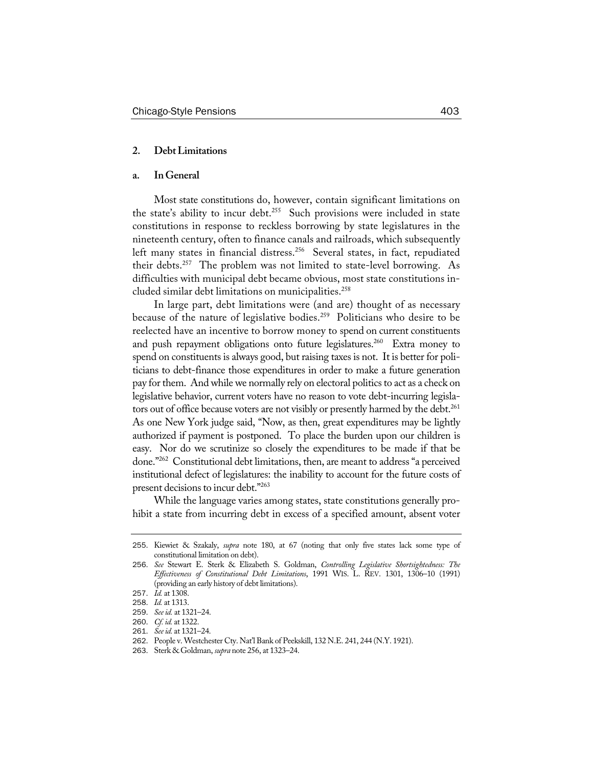# **2. DebtLimitations**

# **a. InGeneral**

Most state constitutions do, however, contain significant limitations on the state's ability to incur debt.<sup>255</sup> Such provisions were included in state constitutions in response to reckless borrowing by state legislatures in the nineteenth century, often to finance canals and railroads, which subsequently left many states in financial distress.<sup>256</sup> Several states, in fact, repudiated their debts.<sup>257</sup> The problem was not limited to state-level borrowing. As difficulties with municipal debt became obvious, most state constitutions included similar debt limitations on municipalities.258

In large part, debt limitations were (and are) thought of as necessary because of the nature of legislative bodies.<sup>259</sup> Politicians who desire to be reelected have an incentive to borrow money to spend on current constituents and push repayment obligations onto future legislatures.<sup>260</sup> Extra money to spend on constituents is always good, but raising taxes is not. It is better for politicians to debt-finance those expenditures in order to make a future generation pay for them. And while we normally rely on electoral politics to act as a check on legislative behavior, current voters have no reason to vote debt-incurring legislators out of office because voters are not visibly or presently harmed by the debt.<sup>261</sup> As one New York judge said, "Now, as then, great expenditures may be lightly authorized if payment is postponed. To place the burden upon our children is easy. Nor do we scrutinize so closely the expenditures to be made if that be done."262 Constitutional debt limitations, then, are meant to address "a perceived institutional defect of legislatures: the inability to account for the future costs of present decisions to incur debt."263

While the language varies among states, state constitutions generally prohibit a state from incurring debt in excess of a specified amount, absent voter

<sup>255</sup>. Kiewiet & Szakaly, *supra* note 180, at 67 (noting that only five states lack some type of constitutional limitation on debt).

<sup>256</sup>. *See* Stewart E. Sterk & Elizabeth S. Goldman, *Controlling Legislative Shortsightedness: The Effectiveness of Constitutional Debt Limitations*, 1991 WIS. L. REV. 1301, 1306–10 (1991) (providing an early history of debt limitations).

<sup>257</sup>. *Id.* at 1308.

<sup>258</sup>. *Id.* at 1313.

<sup>259</sup>. *Seeid.* at 1321–24.

<sup>260</sup>. *Cf. id.* at 1322.

<sup>261</sup>. *Seeid.* at 1321–24.

<sup>262</sup>. People v. Westchester Cty. Nat'l Bank of Peekskill, 132 N.E. 241, 244 (N.Y. 1921).

<sup>263</sup>. Sterk & Goldman, *supra* note 256, at 1323–24.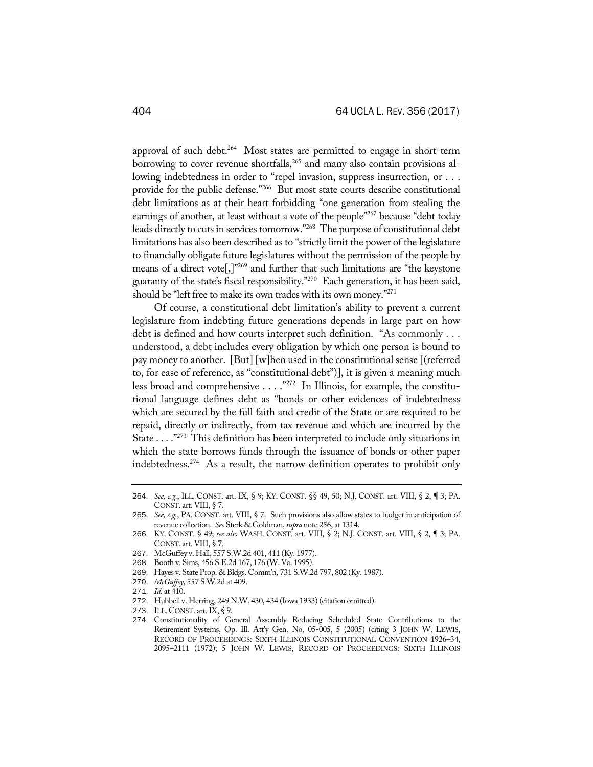approval of such debt.<sup>264</sup> Most states are permitted to engage in short-term borrowing to cover revenue shortfalls,<sup>265</sup> and many also contain provisions allowing indebtedness in order to "repel invasion, suppress insurrection, or . . . provide for the public defense."266 But most state courts describe constitutional debt limitations as at their heart forbidding "one generation from stealing the earnings of another, at least without a vote of the people"<sup>267</sup> because "debt today leads directly to cuts in services tomorrow."268 The purpose of constitutional debt limitations has also been described as to "strictly limit the power of the legislature to financially obligate future legislatures without the permission of the people by means of a direct vote<sup>[1]</sup><sup>269</sup> and further that such limitations are "the keystone" guaranty of the state's fiscal responsibility."270 Each generation, it has been said, should be "left free to make its own tradeswith its own money."271

Of course, a constitutional debt limitation's ability to prevent a current legislature from indebting future generations depends in large part on how debt is defined and how courts interpret such definition. "As commonly . . . understood, a debt includes every obligation by which one person is bound to pay money to another. [But] [w]hen used in the constitutional sense [(referred to, for ease of reference, as "constitutional debt")], it is given a meaning much less broad and comprehensive  $\dots$ ."<sup>272</sup> In Illinois, for example, the constitutional language defines debt as "bonds or other evidences of indebtedness which are secured by the full faith and credit of the State or are required to be repaid, directly or indirectly, from tax revenue and which are incurred by the State . . . ."273 This definition has been interpreted to include only situations in which the state borrows funds through the issuance of bonds or other paper indebtedness.274 As a result, the narrow definition operates to prohibit only

- 269. Hayes v. State Prop. & Bldgs. Comm'n, 731 S.W.2d 797, 802 (Ky. 1987).
- 270. *McGuffey*, 557 S.W.2d at 409.
- 271. *Id.* at 410.

273. ILL.CONST. art.IX, § 9.

<sup>264</sup>. *See, e.g.*, ILL. CONST. art. IX, § 9; KY. CONST. §§ 49, 50; N.J. CONST. art. VIII, § 2, ¶ 3; PA. CONST. art. VIII, § 7.

<sup>265</sup>. *See, e.g.*, PA. CONST. art. VIII, § 7. Such provisions also allow states to budget in anticipation of revenue collection. *See* Sterk & Goldman, *supra* note 256, at 1314.

<sup>266</sup>. KY. CONST. § 49; *see also* WASH. CONST. art. VIII, § 2; N.J. CONST. art. VIII, § 2, ¶ 3; PA. CONST. art. VIII, § 7.

<sup>267</sup>. McGuffey v. Hall, 557 S.W.2d 401, 411 (Ky. 1977).

<sup>268</sup>. Booth v. Sims, 456 S.E.2d 167, 176 (W. Va. 1995).

<sup>272</sup>. Hubbell v. Herring, 249 N.W. 430, 434 (Iowa 1933) (citation omitted).

<sup>274</sup>. Constitutionality of General Assembly Reducing Scheduled State Contributions to the Retirement Systems, Op. Ill. Att'y Gen. No. 05-005, 5 (2005) (citing 3 JOHN W. LEWIS, RECORD OF PROCEEDINGS: SIXTH ILLINOIS CONSTITUTIONAL CONVENTION 1926–34, 2095–2111 (1972); 5 JOHN W. LEWIS, RECORD OF PROCEEDINGS: SIXTH ILLINOIS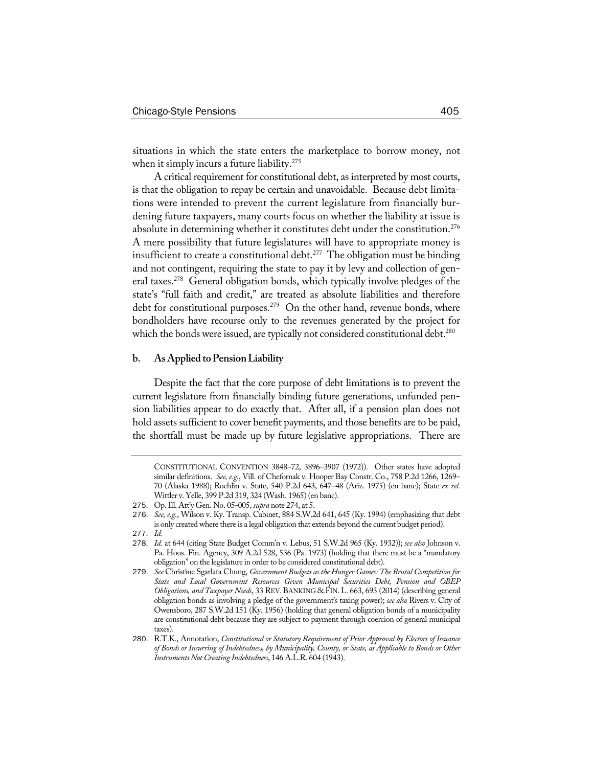situations in which the state enters the marketplace to borrow money, not when it simply incurs a future liability.<sup>275</sup>

A critical requirement for constitutional debt, as interpreted by most courts, is that the obligation to repay be certain and unavoidable. Because debt limitations were intended to prevent the current legislature from financially burdening future taxpayers, many courts focus on whether the liability at issue is absolute in determining whether it constitutes debt under the constitution.<sup>276</sup> A mere possibility that future legislatures will have to appropriate money is insufficient to create a constitutional debt.<sup>277</sup> The obligation must be binding and not contingent, requiring the state to pay it by levy and collection of general taxes.<sup>278</sup> General obligation bonds, which typically involve pledges of the state's "full faith and credit," are treated as absolute liabilities and therefore debt for constitutional purposes.<sup>279</sup> On the other hand, revenue bonds, where bondholders have recourse only to the revenues generated by the project for which the bonds were issued, are typically not considered constitutional debt.<sup>280</sup>

#### **b. AsApplied toPensionLiability**

Despite the fact that the core purpose of debt limitations is to prevent the current legislature from financially binding future generations, unfunded pension liabilities appear to do exactly that. After all, if a pension plan does not hold assets sufficient to cover benefit payments, and those benefits are to be paid, the shortfall must be made up by future legislative appropriations. There are

CONSTITUTIONAL CONVENTION 3848–72, 3896–3907 (1972)). Other states have adopted similar definitions. *See, e.g.*, Vill. of Chefornak v. Hooper Bay Constr. Co., 758 P.2d 1266, 1269– 70 (Alaska 1988); Rochlin v. State, 540 P.2d 643, 647–48 (Ariz. 1975) (en banc); State *ex rel.* Wittler v. Yelle, 399 P.2d 319, 324 (Wash. 1965) (en banc).

<sup>275</sup>. Op.Ill. Att'y Gen. No. 05-005, *supra* note 274, at 5.

<sup>276</sup>. *See, e.g.*, Wilson v. Ky. Transp. Cabinet, 884 S.W.2d 641, 645 (Ky. 1994) (emphasizing that debt is only created where there is a legal obligation that extends beyond the current budget period).

<sup>277</sup>. *Id.*

<sup>278</sup>. *Id.* at 644 (citing State Budget Comm'n v. Lebus, 51 S.W.2d 965 (Ky. 1932)); *see also* Johnson v. Pa. Hous. Fin. Agency, 309 A.2d 528, 536 (Pa. 1973) (holding that there must be a "mandatory obligation" on the legislature in order to be considered constitutional debt).

<sup>279</sup>. *See* Christine Sgarlata Chung, *Government Budgets as the Hunger Games: The Brutal Competition for State and Local Government Resources Given Municipal Securities Debt, Pension and OBEP Obligations, and Taxpayer Needs*, 33 REV.BANKING & FIN.L. 663, 693 (2014) (describing general obligation bonds as involving a pledge of the government's taxing power); *see also* Rivers v. City of Owensboro, 287 S.W.2d 151 (Ky. 1956) (holding that general obligation bonds of a municipality are constitutional debt because they are subject to payment through coercion of general municipal taxes).

<sup>280</sup>. R.T.K., Annotation, *Constitutional or Statutory Requirement of Prior Approval by Electors of Issuance of Bonds or Incurring of Indebtedness, by Municipality, County, or State, as Applicable to Bonds or Other Instruments NotCreating Indebtedness*, 146 A.L.R. 604 (1943).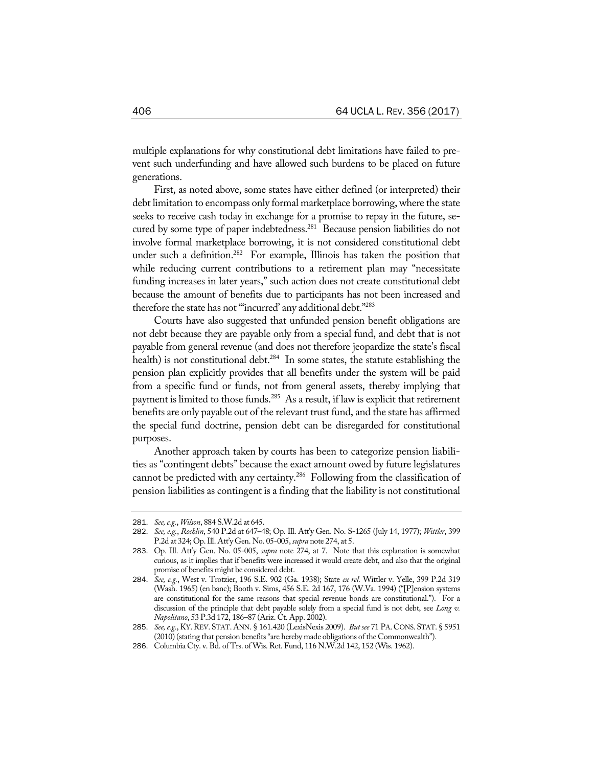multiple explanations for why constitutional debt limitations have failed to prevent such underfunding and have allowed such burdens to be placed on future generations.

First, as noted above, some states have either defined (or interpreted) their debt limitation to encompass only formal marketplace borrowing, where the state seeks to receive cash today in exchange for a promise to repay in the future, secured by some type of paper indebtedness.<sup>281</sup> Because pension liabilities do not involve formal marketplace borrowing, it is not considered constitutional debt under such a definition.<sup>282</sup> For example, Illinois has taken the position that while reducing current contributions to a retirement plan may "necessitate funding increases in later years," such action does not create constitutional debt because the amount of benefits due to participants has not been increased and therefore the state has not "incurred' any additional debt."283

Courts have also suggested that unfunded pension benefit obligations are not debt because they are payable only from a special fund, and debt that is not payable from general revenue (and does not therefore jeopardize the state's fiscal health) is not constitutional debt.<sup>284</sup> In some states, the statute establishing the pension plan explicitly provides that all benefits under the system will be paid from a specific fund or funds, not from general assets, thereby implying that payment is limited to those funds.<sup>285</sup> As a result, if law is explicit that retirement benefits are only payable out of the relevant trust fund, and the state has affirmed the special fund doctrine, pension debt can be disregarded for constitutional purposes.

Another approach taken by courts has been to categorize pension liabilities as "contingent debts" because the exact amount owed by future legislatures cannot be predicted with any certainty.286 Following from the classification of pension liabilities as contingent is a finding that the liability is not constitutional

<sup>281</sup>. *See,e.g.*, *Wilson*, 884 S.W.2d at 645.

<sup>282</sup>. *See, e.g.*, *Rochlin*, 540 P.2d at 647–48; Op. Ill. Att'y Gen. No. S-1265 (July 14, 1977); *Wittler*, 399 P.2d at 324; Op.Ill. Att'y Gen. No. 05-005, *supra* note 274, at 5.

<sup>283</sup>. Op. Ill. Att'y Gen. No. 05-005, *supra* note 274, at 7. Note that this explanation is somewhat curious, as it implies that if benefits were increased it would create debt, and also that the original promise of benefits might be considered debt.

<sup>284</sup>. *See, e.g.*, West v. Trotzier, 196 S.E. 902 (Ga. 1938); State *ex rel.* Wittler v. Yelle, 399 P.2d 319 (Wash. 1965) (en banc); Booth v. Sims, 456 S.E. 2d 167, 176 (W.Va. 1994) ("[P]ension systems are constitutional for the same reasons that special revenue bonds are constitutional."). For a discussion of the principle that debt payable solely from a special fund is not debt, see *Long v. Napolitano*, 53 P.3d 172, 186–87 (Ariz. Ct. App. 2002).

<sup>285</sup>. *See,e.g.*, KY.REV. STAT.ANN. § 161.420 (LexisNexis 2009). *But see* 71 PA.CONS. STAT. § 5951 (2010) (stating that pension benefits"are hereby made obligations of the Commonwealth").

<sup>286</sup>. Columbia Cty. v. Bd. of Trs. of Wis. Ret. Fund, 116 N.W.2d 142, 152 (Wis. 1962).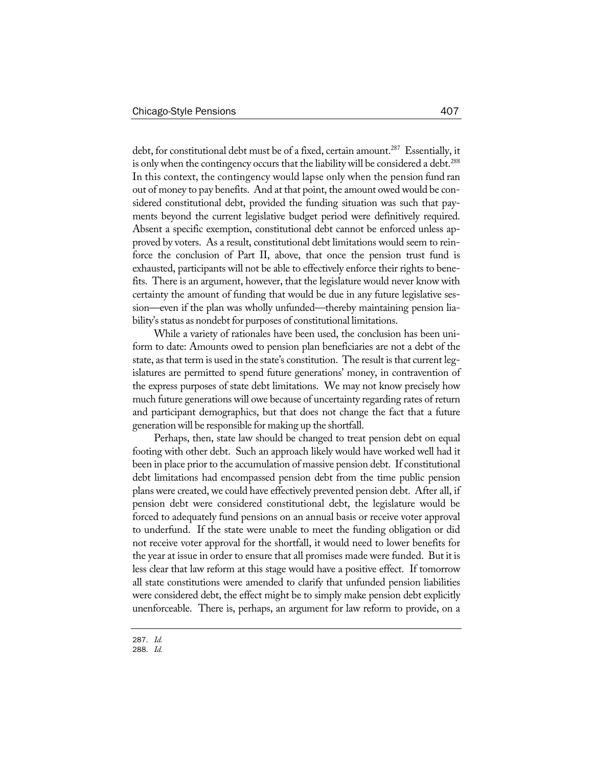debt, for constitutional debt must be of a fixed, certain amount.<sup>287</sup> Essentially, it is only when the contingency occurs that the liability will be considered a debt.<sup>288</sup> In this context, the contingency would lapse only when the pension fund ran out of money to pay benefits. And at that point, the amount owed would be considered constitutional debt, provided the funding situation was such that payments beyond the current legislative budget period were definitively required. Absent a specific exemption, constitutional debt cannot be enforced unless approved by voters. As a result, constitutional debt limitations would seem to reinforce the conclusion of Part II, above, that once the pension trust fund is exhausted, participants will not be able to effectively enforce their rights to benefits. There is an argument, however, that the legislature would never know with certainty the amount of funding that would be due in any future legislative session—even if the plan was wholly unfunded—thereby maintaining pension liability's status as nondebt for purposes of constitutional limitations.

While a variety of rationales have been used, the conclusion has been uniform to date: Amounts owed to pension plan beneficiaries are not a debt of the state, as that term is used in the state's constitution. The result is that current legislatures are permitted to spend future generations' money, in contravention of the express purposes of state debt limitations. We may not know precisely how much future generations will owe because of uncertainty regarding rates of return and participant demographics, but that does not change the fact that a future generation will be responsible for making up the shortfall.

Perhaps, then, state law should be changed to treat pension debt on equal footing with other debt. Such an approach likely would have worked well had it been in place prior to the accumulation of massive pension debt. If constitutional debt limitations had encompassed pension debt from the time public pension plans were created, we could have effectively prevented pension debt. After all, if pension debt were considered constitutional debt, the legislature would be forced to adequately fund pensions on an annual basis or receive voter approval to underfund. If the state were unable to meet the funding obligation or did not receive voter approval for the shortfall, it would need to lower benefits for the year at issue in order to ensure that all promises made were funded. But it is less clear that law reform at this stage would have a positive effect. If tomorrow all state constitutions were amended to clarify that unfunded pension liabilities were considered debt, the effect might be to simply make pension debt explicitly unenforceable. There is, perhaps, an argument for law reform to provide, on a

<sup>287</sup>. *Id.*

<sup>288</sup>. *Id.*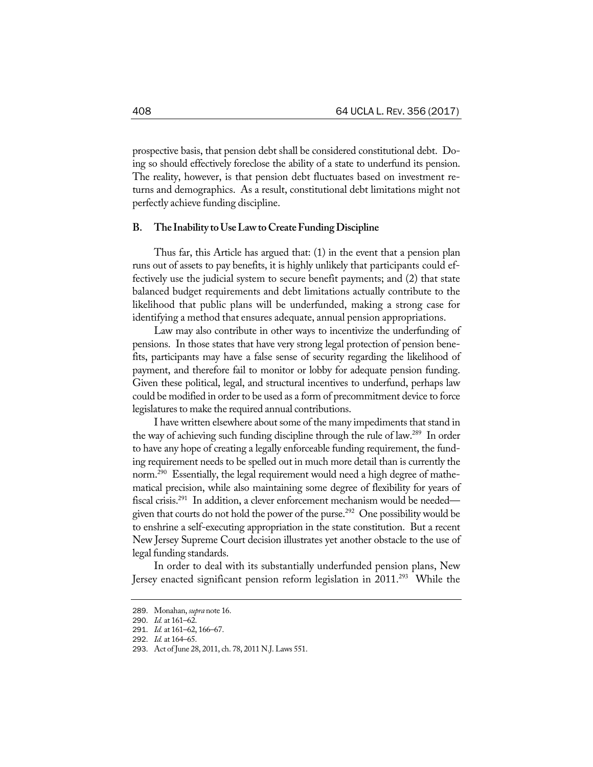prospective basis, that pension debt shall be considered constitutional debt. Doing so should effectively foreclose the ability of a state to underfund its pension. The reality, however, is that pension debt fluctuates based on investment returns and demographics. As a result, constitutional debt limitations might not perfectly achieve funding discipline.

#### **B. The Inability toUseLawtoCreateFundingDiscipline**

Thus far, this Article has argued that: (1) in the event that a pension plan runs out of assets to pay benefits, it is highly unlikely that participants could effectively use the judicial system to secure benefit payments; and (2) that state balanced budget requirements and debt limitations actually contribute to the likelihood that public plans will be underfunded, making a strong case for identifying a method that ensures adequate, annual pension appropriations.

Law may also contribute in other ways to incentivize the underfunding of pensions. In those states that have very strong legal protection of pension benefits, participants may have a false sense of security regarding the likelihood of payment, and therefore fail to monitor or lobby for adequate pension funding. Given these political, legal, and structural incentives to underfund, perhaps law could be modified in order to be used as a form of precommitment device to force legislatures to make the required annual contributions.

I have written elsewhere about some of the many impediments that stand in the way of achieving such funding discipline through the rule of law.289 In order to have any hope of creating a legally enforceable funding requirement, the funding requirement needs to be spelled out in much more detail than is currently the norm.<sup>290</sup> Essentially, the legal requirement would need a high degree of mathematical precision, while also maintaining some degree of flexibility for years of fiscal crisis.291 In addition, a clever enforcement mechanism would be needed given that courts do not hold the power of the purse.<sup>292</sup> One possibility would be to enshrine a self-executing appropriation in the state constitution. But a recent New Jersey Supreme Court decision illustrates yet another obstacle to the use of legal funding standards.

In order to deal with its substantially underfunded pension plans, New Jersey enacted significant pension reform legislation in 2011.<sup>293</sup> While the

<sup>289</sup>. Monahan, *supra* note 16.

<sup>290</sup>. *Id.* at 161–62.

<sup>291</sup>. *Id.* at 161–62, 166–67.

<sup>292</sup>. *Id.* at 164–65.

<sup>293</sup>. Act of June 28, 2011, ch. 78, 2011 N.J. Laws 551.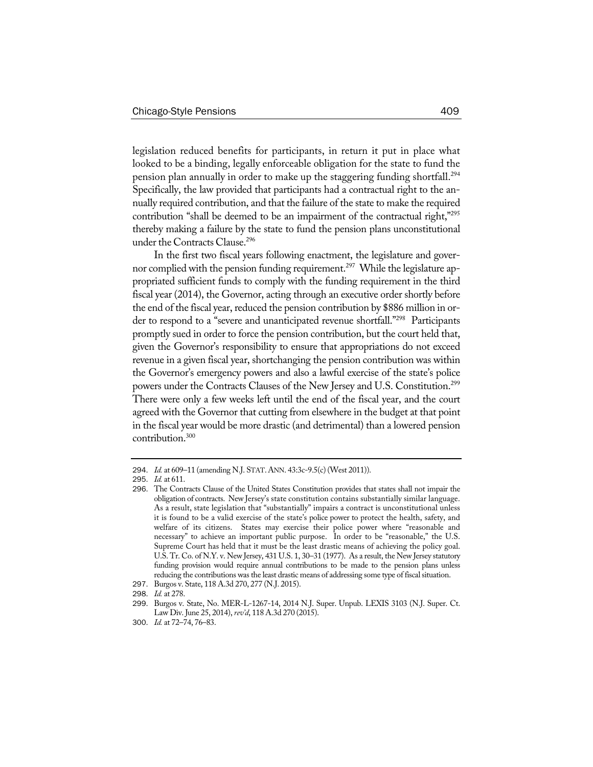legislation reduced benefits for participants, in return it put in place what looked to be a binding, legally enforceable obligation for the state to fund the pension plan annually in order to make up the staggering funding shortfall.<sup>294</sup> Specifically, the law provided that participants had a contractual right to the annually required contribution, and that the failure of the state to make the required contribution "shall be deemed to be an impairment of the contractual right,"<sup>295</sup> thereby making a failure by the state to fund the pension plans unconstitutional under the Contracts Clause.<sup>296</sup>

In the first two fiscal years following enactment, the legislature and governor complied with the pension funding requirement.<sup>297</sup> While the legislature appropriated sufficient funds to comply with the funding requirement in the third fiscal year (2014), the Governor, acting through an executive order shortly before the end of the fiscal year, reduced the pension contribution by \$886 million in order to respond to a "severe and unanticipated revenue shortfall."<sup>298</sup> Participants promptly sued in order to force the pension contribution, but the court held that, given the Governor's responsibility to ensure that appropriations do not exceed revenue in a given fiscal year, shortchanging the pension contribution was within the Governor's emergency powers and also a lawful exercise of the state's police powers under the Contracts Clauses of the New Jersey and U.S. Constitution.<sup>299</sup> There were only a few weeks left until the end of the fiscal year, and the court agreed with the Governor that cutting from elsewhere in the budget at that point in the fiscal year would be more drastic (and detrimental) than a lowered pension contribution.300

<sup>294</sup>. *Id.* at 609–11 (amending N.J. STAT.ANN. 43:3c-9.5(c) (West 2011)).

<sup>295</sup>. *Id.* at 611.

<sup>296</sup>. The Contracts Clause of the United States Constitution provides that states shall not impair the obligation of contracts. New Jersey's state constitution contains substantially similar language. As a result, state legislation that "substantially" impairs a contract is unconstitutional unless it is found to be a valid exercise of the state's police power to protect the health, safety, and welfare of its citizens. States may exercise their police power where "reasonable and necessary" to achieve an important public purpose. In order to be "reasonable," the U.S. Supreme Court has held that it must be the least drastic means of achieving the policy goal. U.S. Tr. Co. of N.Y. v. New Jersey, 431 U.S. 1, 30–31 (1977). As a result, the New Jersey statutory funding provision would require annual contributions to be made to the pension plans unless reducing the contributions was the least drastic means of addressing some type of fiscal situation.

<sup>297</sup>. Burgos v. State, 118 A.3d 270, 277 (N.J. 2015).

<sup>298</sup>. *Id.* at 278.

<sup>299</sup>. Burgos v. State, No. MER-L-1267-14, 2014 N.J. Super. Unpub. LEXIS 3103 (N.J. Super. Ct. Law Div. June 25, 2014),*rev'd*, 118 A.3d 270 (2015).

<sup>300</sup>. *Id.* at 72–74, 76–83.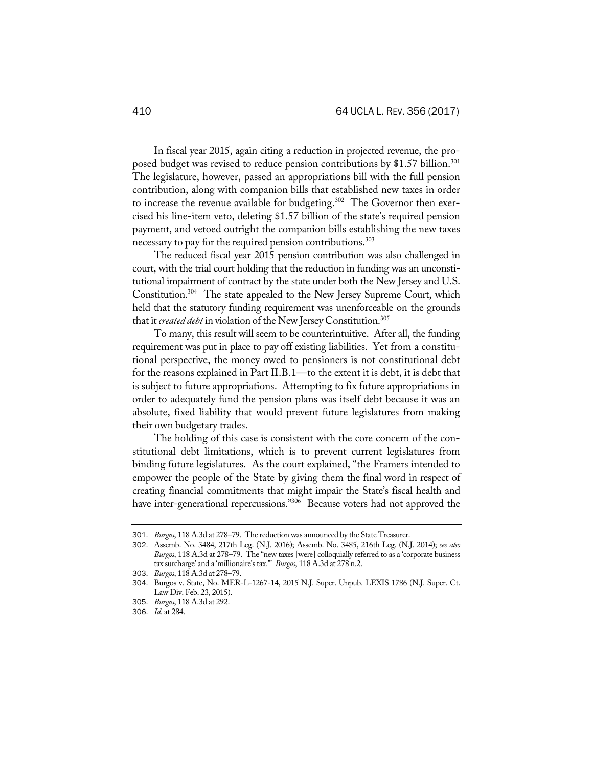In fiscal year 2015, again citing a reduction in projected revenue, the proposed budget was revised to reduce pension contributions by \$1.57 billion.<sup>301</sup> The legislature, however, passed an appropriations bill with the full pension contribution, along with companion bills that established new taxes in order to increase the revenue available for budgeting.<sup>302</sup> The Governor then exercised his line-item veto, deleting \$1.57 billion of the state's required pension payment, and vetoed outright the companion bills establishing the new taxes necessary to pay for the required pension contributions.<sup>303</sup>

The reduced fiscal year 2015 pension contribution was also challenged in court, with the trial court holding that the reduction in funding was an unconstitutional impairment of contract by the state under both the New Jersey and U.S. Constitution.<sup>304</sup> The state appealed to the New Jersey Supreme Court, which held that the statutory funding requirement was unenforceable on the grounds that it *created debt* in violation of the New Jersey Constitution.305

To many, this result will seem to be counterintuitive. After all, the funding requirement was put in place to pay off existing liabilities. Yet from a constitutional perspective, the money owed to pensioners is not constitutional debt for the reasons explained in Part II.B.1—to the extent it is debt, it is debt that is subject to future appropriations. Attempting to fix future appropriations in order to adequately fund the pension plans was itself debt because it was an absolute, fixed liability that would prevent future legislatures from making their own budgetary trades.

The holding of this case is consistent with the core concern of the constitutional debt limitations, which is to prevent current legislatures from binding future legislatures. As the court explained, "the Framers intended to empower the people of the State by giving them the final word in respect of creating financial commitments that might impair the State's fiscal health and have inter-generational repercussions."<sup>306</sup> Because voters had not approved the

<sup>301</sup>. *Burgos*, 118 A.3d at 278–79. The reduction was announced by the State Treasurer.

<sup>302</sup>. Assemb. No. 3484, 217th Leg. (N.J. 2016); Assemb. No. 3485, 216th Leg. (N.J. 2014); *see also Burgos*, 118 A.3d at 278–79. The "new taxes [were] colloquially referred to as a 'corporate business tax surcharge' and a 'millionaire's tax.'" *Burgos*, 118 A.3d at 278 n.2.

<sup>303</sup>. *Burgos*, 118 A.3d at 278–79.

<sup>304</sup>. Burgos v. State, No. MER-L-1267-14, 2015 N.J. Super. Unpub. LEXIS 1786 (N.J. Super. Ct. Law Div. Feb. 23, 2015).

<sup>305</sup>. *Burgos*, 118 A.3d at 292.

<sup>306</sup>. *Id.* at 284.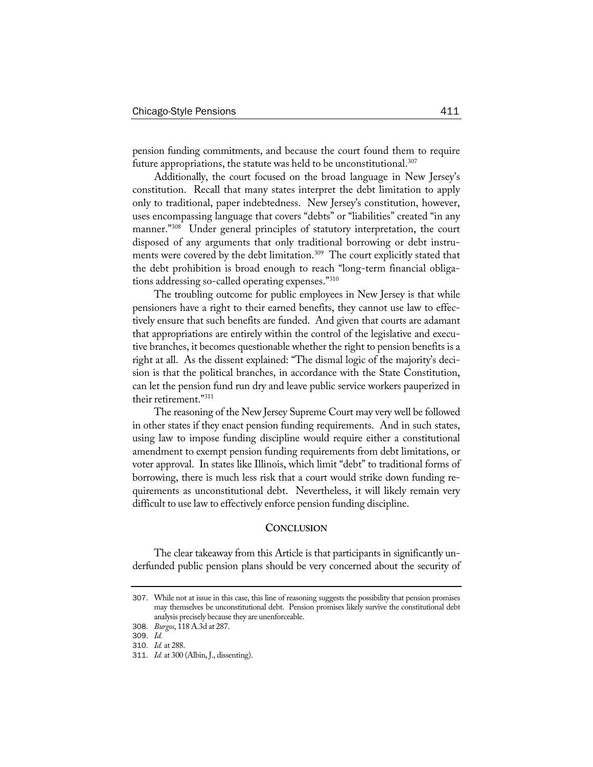pension funding commitments, and because the court found them to require future appropriations, the statute was held to be unconstitutional.<sup>307</sup>

Additionally, the court focused on the broad language in New Jersey's constitution. Recall that many states interpret the debt limitation to apply only to traditional, paper indebtedness. New Jersey's constitution, however, uses encompassing language that covers "debts" or "liabilities" created "in any manner."<sup>308</sup> Under general principles of statutory interpretation, the court disposed of any arguments that only traditional borrowing or debt instruments were covered by the debt limitation.309 The court explicitly stated that the debt prohibition is broad enough to reach "long-term financial obligations addressing so-called operating expenses."310

The troubling outcome for public employees in New Jersey is that while pensioners have a right to their earned benefits, they cannot use law to effectively ensure that such benefits are funded. And given that courts are adamant that appropriations are entirely within the control of the legislative and executive branches, it becomes questionable whether the right to pension benefits is a right at all. As the dissent explained: "The dismal logic of the majority's decision is that the political branches, in accordance with the State Constitution, can let the pension fund run dry and leave public service workers pauperized in their retirement."311

The reasoning of the New Jersey Supreme Court may very well be followed in other states if they enact pension funding requirements. And in such states, using law to impose funding discipline would require either a constitutional amendment to exempt pension funding requirements from debt limitations, or voter approval. In states like Illinois, which limit "debt" to traditional forms of borrowing, there is much less risk that a court would strike down funding requirements as unconstitutional debt. Nevertheless, it will likely remain very difficult to use law to effectively enforce pension funding discipline.

## **CONCLUSION**

The clear takeaway from this Article is that participants in significantly underfunded public pension plans should be very concerned about the security of

<sup>307</sup>. While not at issue in this case, this line of reasoning suggests the possibility that pension promises may themselves be unconstitutional debt. Pension promises likely survive the constitutional debt analysis precisely because they are unenforceable.

<sup>308</sup>. *Burgos*, 118 A.3d at 287.

<sup>309</sup>. *Id.*

<sup>310</sup>. *Id.* at 288.

<sup>311</sup>. *Id.* at 300 (Albin, J., dissenting).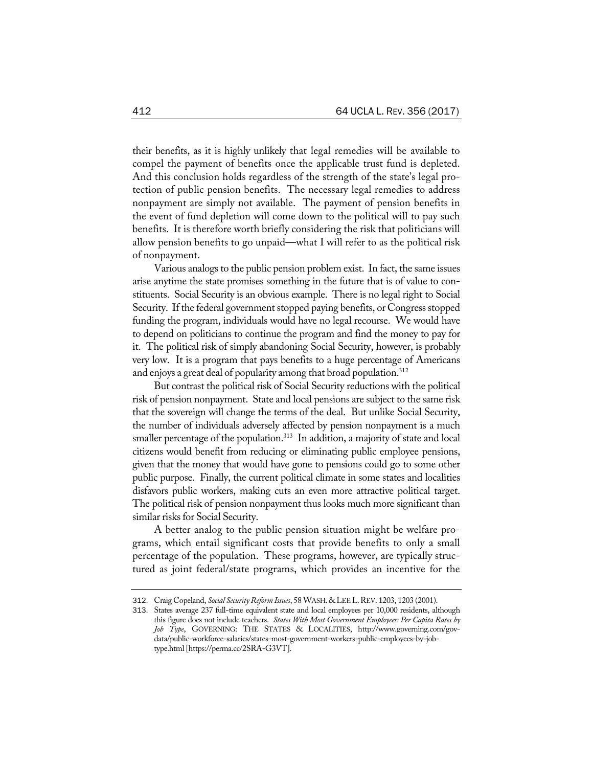their benefits, as it is highly unlikely that legal remedies will be available to compel the payment of benefits once the applicable trust fund is depleted. And this conclusion holds regardless of the strength of the state's legal protection of public pension benefits. The necessary legal remedies to address nonpayment are simply not available. The payment of pension benefits in the event of fund depletion will come down to the political will to pay such benefits. It is therefore worth briefly considering the risk that politicians will allow pension benefits to go unpaid—what I will refer to as the political risk of nonpayment.

Various analogs to the public pension problem exist. In fact, the same issues arise anytime the state promises something in the future that is of value to constituents. Social Security is an obvious example. There is no legal right to Social Security. If the federal government stopped paying benefits, or Congress stopped funding the program, individuals would have no legal recourse. We would have to depend on politicians to continue the program and find the money to pay for it. The political risk of simply abandoning Social Security, however, is probably very low. It is a program that pays benefits to a huge percentage of Americans and enjoys a great deal of popularity among that broad population.<sup>312</sup>

But contrast the political risk of Social Security reductions with the political risk of pension nonpayment. State and local pensions are subject to the same risk that the sovereign will change the terms of the deal. But unlike Social Security, the number of individuals adversely affected by pension nonpayment is a much smaller percentage of the population.<sup>313</sup> In addition, a majority of state and local citizens would benefit from reducing or eliminating public employee pensions, given that the money that would have gone to pensions could go to some other public purpose. Finally, the current political climate in some states and localities disfavors public workers, making cuts an even more attractive political target. The political risk of pension nonpayment thus looks much more significant than similar risks for Social Security.

A better analog to the public pension situation might be welfare programs, which entail significant costs that provide benefits to only a small percentage of the population. These programs, however, are typically structured as joint federal/state programs, which provides an incentive for the

<sup>312</sup>. Craig Copeland, *Social SecurityReform Issues*, 58 WASH.&LEEL.REV. 1203, 1203 (2001).

<sup>313</sup>. States average 237 full-time equivalent state and local employees per 10,000 residents, although this figure does not include teachers. *States With Most Government Employees: Per Capita Rates by Job Type*, GOVERNING: THE STATES & LOCALITIES, http://www.governing.com/govdata/public-workforce-salaries/states-most-government-workers-public-employees-by-jobtype.html[https://perma.cc/2SRA-G3VT].